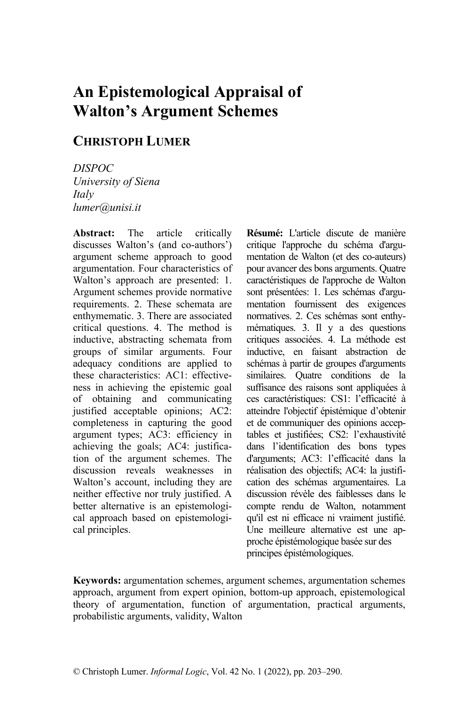# **An Epistemological Appraisal of Walton's Argument Schemes**

## **CHRISTOPH LUMER**

*DISPOC University of Siena Italy lumer@unisi.it*

**Abstract:** The article critically discusses Walton's (and co-authors') argument scheme approach to good argumentation. Four characteristics of Walton's approach are presented: 1. Argument schemes provide normative requirements. 2. These schemata are enthymematic. 3. There are associated critical questions. 4. The method is inductive, abstracting schemata from groups of similar arguments. Four adequacy conditions are applied to these characteristics: AC1: effectiveness in achieving the epistemic goal of obtaining and communicating justified acceptable opinions; AC2: completeness in capturing the good argument types; AC3: efficiency in achieving the goals; AC4: justification of the argument schemes. The discussion reveals weaknesses in Walton's account, including they are neither effective nor truly justified. A better alternative is an epistemological approach based on epistemological principles.

**Résumé:** L'article discute de manière critique l'approche du schéma d'argumentation de Walton (et des co-auteurs) pour avancer des bons arguments. Quatre caractéristiques de l'approche de Walton sont présentées: 1. Les schémas d'argumentation fournissent des exigences normatives. 2. Ces schémas sont enthymématiques. 3. Il y a des questions critiques associées. 4. La méthode est inductive, en faisant abstraction de schémas à partir de groupes d'arguments similaires. Quatre conditions de la suffisance des raisons sont appliquées à ces caractéristiques: CS1: l'efficacité à atteindre l'objectif épistémique d'obtenir et de communiquer des opinions acceptables et justifiées; CS2: l'exhaustivité dans l'identification des bons types d'arguments; AC3: l'efficacité dans la réalisation des objectifs; AC4: la justification des schémas argumentaires. La discussion révèle des faiblesses dans le compte rendu de Walton, notamment qu'il est ni efficace ni vraiment justifié. Une meilleure alternative est une approche épistémologique basée sur des principes épistémologiques.

**Keywords:** argumentation schemes, argument schemes, argumentation schemes approach, argument from expert opinion, bottom-up approach, epistemological theory of argumentation, function of argumentation, practical arguments, probabilistic arguments, validity, Walton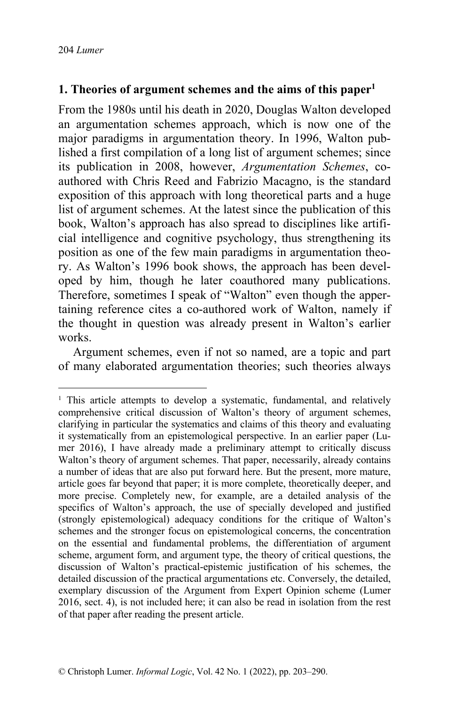### **1. Theories of argument schemes and the aims of this paper1**

From the 1980s until his death in 2020, Douglas Walton developed an argumentation schemes approach, which is now one of the major paradigms in argumentation theory. In 1996, Walton published a first compilation of a long list of argument schemes; since its publication in 2008, however, *Argumentation Schemes*, coauthored with Chris Reed and Fabrizio Macagno, is the standard exposition of this approach with long theoretical parts and a huge list of argument schemes. At the latest since the publication of this book, Walton's approach has also spread to disciplines like artificial intelligence and cognitive psychology, thus strengthening its position as one of the few main paradigms in argumentation theory. As Walton's 1996 book shows, the approach has been developed by him, though he later coauthored many publications. Therefore, sometimes I speak of "Walton" even though the appertaining reference cites a co-authored work of Walton, namely if the thought in question was already present in Walton's earlier works.

Argument schemes, even if not so named, are a topic and part of many elaborated argumentation theories; such theories always

<sup>&</sup>lt;sup>1</sup> This article attempts to develop a systematic, fundamental, and relatively comprehensive critical discussion of Walton's theory of argument schemes, clarifying in particular the systematics and claims of this theory and evaluating it systematically from an epistemological perspective. In an earlier paper (Lumer 2016), I have already made a preliminary attempt to critically discuss Walton's theory of argument schemes. That paper, necessarily, already contains a number of ideas that are also put forward here. But the present, more mature, article goes far beyond that paper; it is more complete, theoretically deeper, and more precise. Completely new, for example, are a detailed analysis of the specifics of Walton's approach, the use of specially developed and justified (strongly epistemological) adequacy conditions for the critique of Walton's schemes and the stronger focus on epistemological concerns, the concentration on the essential and fundamental problems, the differentiation of argument scheme, argument form, and argument type, the theory of critical questions, the discussion of Walton's practical-epistemic justification of his schemes, the detailed discussion of the practical argumentations etc. Conversely, the detailed, exemplary discussion of the Argument from Expert Opinion scheme (Lumer 2016, sect. 4), is not included here; it can also be read in isolation from the rest of that paper after reading the present article.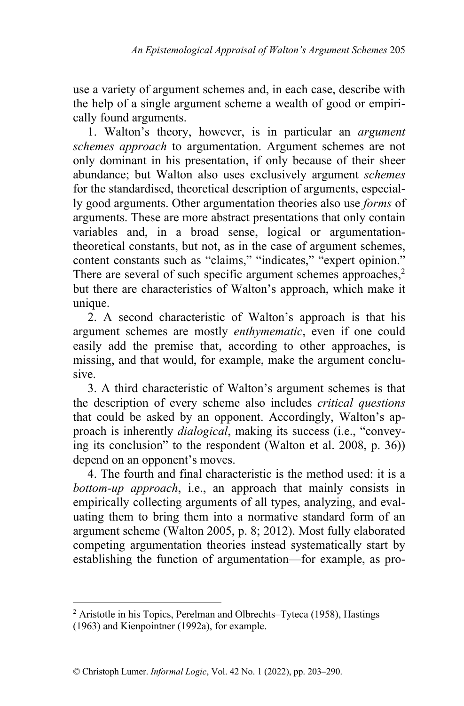use a variety of argument schemes and, in each case, describe with the help of a single argument scheme a wealth of good or empirically found arguments.

1. Walton's theory, however, is in particular an *argument schemes approach* to argumentation. Argument schemes are not only dominant in his presentation, if only because of their sheer abundance; but Walton also uses exclusively argument *schemes* for the standardised, theoretical description of arguments, especially good arguments. Other argumentation theories also use *forms* of arguments. These are more abstract presentations that only contain variables and, in a broad sense, logical or argumentationtheoretical constants, but not, as in the case of argument schemes, content constants such as "claims," "indicates," "expert opinion." There are several of such specific argument schemes approaches,<sup>2</sup> but there are characteristics of Walton's approach, which make it unique.

2. A second characteristic of Walton's approach is that his argument schemes are mostly *enthymematic*, even if one could easily add the premise that, according to other approaches, is missing, and that would, for example, make the argument conclusive.

3. A third characteristic of Walton's argument schemes is that the description of every scheme also includes *critical questions* that could be asked by an opponent. Accordingly, Walton's approach is inherently *dialogical*, making its success (i.e., "conveying its conclusion" to the respondent (Walton et al. 2008, p. 36)) depend on an opponent's moves.

4. The fourth and final characteristic is the method used: it is a *bottom-up approach*, i.e., an approach that mainly consists in empirically collecting arguments of all types, analyzing, and evaluating them to bring them into a normative standard form of an argument scheme (Walton 2005, p. 8; 2012). Most fully elaborated competing argumentation theories instead systematically start by establishing the function of argumentation—for example, as pro-

<sup>2</sup> Aristotle in his Topics, Perelman and Olbrechts–Tyteca (1958), Hastings (1963) and Kienpointner (1992a), for example.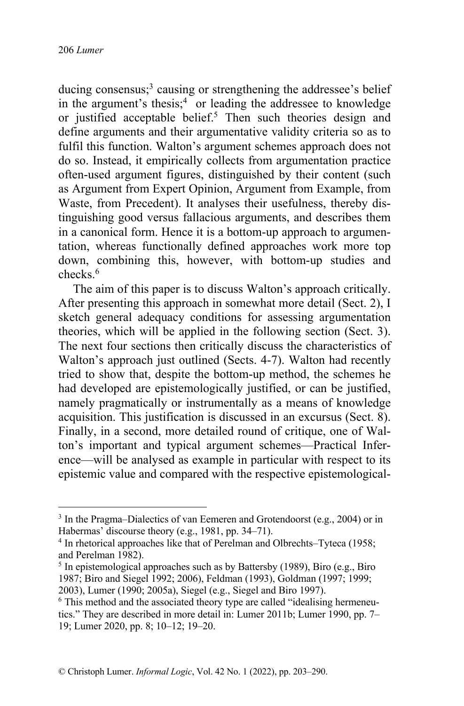ducing consensus;<sup>3</sup> causing or strengthening the addressee's belief in the argument's thesis;<sup>4</sup> or leading the addressee to knowledge or justified acceptable belief.<sup>5</sup> Then such theories design and define arguments and their argumentative validity criteria so as to fulfil this function. Walton's argument schemes approach does not do so. Instead, it empirically collects from argumentation practice often-used argument figures, distinguished by their content (such as Argument from Expert Opinion, Argument from Example, from Waste, from Precedent). It analyses their usefulness, thereby distinguishing good versus fallacious arguments, and describes them in a canonical form. Hence it is a bottom-up approach to argumentation, whereas functionally defined approaches work more top down, combining this, however, with bottom-up studies and checks.<sup>6</sup>

The aim of this paper is to discuss Walton's approach critically. After presenting this approach in somewhat more detail (Sect. 2), I sketch general adequacy conditions for assessing argumentation theories, which will be applied in the following section (Sect. 3). The next four sections then critically discuss the characteristics of Walton's approach just outlined (Sects. 4-7). Walton had recently tried to show that, despite the bottom-up method, the schemes he had developed are epistemologically justified, or can be justified, namely pragmatically or instrumentally as a means of knowledge acquisition. This justification is discussed in an excursus (Sect. 8). Finally, in a second, more detailed round of critique, one of Walton's important and typical argument schemes—Practical Inference—will be analysed as example in particular with respect to its epistemic value and compared with the respective epistemological-

<sup>&</sup>lt;sup>3</sup> In the Pragma–Dialectics of van Eemeren and Grotendoorst (e.g., 2004) or in Habermas' discourse theory (e.g., 1981, pp. 34–71).

<sup>&</sup>lt;sup>4</sup> In rhetorical approaches like that of Perelman and Olbrechts–Tyteca (1958; and Perelman 1982).

 $<sup>5</sup>$  In epistemological approaches such as by Battersby (1989), Biro (e.g., Biro</sup> 1987; Biro and Siegel 1992; 2006), Feldman (1993), Goldman (1997; 1999; 2003), Lumer (1990; 2005a), Siegel (e.g., Siegel and Biro 1997).

<sup>&</sup>lt;sup>6</sup> This method and the associated theory type are called "idealising hermeneutics." They are described in more detail in: Lumer 2011b; Lumer 1990, pp. 7– 19; Lumer 2020, pp. 8; 10–12; 19–20.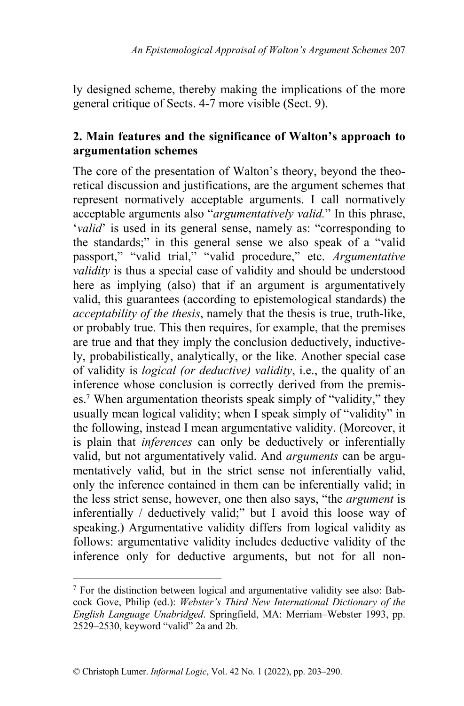ly designed scheme, thereby making the implications of the more general critique of Sects. 4-7 more visible (Sect. 9).

## **2. Main features and the significance of Walton's approach to argumentation schemes**

The core of the presentation of Walton's theory, beyond the theoretical discussion and justifications, are the argument schemes that represent normatively acceptable arguments. I call normatively acceptable arguments also "*argumentatively valid.*" In this phrase, '*valid*' is used in its general sense, namely as: "corresponding to the standards;" in this general sense we also speak of a "valid passport," "valid trial," "valid procedure," etc. *Argumentative validity* is thus a special case of validity and should be understood here as implying (also) that if an argument is argumentatively valid, this guarantees (according to epistemological standards) the *acceptability of the thesis*, namely that the thesis is true, truth-like, or probably true. This then requires, for example, that the premises are true and that they imply the conclusion deductively, inductively, probabilistically, analytically, or the like. Another special case of validity is *logical (or deductive) validity*, i.e., the quality of an inference whose conclusion is correctly derived from the premises.<sup>7</sup> When argumentation theorists speak simply of "validity," they usually mean logical validity; when I speak simply of "validity" in the following, instead I mean argumentative validity. (Moreover, it is plain that *inferences* can only be deductively or inferentially valid, but not argumentatively valid. And *arguments* can be argumentatively valid, but in the strict sense not inferentially valid, only the inference contained in them can be inferentially valid; in the less strict sense, however, one then also says, "the *argument* is inferentially / deductively valid;" but I avoid this loose way of speaking.) Argumentative validity differs from logical validity as follows: argumentative validity includes deductive validity of the inference only for deductive arguments, but not for all non-

<sup>7</sup> For the distinction between logical and argumentative validity see also: Babcock Gove, Philip (ed.): *Webster's Third New International Dictionary of the English Language Unabridged*. Springfield, MA: Merriam–Webster 1993, pp. 2529–2530, keyword "valid" 2a and 2b.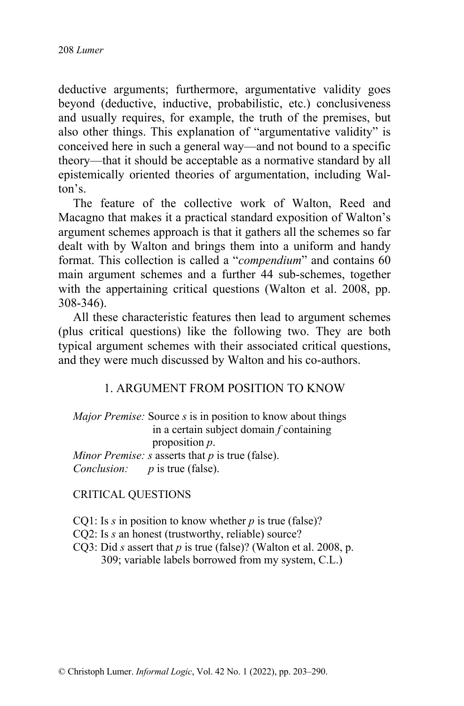deductive arguments; furthermore, argumentative validity goes beyond (deductive, inductive, probabilistic, etc.) conclusiveness and usually requires, for example, the truth of the premises, but also other things. This explanation of "argumentative validity" is conceived here in such a general way—and not bound to a specific theory—that it should be acceptable as a normative standard by all epistemically oriented theories of argumentation, including Walton's.

The feature of the collective work of Walton, Reed and Macagno that makes it a practical standard exposition of Walton's argument schemes approach is that it gathers all the schemes so far dealt with by Walton and brings them into a uniform and handy format. This collection is called a "*compendium*" and contains 60 main argument schemes and a further 44 sub-schemes, together with the appertaining critical questions (Walton et al. 2008, pp. 308-346).

All these characteristic features then lead to argument schemes (plus critical questions) like the following two. They are both typical argument schemes with their associated critical questions, and they were much discussed by Walton and his co-authors.

#### 1. ARGUMENT FROM POSITION TO KNOW

*Major Premise:* Source *s* is in position to know about things in a certain subject domain *f* containing proposition *p*. *Minor Premise: s* asserts that *p* is true (false). *Conclusion: p* is true (false).

#### CRITICAL QUESTIONS

CQ1: Is *s* in position to know whether *p* is true (false)?

- CQ2: Is *s* an honest (trustworthy, reliable) source?
- CQ3: Did *s* assert that *p* is true (false)? (Walton et al. 2008, p. 309; variable labels borrowed from my system, C.L.)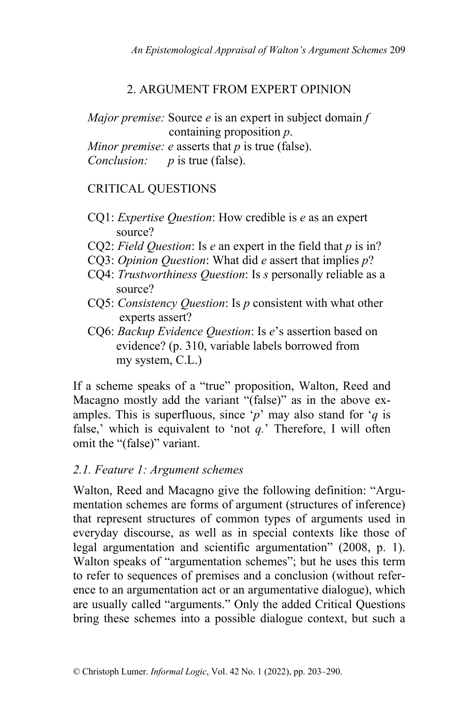# 2. ARGUMENT FROM EXPERT OPINION

*Major premise:* Source *e* is an expert in subject domain *f* containing proposition *p*.

*Minor premise: e* asserts that *p* is true (false).

*Conclusion: p* is true (false).

# CRITICAL QUESTIONS

- CQ1: *Expertise Question*: How credible is *e* as an expert source?
- CQ2: *Field Question*: Is *e* an expert in the field that *p* is in?
- CQ3: *Opinion Question*: What did *e* assert that implies *p*?
- CQ4: *Trustworthiness Question*: Is *s* personally reliable as a source?
- CQ5: *Consistency Question*: Is *p* consistent with what other experts assert?
- CQ6: *Backup Evidence Question*: Is *e*'s assertion based on evidence? (p. 310, variable labels borrowed from my system, C.L.)

If a scheme speaks of a "true" proposition, Walton, Reed and Macagno mostly add the variant "(false)" as in the above examples. This is superfluous, since '*p*' may also stand for '*q* is false,' which is equivalent to 'not *q.*' Therefore, I will often omit the "(false)" variant.

# *2.1. Feature 1: Argument schemes*

Walton, Reed and Macagno give the following definition: "Argumentation schemes are forms of argument (structures of inference) that represent structures of common types of arguments used in everyday discourse, as well as in special contexts like those of legal argumentation and scientific argumentation" (2008, p. 1). Walton speaks of "argumentation schemes"; but he uses this term to refer to sequences of premises and a conclusion (without reference to an argumentation act or an argumentative dialogue), which are usually called "arguments." Only the added Critical Questions bring these schemes into a possible dialogue context, but such a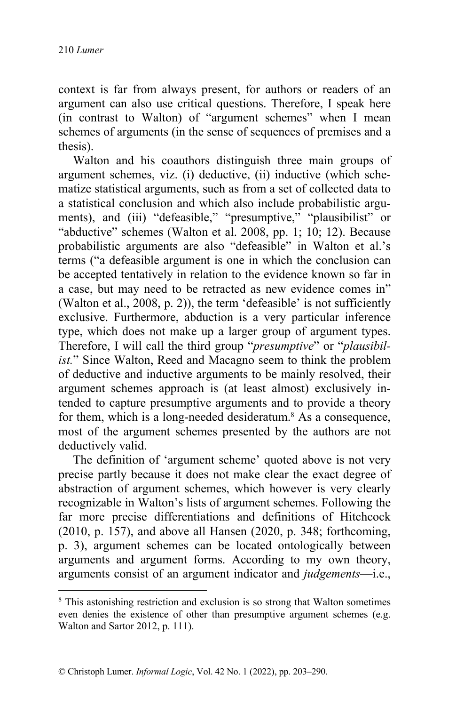context is far from always present, for authors or readers of an argument can also use critical questions. Therefore, I speak here (in contrast to Walton) of "argument schemes" when I mean schemes of arguments (in the sense of sequences of premises and a thesis).

Walton and his coauthors distinguish three main groups of argument schemes, viz. (i) deductive, (ii) inductive (which schematize statistical arguments, such as from a set of collected data to a statistical conclusion and which also include probabilistic arguments), and (iii) "defeasible," "presumptive," "plausibilist" or "abductive" schemes (Walton et al. 2008, pp. 1; 10; 12). Because probabilistic arguments are also "defeasible" in Walton et al.'s terms ("a defeasible argument is one in which the conclusion can be accepted tentatively in relation to the evidence known so far in a case, but may need to be retracted as new evidence comes in" (Walton et al., 2008, p. 2)), the term 'defeasible' is not sufficiently exclusive. Furthermore, abduction is a very particular inference type, which does not make up a larger group of argument types. Therefore, I will call the third group "*presumptive*" or "*plausibilist.*" Since Walton, Reed and Macagno seem to think the problem of deductive and inductive arguments to be mainly resolved, their argument schemes approach is (at least almost) exclusively intended to capture presumptive arguments and to provide a theory for them, which is a long-needed desideratum.<sup>8</sup> As a consequence, most of the argument schemes presented by the authors are not deductively valid.

The definition of 'argument scheme' quoted above is not very precise partly because it does not make clear the exact degree of abstraction of argument schemes, which however is very clearly recognizable in Walton's lists of argument schemes. Following the far more precise differentiations and definitions of Hitchcock (2010, p. 157), and above all Hansen (2020, p. 348; forthcoming, p. 3), argument schemes can be located ontologically between arguments and argument forms. According to my own theory, arguments consist of an argument indicator and *judgements*—i.e.,

<sup>8</sup> This astonishing restriction and exclusion is so strong that Walton sometimes even denies the existence of other than presumptive argument schemes (e.g. Walton and Sartor 2012, p. 111).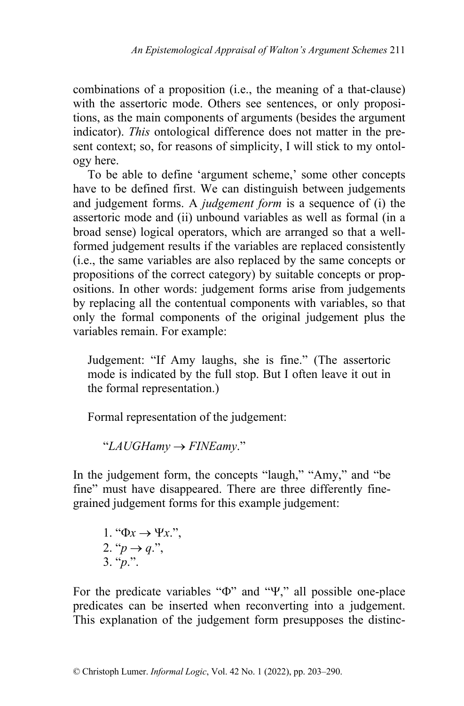combinations of a proposition (i.e., the meaning of a that-clause) with the assertoric mode. Others see sentences, or only propositions, as the main components of arguments (besides the argument indicator). *This* ontological difference does not matter in the present context; so, for reasons of simplicity, I will stick to my ontology here.

To be able to define 'argument scheme,' some other concepts have to be defined first. We can distinguish between judgements and judgement forms. A *judgement form* is a sequence of (i) the assertoric mode and (ii) unbound variables as well as formal (in a broad sense) logical operators, which are arranged so that a wellformed judgement results if the variables are replaced consistently (i.e., the same variables are also replaced by the same concepts or propositions of the correct category) by suitable concepts or propositions. In other words: judgement forms arise from judgements by replacing all the contentual components with variables, so that only the formal components of the original judgement plus the variables remain. For example:

Judgement: "If Amy laughs, she is fine." (The assertoric mode is indicated by the full stop. But I often leave it out in the formal representation.)

Formal representation of the judgement:

 $"LA UGHamy \rightarrow FINEamy."$ 

In the judgement form, the concepts "laugh," "Amy," and "be fine" must have disappeared. There are three differently finegrained judgement forms for this example judgement:

1. "
$$
\Phi x \rightarrow \Psi x
$$
.";  
2. " $p \rightarrow q$ .";  
3. " $p$ ."

For the predicate variables " $\Phi$ " and " $\Psi$ ," all possible one-place predicates can be inserted when reconverting into a judgement. This explanation of the judgement form presupposes the distinc-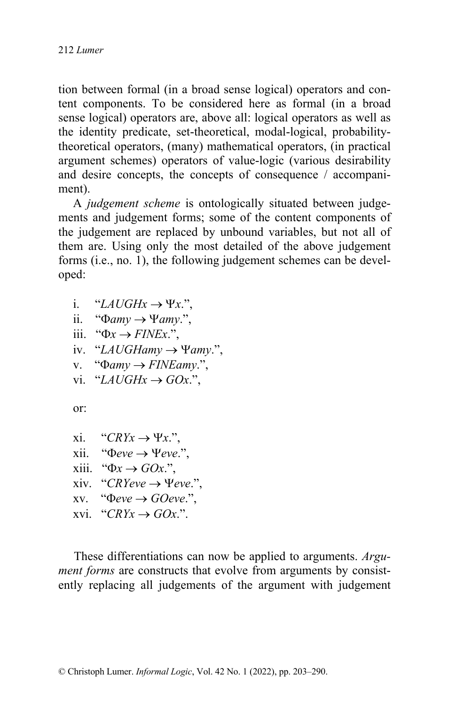tion between formal (in a broad sense logical) operators and content components. To be considered here as formal (in a broad sense logical) operators are, above all: logical operators as well as the identity predicate, set-theoretical, modal-logical, probabilitytheoretical operators, (many) mathematical operators, (in practical argument schemes) operators of value-logic (various desirability and desire concepts, the concepts of consequence / accompaniment).

A *judgement scheme* is ontologically situated between judgements and judgement forms; some of the content components of the judgement are replaced by unbound variables, but not all of them are. Using only the most detailed of the above judgement forms (i.e., no. 1), the following judgement schemes can be developed:

- i. "*LAUGHx*  $\rightarrow$   $\Psi x$ .".
- ii. " $\Phi$ *amy*  $\rightarrow$   $\Psi$ *amy*.",
- iii. " $\Phi x \rightarrow$  *FINEx*.",
- iv. "LAUGHamy  $\rightarrow$  Yamy.",
- v. " $\Phi$ *amy*  $\rightarrow$  *FINEamy.*",
- vi. "*LAUGHx*  $\rightarrow$  *GOx.*",

or:

- xi. " $CRYx \rightarrow \Psi x$ .",
- xii. " $\Phi$ *eve*  $\rightarrow$   $\Psi$ *eve.*",
- xiii. " $\Phi x \rightarrow GOx$ ."
- xiv. "*CRYeve*  $\rightarrow$  *Yeve.*",
- xv. " $\Phi$ *eve*  $\rightarrow$  *GOeve.*".
- $xvi. "CRYx \rightarrow GOx."$

 These differentiations can now be applied to arguments. *Argument forms* are constructs that evolve from arguments by consistently replacing all judgements of the argument with judgement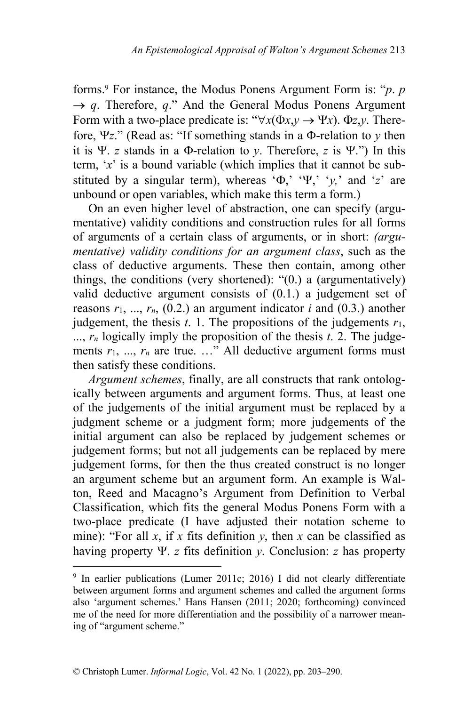forms.<sup>9</sup> For instance, the Modus Ponens Argument Form is: "*p*. *p*  $\rightarrow q$ . Therefore, *q*." And the General Modus Ponens Argument Form with a two-place predicate is: " $\forall x (\Phi x, y \rightarrow \Psi x)$ .  $\Phi z, y$ . Therefore,  $\Psi z$ ." (Read as: "If something stands in a  $\Phi$ -relation to  $\gamma$  then it is  $\Psi$ . *z* stands in a  $\Phi$ -relation to *y*. Therefore, *z* is  $\Psi$ .") In this term, '*x*' is a bound variable (which implies that it cannot be substituted by a singular term), whereas  $\Phi$ ,  $\Psi$ ,  $\psi$ ,  $\psi$ , and  $\psi$  are unbound or open variables, which make this term a form.)

 On an even higher level of abstraction, one can specify (argumentative) validity conditions and construction rules for all forms of arguments of a certain class of arguments, or in short: *(argumentative) validity conditions for an argument class*, such as the class of deductive arguments. These then contain, among other things, the conditions (very shortened): "(0.) a (argumentatively) valid deductive argument consists of (0.1.) a judgement set of reasons  $r_1$ , ...,  $r_n$ , (0.2.) an argument indicator *i* and (0.3.) another judgement, the thesis  $t$ . 1. The propositions of the judgements  $r_1$ , ..., *rn* logically imply the proposition of the thesis *t*. 2. The judgements  $r_1$ , ...,  $r_n$  are true. ..." All deductive argument forms must then satisfy these conditions.

 *Argument schemes*, finally, are all constructs that rank ontologically between arguments and argument forms. Thus, at least one of the judgements of the initial argument must be replaced by a judgment scheme or a judgment form; more judgements of the initial argument can also be replaced by judgement schemes or judgement forms; but not all judgements can be replaced by mere judgement forms, for then the thus created construct is no longer an argument scheme but an argument form. An example is Walton, Reed and Macagno's Argument from Definition to Verbal Classification, which fits the general Modus Ponens Form with a two-place predicate (I have adjusted their notation scheme to mine): "For all  $x$ , if  $x$  fits definition  $y$ , then  $x$  can be classified as having property Y. *z* fits definition *y*. Conclusion: *z* has property

<sup>9</sup> In earlier publications (Lumer 2011c; 2016) I did not clearly differentiate between argument forms and argument schemes and called the argument forms also 'argument schemes.' Hans Hansen (2011; 2020; forthcoming) convinced me of the need for more differentiation and the possibility of a narrower meaning of "argument scheme."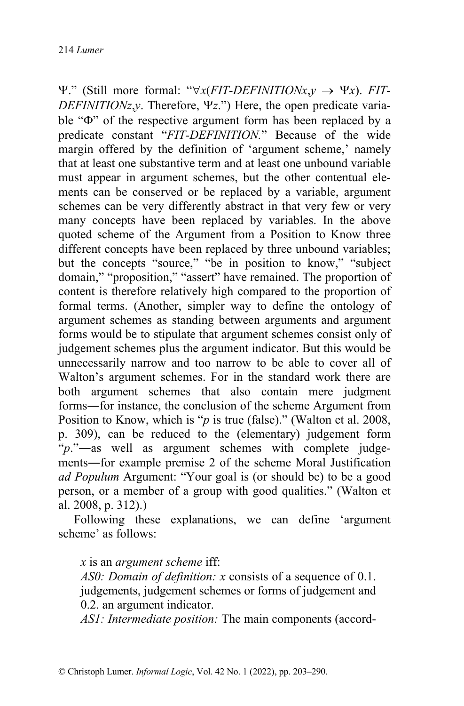$\Psi$ ." (Still more formal: " $\forall x(FIT-DEFINITIONx,y \rightarrow \Psi x)$ . *FIT-DEFINITIONz,y.* Therefore,  $\Psi z$ .") Here, the open predicate variable " $\Phi$ " of the respective argument form has been replaced by a predicate constant "*FIT-DEFINITION.*" Because of the wide margin offered by the definition of 'argument scheme,' namely that at least one substantive term and at least one unbound variable must appear in argument schemes, but the other contentual elements can be conserved or be replaced by a variable, argument schemes can be very differently abstract in that very few or very many concepts have been replaced by variables. In the above quoted scheme of the Argument from a Position to Know three different concepts have been replaced by three unbound variables; but the concepts "source," "be in position to know," "subject domain," "proposition," "assert" have remained. The proportion of content is therefore relatively high compared to the proportion of formal terms. (Another, simpler way to define the ontology of argument schemes as standing between arguments and argument forms would be to stipulate that argument schemes consist only of judgement schemes plus the argument indicator. But this would be unnecessarily narrow and too narrow to be able to cover all of Walton's argument schemes. For in the standard work there are both argument schemes that also contain mere judgment forms―for instance, the conclusion of the scheme Argument from Position to Know, which is "*p* is true (false)." (Walton et al. 2008, p. 309), can be reduced to the (elementary) judgement form "*p*."—as well as argument schemes with complete judgements―for example premise 2 of the scheme Moral Justification *ad Populum* Argument: "Your goal is (or should be) to be a good person, or a member of a group with good qualities." (Walton et al. 2008, p. 312).)

 Following these explanations, we can define 'argument scheme' as follows:

*x* is an *argument scheme* iff:

*AS0: Domain of definition: x* consists of a sequence of 0.1. judgements, judgement schemes or forms of judgement and 0.2. an argument indicator.

*AS1: Intermediate position:* The main components (accord-

© Christoph Lumer. *Informal Logic*, Vol. 42 No. 1 (2022), pp. 203–290.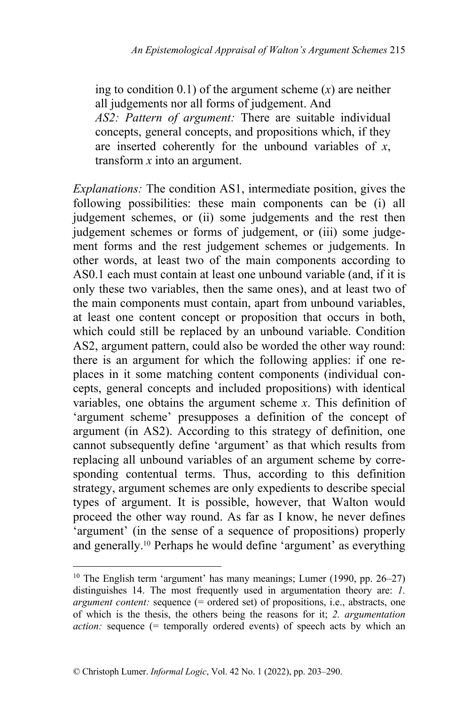ing to condition 0.1) of the argument scheme (*x*) are neither all judgements nor all forms of judgement. And *AS2: Pattern of argument:* There are suitable individual concepts, general concepts, and propositions which, if they are inserted coherently for the unbound variables of *x*, transform *x* into an argument.

*Explanations:* The condition AS1, intermediate position, gives the following possibilities: these main components can be (i) all judgement schemes, or (ii) some judgements and the rest then judgement schemes or forms of judgement, or (iii) some judgement forms and the rest judgement schemes or judgements. In other words, at least two of the main components according to AS0.1 each must contain at least one unbound variable (and, if it is only these two variables, then the same ones), and at least two of the main components must contain, apart from unbound variables, at least one content concept or proposition that occurs in both, which could still be replaced by an unbound variable. Condition AS2, argument pattern, could also be worded the other way round: there is an argument for which the following applies: if one replaces in it some matching content components (individual concepts, general concepts and included propositions) with identical variables, one obtains the argument scheme *x*. This definition of 'argument scheme' presupposes a definition of the concept of argument (in AS2). According to this strategy of definition, one cannot subsequently define 'argument' as that which results from replacing all unbound variables of an argument scheme by corresponding contentual terms. Thus, according to this definition strategy, argument schemes are only expedients to describe special types of argument. It is possible, however, that Walton would proceed the other way round. As far as I know, he never defines 'argument' (in the sense of a sequence of propositions) properly and generally.<sup>10</sup> Perhaps he would define 'argument' as everything

<sup>&</sup>lt;sup>10</sup> The English term 'argument' has many meanings; Lumer (1990, pp. 26–27) distinguishes 14. The most frequently used in argumentation theory are: *1. argument content:* sequence (= ordered set) of propositions, i.e., abstracts, one of which is the thesis, the others being the reasons for it; *2. argumentation action:* sequence (= temporally ordered events) of speech acts by which an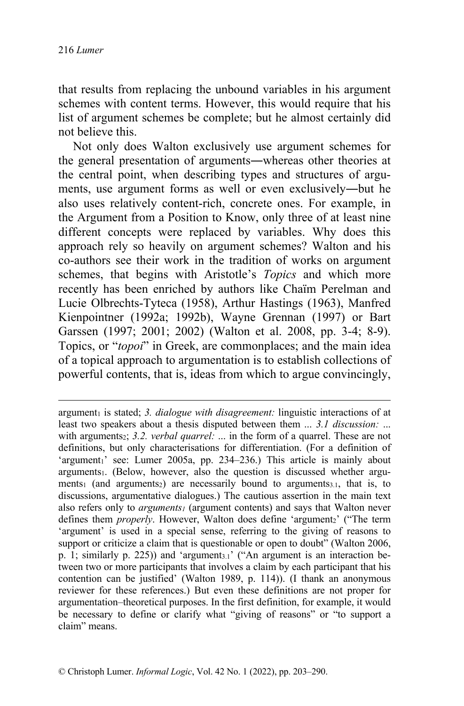that results from replacing the unbound variables in his argument schemes with content terms. However, this would require that his list of argument schemes be complete; but he almost certainly did not believe this.

Not only does Walton exclusively use argument schemes for the general presentation of arguments―whereas other theories at the central point, when describing types and structures of arguments, use argument forms as well or even exclusively―but he also uses relatively content-rich, concrete ones. For example, in the Argument from a Position to Know, only three of at least nine different concepts were replaced by variables. Why does this approach rely so heavily on argument schemes? Walton and his co-authors see their work in the tradition of works on argument schemes, that begins with Aristotle's *Topics* and which more recently has been enriched by authors like Chaïm Perelman and Lucie Olbrechts-Tyteca (1958), Arthur Hastings (1963), Manfred Kienpointner (1992a; 1992b), Wayne Grennan (1997) or Bart Garssen (1997; 2001; 2002) (Walton et al. 2008, pp. 3-4; 8-9). Topics, or "*topoi*" in Greek, are commonplaces; and the main idea of a topical approach to argumentation is to establish collections of powerful contents, that is, ideas from which to argue convincingly,

argument<sub>1</sub> is stated; 3. *dialogue with disagreement:* linguistic interactions of at least two speakers about a thesis disputed between them ... *3.1 discussion:* ... with arguments<sub>2</sub>; 3.2. verbal quarrel: ... in the form of a quarrel. These are not definitions, but only characterisations for differentiation. (For a definition of 'argument<sub>1</sub>' see: Lumer 2005a, pp. 234–236.) This article is mainly about arguments1. (Below, however, also the question is discussed whether arguments<sub>1</sub> (and arguments<sub>2</sub>) are necessarily bound to arguments<sub>3.1</sub>, that is, to discussions, argumentative dialogues.) The cautious assertion in the main text also refers only to *arguments1* (argument contents) and says that Walton never defines them *properly*. However, Walton does define 'argument<sub>2</sub>' ("The term 'argument' is used in a special sense, referring to the giving of reasons to support or criticize a claim that is questionable or open to doubt" (Walton 2006, p. 1; similarly p. 225)) and 'argument<sub>3.1</sub>' ("An argument is an interaction between two or more participants that involves a claim by each participant that his contention can be justified' (Walton 1989, p. 114)). (I thank an anonymous reviewer for these references.) But even these definitions are not proper for argumentation–theoretical purposes. In the first definition, for example, it would be necessary to define or clarify what "giving of reasons" or "to support a claim" means.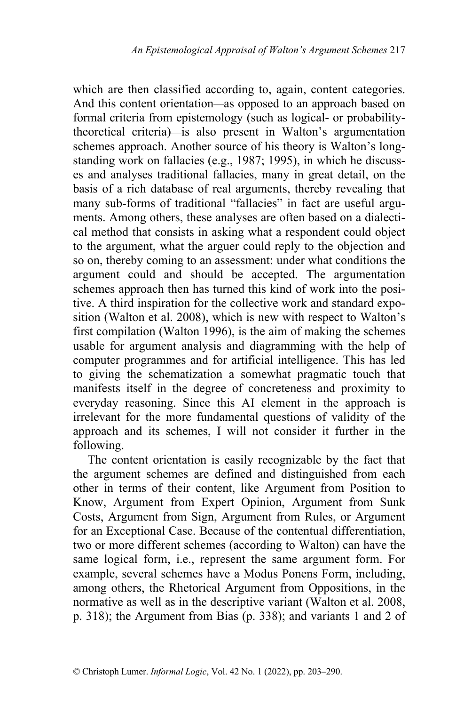which are then classified according to, again, content categories. And this content orientation—as opposed to an approach based on formal criteria from epistemology (such as logical- or probabilitytheoretical criteria)—is also present in Walton's argumentation schemes approach. Another source of his theory is Walton's longstanding work on fallacies (e.g., 1987; 1995), in which he discusses and analyses traditional fallacies, many in great detail, on the basis of a rich database of real arguments, thereby revealing that many sub-forms of traditional "fallacies" in fact are useful arguments. Among others, these analyses are often based on a dialectical method that consists in asking what a respondent could object to the argument, what the arguer could reply to the objection and so on, thereby coming to an assessment: under what conditions the argument could and should be accepted. The argumentation schemes approach then has turned this kind of work into the positive. A third inspiration for the collective work and standard exposition (Walton et al. 2008), which is new with respect to Walton's first compilation (Walton 1996), is the aim of making the schemes usable for argument analysis and diagramming with the help of computer programmes and for artificial intelligence. This has led to giving the schematization a somewhat pragmatic touch that manifests itself in the degree of concreteness and proximity to everyday reasoning. Since this AI element in the approach is irrelevant for the more fundamental questions of validity of the approach and its schemes, I will not consider it further in the following.

The content orientation is easily recognizable by the fact that the argument schemes are defined and distinguished from each other in terms of their content, like Argument from Position to Know, Argument from Expert Opinion, Argument from Sunk Costs, Argument from Sign, Argument from Rules, or Argument for an Exceptional Case. Because of the contentual differentiation, two or more different schemes (according to Walton) can have the same logical form, i.e., represent the same argument form. For example, several schemes have a Modus Ponens Form, including, among others, the Rhetorical Argument from Oppositions, in the normative as well as in the descriptive variant (Walton et al. 2008, p. 318); the Argument from Bias (p. 338); and variants 1 and 2 of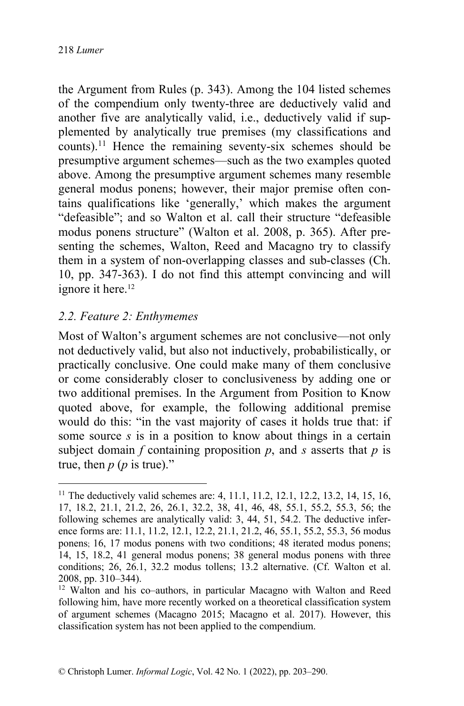the Argument from Rules (p. 343). Among the 104 listed schemes of the compendium only twenty-three are deductively valid and another five are analytically valid, i.e., deductively valid if supplemented by analytically true premises (my classifications and counts).11 Hence the remaining seventy-six schemes should be presumptive argument schemes—such as the two examples quoted above. Among the presumptive argument schemes many resemble general modus ponens; however, their major premise often contains qualifications like 'generally,' which makes the argument "defeasible"; and so Walton et al. call their structure "defeasible modus ponens structure" (Walton et al. 2008, p. 365). After presenting the schemes, Walton, Reed and Macagno try to classify them in a system of non-overlapping classes and sub-classes (Ch. 10, pp. 347-363). I do not find this attempt convincing and will ignore it here.<sup>12</sup>

### *2.2. Feature 2: Enthymemes*

Most of Walton's argument schemes are not conclusive—not only not deductively valid, but also not inductively, probabilistically, or practically conclusive. One could make many of them conclusive or come considerably closer to conclusiveness by adding one or two additional premises. In the Argument from Position to Know quoted above, for example, the following additional premise would do this: "in the vast majority of cases it holds true that: if some source *s* is in a position to know about things in a certain subject domain  $f$  containing proposition  $p$ , and  $s$  asserts that  $p$  is true, then  $p$  ( $p$  is true)."

<sup>&</sup>lt;sup>11</sup> The deductively valid schemes are: 4, 11.1, 11.2, 12.1, 12.2, 13.2, 14, 15, 16, 17, 18.2, 21.1, 21.2, 26, 26.1, 32.2, 38, 41, 46, 48, 55.1, 55.2, 55.3, 56; the following schemes are analytically valid: 3, 44, 51, 54.2. The deductive inference forms are: 11.1, 11.2, 12.1, 12.2, 21.1, 21.2, 46, 55.1, 55.2, 55.3, 56 modus ponens; 16, 17 modus ponens with two conditions; 48 iterated modus ponens; 14, 15, 18.2, 41 general modus ponens; 38 general modus ponens with three conditions; 26, 26.1, 32.2 modus tollens; 13.2 alternative. (Cf. Walton et al. 2008, pp. 310–344).

<sup>12</sup> Walton and his co–authors, in particular Macagno with Walton and Reed following him, have more recently worked on a theoretical classification system of argument schemes (Macagno 2015; Macagno et al. 2017). However, this classification system has not been applied to the compendium.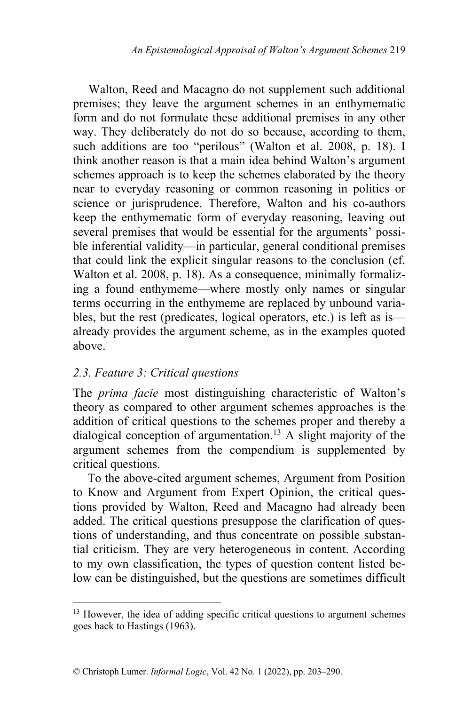Walton, Reed and Macagno do not supplement such additional premises; they leave the argument schemes in an enthymematic form and do not formulate these additional premises in any other way. They deliberately do not do so because, according to them, such additions are too "perilous" (Walton et al. 2008, p. 18). I think another reason is that a main idea behind Walton's argument schemes approach is to keep the schemes elaborated by the theory near to everyday reasoning or common reasoning in politics or science or jurisprudence. Therefore, Walton and his co-authors keep the enthymematic form of everyday reasoning, leaving out several premises that would be essential for the arguments' possible inferential validity—in particular, general conditional premises that could link the explicit singular reasons to the conclusion (cf. Walton et al. 2008, p. 18). As a consequence, minimally formalizing a found enthymeme—where mostly only names or singular terms occurring in the enthymeme are replaced by unbound variables, but the rest (predicates, logical operators, etc.) is left as is already provides the argument scheme, as in the examples quoted above.

#### *2.3. Feature 3: Critical questions*

The *prima facie* most distinguishing characteristic of Walton's theory as compared to other argument schemes approaches is the addition of critical questions to the schemes proper and thereby a dialogical conception of argumentation.<sup>13</sup> A slight majority of the argument schemes from the compendium is supplemented by critical questions.

To the above-cited argument schemes, Argument from Position to Know and Argument from Expert Opinion, the critical questions provided by Walton, Reed and Macagno had already been added. The critical questions presuppose the clarification of questions of understanding, and thus concentrate on possible substantial criticism. They are very heterogeneous in content. According to my own classification, the types of question content listed below can be distinguished, but the questions are sometimes difficult

<sup>&</sup>lt;sup>13</sup> However, the idea of adding specific critical questions to argument schemes goes back to Hastings (1963).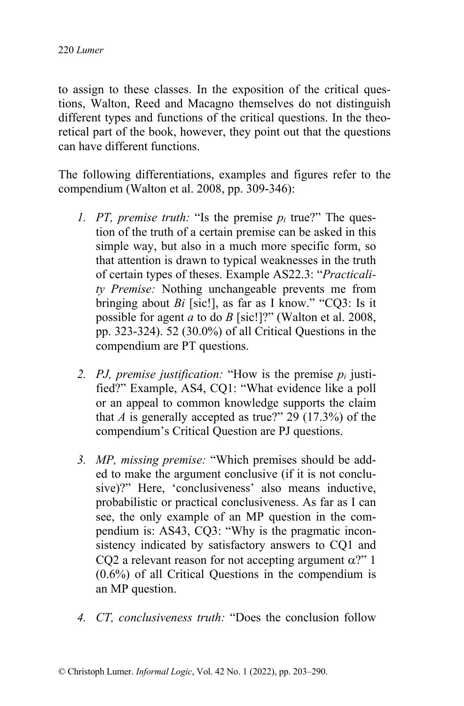to assign to these classes. In the exposition of the critical questions, Walton, Reed and Macagno themselves do not distinguish different types and functions of the critical questions. In the theoretical part of the book, however, they point out that the questions can have different functions.

The following differentiations, examples and figures refer to the compendium (Walton et al. 2008, pp. 309-346):

- *1. PT, premise truth:* "Is the premise *pi* true?" The question of the truth of a certain premise can be asked in this simple way, but also in a much more specific form, so that attention is drawn to typical weaknesses in the truth of certain types of theses. Example AS22.3: "*Practicality Premise:* Nothing unchangeable prevents me from bringing about *Bi* [sic!], as far as I know." "CQ3: Is it possible for agent *a* to do *B* [sic!]?" (Walton et al. 2008, pp. 323-324). 52 (30.0%) of all Critical Questions in the compendium are PT questions.
- *2. PJ, premise justification:* "How is the premise *pi* justified?" Example, AS4, CQ1: "What evidence like a poll or an appeal to common knowledge supports the claim that *A* is generally accepted as true?" 29 (17.3%) of the compendium's Critical Question are PJ questions.
- *3. MP, missing premise:* "Which premises should be added to make the argument conclusive (if it is not conclusive)?" Here, 'conclusiveness' also means inductive, probabilistic or practical conclusiveness. As far as I can see, the only example of an MP question in the compendium is: AS43, CQ3: "Why is the pragmatic inconsistency indicated by satisfactory answers to CQ1 and CQ2 a relevant reason for not accepting argument  $\alpha$ ?" 1 (0.6%) of all Critical Questions in the compendium is an MP question.
- *4. CT, conclusiveness truth:* "Does the conclusion follow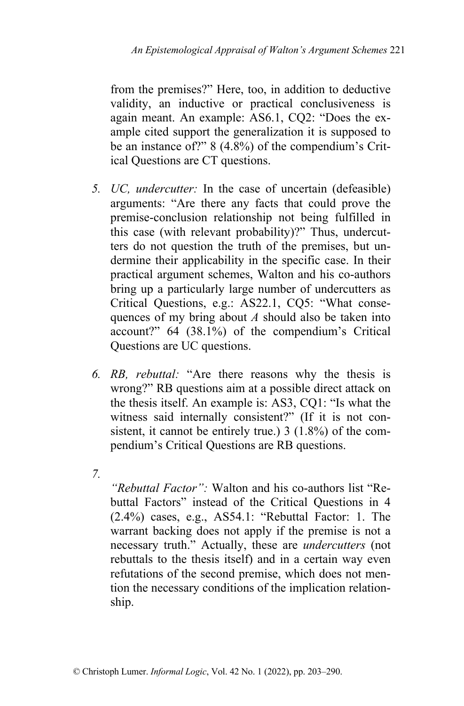from the premises?" Here, too, in addition to deductive validity, an inductive or practical conclusiveness is again meant. An example: AS6.1, CQ2: "Does the example cited support the generalization it is supposed to be an instance of?" 8 (4.8%) of the compendium's Critical Questions are CT questions.

- *5. UC, undercutter:* In the case of uncertain (defeasible) arguments: "Are there any facts that could prove the premise-conclusion relationship not being fulfilled in this case (with relevant probability)?" Thus, undercutters do not question the truth of the premises, but undermine their applicability in the specific case. In their practical argument schemes, Walton and his co-authors bring up a particularly large number of undercutters as Critical Questions, e.g.: AS22.1, CQ5: "What consequences of my bring about *A* should also be taken into account?" 64 (38.1%) of the compendium's Critical Questions are UC questions.
- *6. RB, rebuttal:* "Are there reasons why the thesis is wrong?" RB questions aim at a possible direct attack on the thesis itself. An example is: AS3, CQ1: "Is what the witness said internally consistent?" (If it is not consistent, it cannot be entirely true.) 3 (1.8%) of the compendium's Critical Questions are RB questions.
- *7.*

*"Rebuttal Factor":* Walton and his co-authors list "Rebuttal Factors" instead of the Critical Questions in 4 (2.4%) cases, e.g., AS54.1: "Rebuttal Factor: 1. The warrant backing does not apply if the premise is not a necessary truth." Actually, these are *undercutters* (not rebuttals to the thesis itself) and in a certain way even refutations of the second premise, which does not mention the necessary conditions of the implication relationship.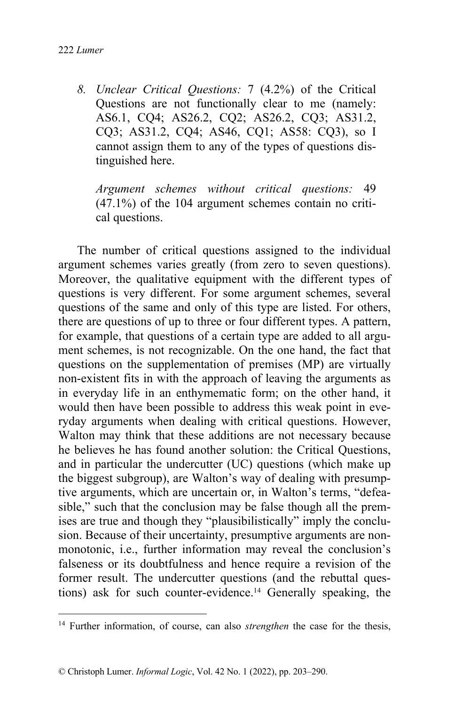*8. Unclear Critical Questions:* 7 (4.2%) of the Critical Questions are not functionally clear to me (namely: AS6.1, CQ4; AS26.2, CQ2; AS26.2, CQ3; AS31.2, CQ3; AS31.2, CQ4; AS46, CQ1; AS58: CQ3), so I cannot assign them to any of the types of questions distinguished here.

*Argument schemes without critical questions:* 49 (47.1%) of the 104 argument schemes contain no critical questions.

The number of critical questions assigned to the individual argument schemes varies greatly (from zero to seven questions). Moreover, the qualitative equipment with the different types of questions is very different. For some argument schemes, several questions of the same and only of this type are listed. For others, there are questions of up to three or four different types. A pattern, for example, that questions of a certain type are added to all argument schemes, is not recognizable. On the one hand, the fact that questions on the supplementation of premises (MP) are virtually non-existent fits in with the approach of leaving the arguments as in everyday life in an enthymematic form; on the other hand, it would then have been possible to address this weak point in everyday arguments when dealing with critical questions. However, Walton may think that these additions are not necessary because he believes he has found another solution: the Critical Questions, and in particular the undercutter (UC) questions (which make up the biggest subgroup), are Walton's way of dealing with presumptive arguments, which are uncertain or, in Walton's terms, "defeasible," such that the conclusion may be false though all the premises are true and though they "plausibilistically" imply the conclusion. Because of their uncertainty, presumptive arguments are nonmonotonic, i.e., further information may reveal the conclusion's falseness or its doubtfulness and hence require a revision of the former result. The undercutter questions (and the rebuttal questions) ask for such counter-evidence.<sup>14</sup> Generally speaking, the

<sup>14</sup> Further information, of course, can also *strengthen* the case for the thesis,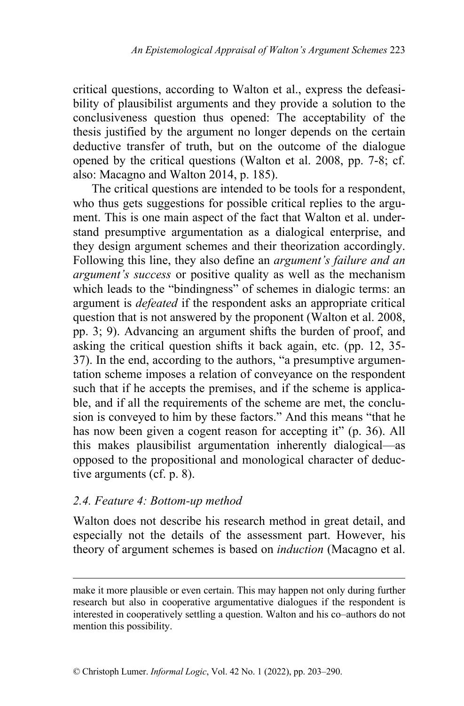critical questions, according to Walton et al., express the defeasibility of plausibilist arguments and they provide a solution to the conclusiveness question thus opened: The acceptability of the thesis justified by the argument no longer depends on the certain deductive transfer of truth, but on the outcome of the dialogue opened by the critical questions (Walton et al. 2008, pp. 7-8; cf. also: Macagno and Walton 2014, p. 185).

The critical questions are intended to be tools for a respondent, who thus gets suggestions for possible critical replies to the argument. This is one main aspect of the fact that Walton et al. understand presumptive argumentation as a dialogical enterprise, and they design argument schemes and their theorization accordingly. Following this line, they also define an *argument's failure and an argument's success* or positive quality as well as the mechanism which leads to the "bindingness" of schemes in dialogic terms: an argument is *defeated* if the respondent asks an appropriate critical question that is not answered by the proponent (Walton et al. 2008, pp. 3; 9). Advancing an argument shifts the burden of proof, and asking the critical question shifts it back again, etc. (pp. 12, 35- 37). In the end, according to the authors, "a presumptive argumentation scheme imposes a relation of conveyance on the respondent such that if he accepts the premises, and if the scheme is applicable, and if all the requirements of the scheme are met, the conclusion is conveyed to him by these factors." And this means "that he has now been given a cogent reason for accepting it" (p. 36). All this makes plausibilist argumentation inherently dialogical—as opposed to the propositional and monological character of deductive arguments (cf. p. 8).

#### *2.4. Feature 4: Bottom-up method*

Walton does not describe his research method in great detail, and especially not the details of the assessment part. However, his theory of argument schemes is based on *induction* (Macagno et al.

make it more plausible or even certain. This may happen not only during further research but also in cooperative argumentative dialogues if the respondent is interested in cooperatively settling a question. Walton and his co–authors do not mention this possibility.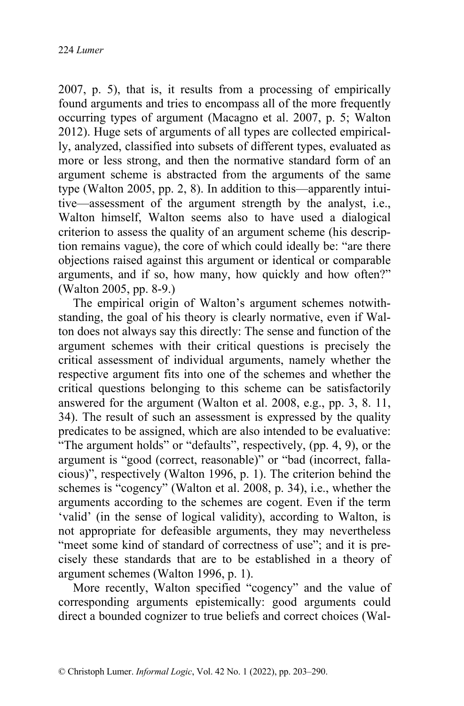2007, p. 5), that is, it results from a processing of empirically found arguments and tries to encompass all of the more frequently occurring types of argument (Macagno et al. 2007, p. 5; Walton 2012). Huge sets of arguments of all types are collected empirically, analyzed, classified into subsets of different types, evaluated as more or less strong, and then the normative standard form of an argument scheme is abstracted from the arguments of the same type (Walton 2005, pp. 2, 8). In addition to this—apparently intuitive—assessment of the argument strength by the analyst, i.e., Walton himself, Walton seems also to have used a dialogical criterion to assess the quality of an argument scheme (his description remains vague), the core of which could ideally be: "are there objections raised against this argument or identical or comparable arguments, and if so, how many, how quickly and how often?" (Walton 2005, pp. 8-9.)

The empirical origin of Walton's argument schemes notwithstanding, the goal of his theory is clearly normative, even if Walton does not always say this directly: The sense and function of the argument schemes with their critical questions is precisely the critical assessment of individual arguments, namely whether the respective argument fits into one of the schemes and whether the critical questions belonging to this scheme can be satisfactorily answered for the argument (Walton et al. 2008, e.g., pp. 3, 8. 11, 34). The result of such an assessment is expressed by the quality predicates to be assigned, which are also intended to be evaluative: "The argument holds" or "defaults", respectively, (pp. 4, 9), or the argument is "good (correct, reasonable)" or "bad (incorrect, fallacious)", respectively (Walton 1996, p. 1). The criterion behind the schemes is "cogency" (Walton et al. 2008, p. 34), i.e., whether the arguments according to the schemes are cogent. Even if the term 'valid' (in the sense of logical validity), according to Walton, is not appropriate for defeasible arguments, they may nevertheless "meet some kind of standard of correctness of use"; and it is precisely these standards that are to be established in a theory of argument schemes (Walton 1996, p. 1).

More recently, Walton specified "cogency" and the value of corresponding arguments epistemically: good arguments could direct a bounded cognizer to true beliefs and correct choices (Wal-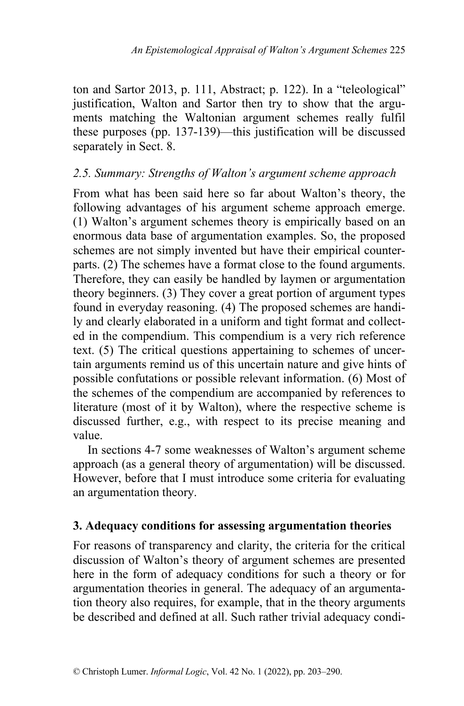ton and Sartor 2013, p. 111, Abstract; p. 122). In a "teleological" justification, Walton and Sartor then try to show that the arguments matching the Waltonian argument schemes really fulfil these purposes (pp. 137-139)—this justification will be discussed separately in Sect. 8.

#### *2.5. Summary: Strengths of Walton's argument scheme approach*

From what has been said here so far about Walton's theory, the following advantages of his argument scheme approach emerge. (1) Walton's argument schemes theory is empirically based on an enormous data base of argumentation examples. So, the proposed schemes are not simply invented but have their empirical counterparts. (2) The schemes have a format close to the found arguments. Therefore, they can easily be handled by laymen or argumentation theory beginners. (3) They cover a great portion of argument types found in everyday reasoning. (4) The proposed schemes are handily and clearly elaborated in a uniform and tight format and collected in the compendium. This compendium is a very rich reference text. (5) The critical questions appertaining to schemes of uncertain arguments remind us of this uncertain nature and give hints of possible confutations or possible relevant information. (6) Most of the schemes of the compendium are accompanied by references to literature (most of it by Walton), where the respective scheme is discussed further, e.g., with respect to its precise meaning and value.

In sections 4-7 some weaknesses of Walton's argument scheme approach (as a general theory of argumentation) will be discussed. However, before that I must introduce some criteria for evaluating an argumentation theory.

### **3. Adequacy conditions for assessing argumentation theories**

For reasons of transparency and clarity, the criteria for the critical discussion of Walton's theory of argument schemes are presented here in the form of adequacy conditions for such a theory or for argumentation theories in general. The adequacy of an argumentation theory also requires, for example, that in the theory arguments be described and defined at all. Such rather trivial adequacy condi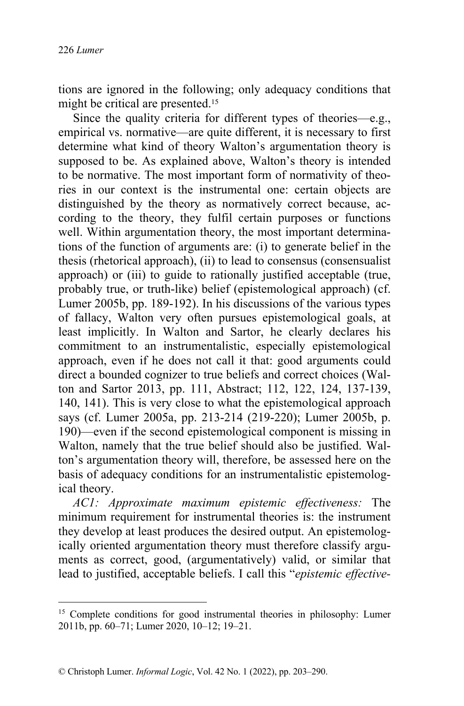tions are ignored in the following; only adequacy conditions that might be critical are presented.<sup>15</sup>

Since the quality criteria for different types of theories—e.g., empirical vs. normative—are quite different, it is necessary to first determine what kind of theory Walton's argumentation theory is supposed to be. As explained above, Walton's theory is intended to be normative. The most important form of normativity of theories in our context is the instrumental one: certain objects are distinguished by the theory as normatively correct because, according to the theory, they fulfil certain purposes or functions well. Within argumentation theory, the most important determinations of the function of arguments are: (i) to generate belief in the thesis (rhetorical approach), (ii) to lead to consensus (consensualist approach) or (iii) to guide to rationally justified acceptable (true, probably true, or truth-like) belief (epistemological approach) (cf. Lumer 2005b, pp. 189-192). In his discussions of the various types of fallacy, Walton very often pursues epistemological goals, at least implicitly. In Walton and Sartor, he clearly declares his commitment to an instrumentalistic, especially epistemological approach, even if he does not call it that: good arguments could direct a bounded cognizer to true beliefs and correct choices (Walton and Sartor 2013, pp. 111, Abstract; 112, 122, 124, 137-139, 140, 141). This is very close to what the epistemological approach says (cf. Lumer 2005a, pp. 213-214 (219-220); Lumer 2005b, p. 190)—even if the second epistemological component is missing in Walton, namely that the true belief should also be justified. Walton's argumentation theory will, therefore, be assessed here on the basis of adequacy conditions for an instrumentalistic epistemological theory.

*AC1: Approximate maximum epistemic effectiveness:* The minimum requirement for instrumental theories is: the instrument they develop at least produces the desired output. An epistemologically oriented argumentation theory must therefore classify arguments as correct, good, (argumentatively) valid, or similar that lead to justified, acceptable beliefs. I call this "*epistemic effective-*

<sup>&</sup>lt;sup>15</sup> Complete conditions for good instrumental theories in philosophy: Lumer 2011b, pp. 60–71; Lumer 2020, 10–12; 19–21.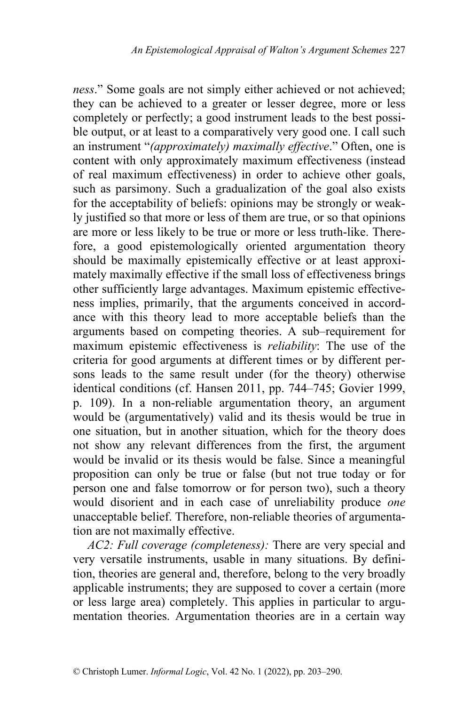*ness*." Some goals are not simply either achieved or not achieved; they can be achieved to a greater or lesser degree, more or less completely or perfectly; a good instrument leads to the best possible output, or at least to a comparatively very good one. I call such an instrument "*(approximately) maximally effective*." Often, one is content with only approximately maximum effectiveness (instead of real maximum effectiveness) in order to achieve other goals, such as parsimony. Such a gradualization of the goal also exists for the acceptability of beliefs: opinions may be strongly or weakly justified so that more or less of them are true, or so that opinions are more or less likely to be true or more or less truth-like. Therefore, a good epistemologically oriented argumentation theory should be maximally epistemically effective or at least approximately maximally effective if the small loss of effectiveness brings other sufficiently large advantages. Maximum epistemic effectiveness implies, primarily, that the arguments conceived in accordance with this theory lead to more acceptable beliefs than the arguments based on competing theories. A sub–requirement for maximum epistemic effectiveness is *reliability*: The use of the criteria for good arguments at different times or by different persons leads to the same result under (for the theory) otherwise identical conditions (cf. Hansen 2011, pp. 744–745; Govier 1999, p. 109). In a non-reliable argumentation theory, an argument would be (argumentatively) valid and its thesis would be true in one situation, but in another situation, which for the theory does not show any relevant differences from the first, the argument would be invalid or its thesis would be false. Since a meaningful proposition can only be true or false (but not true today or for person one and false tomorrow or for person two), such a theory would disorient and in each case of unreliability produce *one*  unacceptable belief. Therefore, non-reliable theories of argumentation are not maximally effective.

*AC2: Full coverage (completeness):* There are very special and very versatile instruments, usable in many situations. By definition, theories are general and, therefore, belong to the very broadly applicable instruments; they are supposed to cover a certain (more or less large area) completely. This applies in particular to argumentation theories. Argumentation theories are in a certain way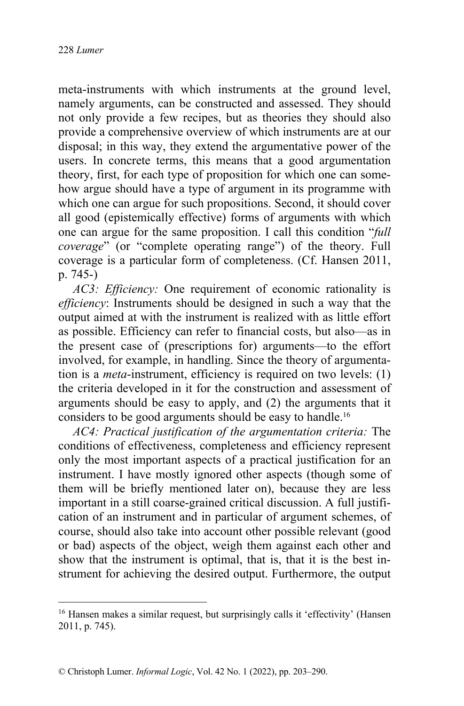meta-instruments with which instruments at the ground level, namely arguments, can be constructed and assessed. They should not only provide a few recipes, but as theories they should also provide a comprehensive overview of which instruments are at our disposal; in this way, they extend the argumentative power of the users. In concrete terms, this means that a good argumentation theory, first, for each type of proposition for which one can somehow argue should have a type of argument in its programme with which one can argue for such propositions. Second, it should cover all good (epistemically effective) forms of arguments with which one can argue for the same proposition. I call this condition "*full coverage*" (or "complete operating range") of the theory. Full coverage is a particular form of completeness. (Cf. Hansen 2011, p. 745-)

*AC3: Efficiency:* One requirement of economic rationality is *efficiency*: Instruments should be designed in such a way that the output aimed at with the instrument is realized with as little effort as possible. Efficiency can refer to financial costs, but also—as in the present case of (prescriptions for) arguments—to the effort involved, for example, in handling. Since the theory of argumentation is a *meta*-instrument, efficiency is required on two levels: (1) the criteria developed in it for the construction and assessment of arguments should be easy to apply, and (2) the arguments that it considers to be good arguments should be easy to handle.<sup>16</sup>

*AC4: Practical justification of the argumentation criteria:* The conditions of effectiveness, completeness and efficiency represent only the most important aspects of a practical justification for an instrument. I have mostly ignored other aspects (though some of them will be briefly mentioned later on), because they are less important in a still coarse-grained critical discussion. A full justification of an instrument and in particular of argument schemes, of course, should also take into account other possible relevant (good or bad) aspects of the object, weigh them against each other and show that the instrument is optimal, that is, that it is the best instrument for achieving the desired output. Furthermore, the output

<sup>&</sup>lt;sup>16</sup> Hansen makes a similar request, but surprisingly calls it 'effectivity' (Hansen 2011, p. 745).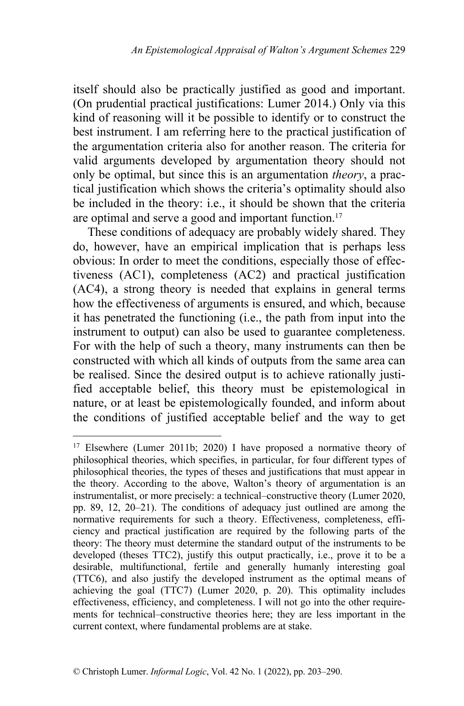itself should also be practically justified as good and important. (On prudential practical justifications: Lumer 2014.) Only via this kind of reasoning will it be possible to identify or to construct the best instrument. I am referring here to the practical justification of the argumentation criteria also for another reason. The criteria for valid arguments developed by argumentation theory should not only be optimal, but since this is an argumentation *theory*, a practical justification which shows the criteria's optimality should also be included in the theory: i.e., it should be shown that the criteria are optimal and serve a good and important function.<sup>17</sup>

These conditions of adequacy are probably widely shared. They do, however, have an empirical implication that is perhaps less obvious: In order to meet the conditions, especially those of effectiveness (AC1), completeness (AC2) and practical justification (AC4), a strong theory is needed that explains in general terms how the effectiveness of arguments is ensured, and which, because it has penetrated the functioning (i.e., the path from input into the instrument to output) can also be used to guarantee completeness. For with the help of such a theory, many instruments can then be constructed with which all kinds of outputs from the same area can be realised. Since the desired output is to achieve rationally justified acceptable belief, this theory must be epistemological in nature, or at least be epistemologically founded, and inform about the conditions of justified acceptable belief and the way to get

<sup>&</sup>lt;sup>17</sup> Elsewhere (Lumer 2011b; 2020) I have proposed a normative theory of philosophical theories, which specifies, in particular, for four different types of philosophical theories, the types of theses and justifications that must appear in the theory. According to the above, Walton's theory of argumentation is an instrumentalist, or more precisely: a technical–constructive theory (Lumer 2020, pp. 89, 12, 20–21). The conditions of adequacy just outlined are among the normative requirements for such a theory. Effectiveness, completeness, efficiency and practical justification are required by the following parts of the theory: The theory must determine the standard output of the instruments to be developed (theses TTC2), justify this output practically, i.e., prove it to be a desirable, multifunctional, fertile and generally humanly interesting goal (TTC6), and also justify the developed instrument as the optimal means of achieving the goal (TTC7) (Lumer 2020, p. 20). This optimality includes effectiveness, efficiency, and completeness. I will not go into the other requirements for technical–constructive theories here; they are less important in the current context, where fundamental problems are at stake.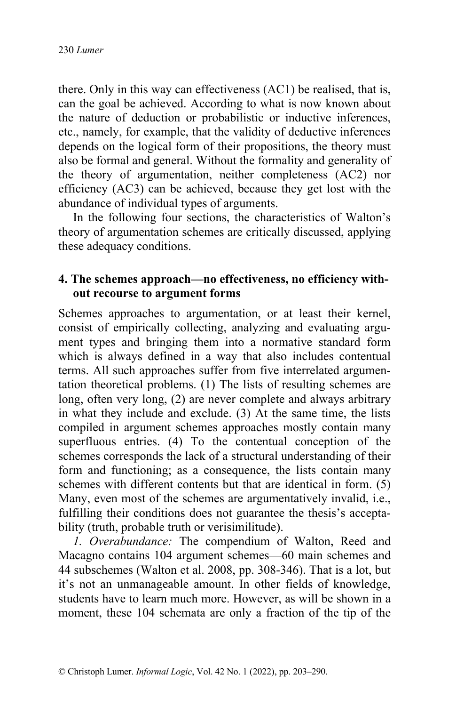there. Only in this way can effectiveness (AC1) be realised, that is, can the goal be achieved. According to what is now known about the nature of deduction or probabilistic or inductive inferences, etc., namely, for example, that the validity of deductive inferences depends on the logical form of their propositions, the theory must also be formal and general. Without the formality and generality of the theory of argumentation, neither completeness (AC2) nor efficiency (AC3) can be achieved, because they get lost with the abundance of individual types of arguments.

In the following four sections, the characteristics of Walton's theory of argumentation schemes are critically discussed, applying these adequacy conditions.

### **4. The schemes approach—no effectiveness, no efficiency without recourse to argument forms**

Schemes approaches to argumentation, or at least their kernel, consist of empirically collecting, analyzing and evaluating argument types and bringing them into a normative standard form which is always defined in a way that also includes contentual terms. All such approaches suffer from five interrelated argumentation theoretical problems. (1) The lists of resulting schemes are long, often very long, (2) are never complete and always arbitrary in what they include and exclude. (3) At the same time, the lists compiled in argument schemes approaches mostly contain many superfluous entries. (4) To the contentual conception of the schemes corresponds the lack of a structural understanding of their form and functioning; as a consequence, the lists contain many schemes with different contents but that are identical in form. (5) Many, even most of the schemes are argumentatively invalid, i.e., fulfilling their conditions does not guarantee the thesis's acceptability (truth, probable truth or verisimilitude).

*1. Overabundance:* The compendium of Walton, Reed and Macagno contains 104 argument schemes—60 main schemes and 44 subschemes (Walton et al. 2008, pp. 308-346). That is a lot, but it's not an unmanageable amount. In other fields of knowledge, students have to learn much more. However, as will be shown in a moment, these 104 schemata are only a fraction of the tip of the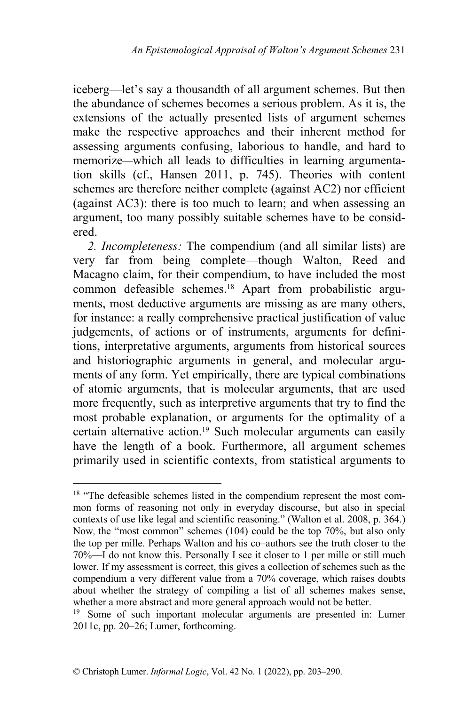iceberg—let's say a thousandth of all argument schemes. But then the abundance of schemes becomes a serious problem. As it is, the extensions of the actually presented lists of argument schemes make the respective approaches and their inherent method for assessing arguments confusing, laborious to handle, and hard to memorize—which all leads to difficulties in learning argumentation skills (cf., Hansen 2011, p. 745). Theories with content schemes are therefore neither complete (against AC2) nor efficient (against AC3): there is too much to learn; and when assessing an argument, too many possibly suitable schemes have to be considered.

*2. Incompleteness:* The compendium (and all similar lists) are very far from being complete—though Walton, Reed and Macagno claim, for their compendium, to have included the most common defeasible schemes. <sup>18</sup> Apart from probabilistic arguments, most deductive arguments are missing as are many others, for instance: a really comprehensive practical justification of value judgements, of actions or of instruments, arguments for definitions, interpretative arguments, arguments from historical sources and historiographic arguments in general, and molecular arguments of any form. Yet empirically, there are typical combinations of atomic arguments, that is molecular arguments, that are used more frequently, such as interpretive arguments that try to find the most probable explanation, or arguments for the optimality of a certain alternative action.<sup>19</sup> Such molecular arguments can easily have the length of a book. Furthermore, all argument schemes primarily used in scientific contexts, from statistical arguments to

 $18$  "The defeasible schemes listed in the compendium represent the most common forms of reasoning not only in everyday discourse, but also in special contexts of use like legal and scientific reasoning." (Walton et al. 2008, p. 364.) Now, the "most common" schemes (104) could be the top 70%, but also only the top per mille. Perhaps Walton and his co–authors see the truth closer to the 70%—I do not know this. Personally I see it closer to 1 per mille or still much lower. If my assessment is correct, this gives a collection of schemes such as the compendium a very different value from a 70% coverage, which raises doubts about whether the strategy of compiling a list of all schemes makes sense, whether a more abstract and more general approach would not be better.

<sup>&</sup>lt;sup>19</sup> Some of such important molecular arguments are presented in: Lumer 2011c, pp. 20–26; Lumer, forthcoming.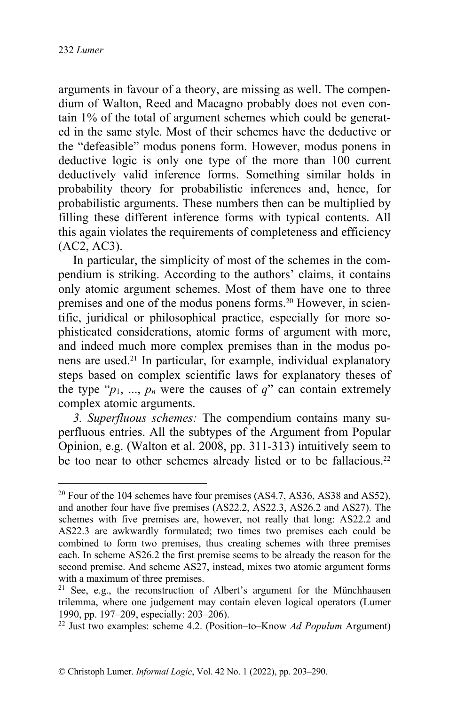arguments in favour of a theory, are missing as well. The compendium of Walton, Reed and Macagno probably does not even contain 1% of the total of argument schemes which could be generated in the same style. Most of their schemes have the deductive or the "defeasible" modus ponens form. However, modus ponens in deductive logic is only one type of the more than 100 current deductively valid inference forms. Something similar holds in probability theory for probabilistic inferences and, hence, for probabilistic arguments. These numbers then can be multiplied by filling these different inference forms with typical contents. All this again violates the requirements of completeness and efficiency (AC2, AC3).

In particular, the simplicity of most of the schemes in the compendium is striking. According to the authors' claims, it contains only atomic argument schemes. Most of them have one to three premises and one of the modus ponens forms.<sup>20</sup> However, in scientific, juridical or philosophical practice, especially for more sophisticated considerations, atomic forms of argument with more, and indeed much more complex premises than in the modus ponens are used.<sup>21</sup> In particular, for example, individual explanatory steps based on complex scientific laws for explanatory theses of the type " $p_1$ , ...,  $p_n$  were the causes of  $q$ " can contain extremely complex atomic arguments.

*3. Superfluous schemes:* The compendium contains many superfluous entries. All the subtypes of the Argument from Popular Opinion, e.g. (Walton et al. 2008, pp. 311-313) intuitively seem to be too near to other schemes already listed or to be fallacious.<sup>22</sup>

 $20$  Four of the 104 schemes have four premises (AS4.7, AS36, AS38 and AS52), and another four have five premises (AS22.2, AS22.3, AS26.2 and AS27). The schemes with five premises are, however, not really that long: AS22.2 and AS22.3 are awkwardly formulated; two times two premises each could be combined to form two premises, thus creating schemes with three premises each. In scheme AS26.2 the first premise seems to be already the reason for the second premise. And scheme AS27, instead, mixes two atomic argument forms with a maximum of three premises.

<sup>&</sup>lt;sup>21</sup> See, e.g., the reconstruction of Albert's argument for the Münchhausen trilemma, where one judgement may contain eleven logical operators (Lumer 1990, pp. 197–209, especially: 203–206).

<sup>22</sup> Just two examples: scheme 4.2. (Position–to–Know *Ad Populum* Argument)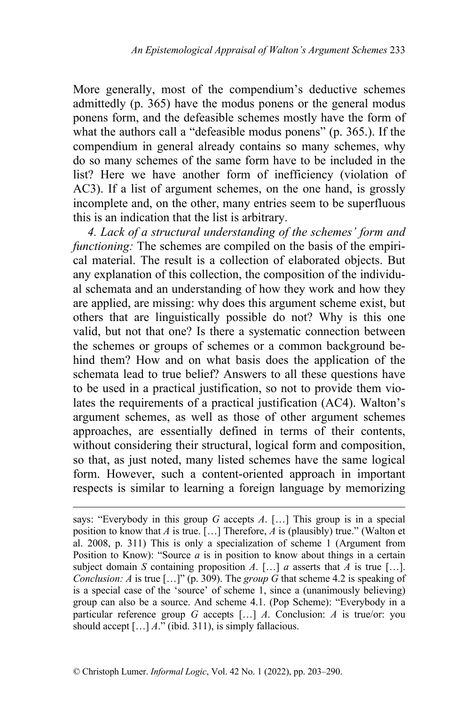More generally, most of the compendium's deductive schemes admittedly (p. 365) have the modus ponens or the general modus ponens form, and the defeasible schemes mostly have the form of what the authors call a "defeasible modus ponens" (p. 365.). If the compendium in general already contains so many schemes, why do so many schemes of the same form have to be included in the list? Here we have another form of inefficiency (violation of AC3). If a list of argument schemes, on the one hand, is grossly incomplete and, on the other, many entries seem to be superfluous this is an indication that the list is arbitrary.

*4. Lack of a structural understanding of the schemes' form and functioning:* The schemes are compiled on the basis of the empirical material. The result is a collection of elaborated objects. But any explanation of this collection, the composition of the individual schemata and an understanding of how they work and how they are applied, are missing: why does this argument scheme exist, but others that are linguistically possible do not? Why is this one valid, but not that one? Is there a systematic connection between the schemes or groups of schemes or a common background behind them? How and on what basis does the application of the schemata lead to true belief? Answers to all these questions have to be used in a practical justification, so not to provide them violates the requirements of a practical justification (AC4). Walton's argument schemes, as well as those of other argument schemes approaches, are essentially defined in terms of their contents, without considering their structural, logical form and composition, so that, as just noted, many listed schemes have the same logical form. However, such a content-oriented approach in important respects is similar to learning a foreign language by memorizing

says: "Everybody in this group *G* accepts *A*. […] This group is in a special position to know that *A* is true. […] Therefore, *A* is (plausibly) true." (Walton et al. 2008, p. 311) This is only a specialization of scheme 1 (Argument from Position to Know): "Source *a* is in position to know about things in a certain subject domain *S* containing proposition *A*. [...] *a* asserts that *A* is true [...]. *Conclusion: A* is true [...]" (p. 309). The *group*  $\overline{G}$  that scheme 4.2 is speaking of is a special case of the 'source' of scheme 1, since a (unanimously believing) group can also be a source. And scheme 4.1. (Pop Scheme): "Everybody in a particular reference group *G* accepts […] *A*. Conclusion: *A* is true/or: you should accept […] *A*." (ibid. 311), is simply fallacious.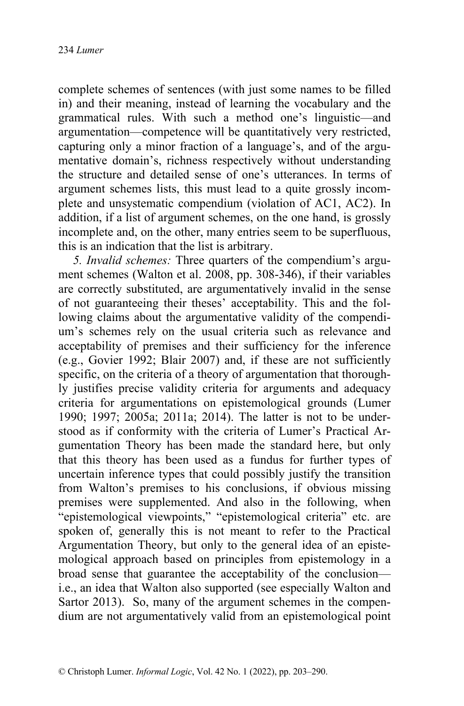complete schemes of sentences (with just some names to be filled in) and their meaning, instead of learning the vocabulary and the grammatical rules. With such a method one's linguistic—and argumentation—competence will be quantitatively very restricted, capturing only a minor fraction of a language's, and of the argumentative domain's, richness respectively without understanding the structure and detailed sense of one's utterances. In terms of argument schemes lists, this must lead to a quite grossly incomplete and unsystematic compendium (violation of AC1, AC2). In addition, if a list of argument schemes, on the one hand, is grossly incomplete and, on the other, many entries seem to be superfluous, this is an indication that the list is arbitrary.

*5. Invalid schemes:* Three quarters of the compendium's argument schemes (Walton et al. 2008, pp. 308-346), if their variables are correctly substituted, are argumentatively invalid in the sense of not guaranteeing their theses' acceptability. This and the following claims about the argumentative validity of the compendium's schemes rely on the usual criteria such as relevance and acceptability of premises and their sufficiency for the inference (e.g., Govier 1992; Blair 2007) and, if these are not sufficiently specific, on the criteria of a theory of argumentation that thoroughly justifies precise validity criteria for arguments and adequacy criteria for argumentations on epistemological grounds (Lumer 1990; 1997; 2005a; 2011a; 2014). The latter is not to be understood as if conformity with the criteria of Lumer's Practical Argumentation Theory has been made the standard here, but only that this theory has been used as a fundus for further types of uncertain inference types that could possibly justify the transition from Walton's premises to his conclusions, if obvious missing premises were supplemented. And also in the following, when "epistemological viewpoints," "epistemological criteria" etc. are spoken of, generally this is not meant to refer to the Practical Argumentation Theory, but only to the general idea of an epistemological approach based on principles from epistemology in a broad sense that guarantee the acceptability of the conclusion i.e., an idea that Walton also supported (see especially Walton and Sartor 2013). So, many of the argument schemes in the compendium are not argumentatively valid from an epistemological point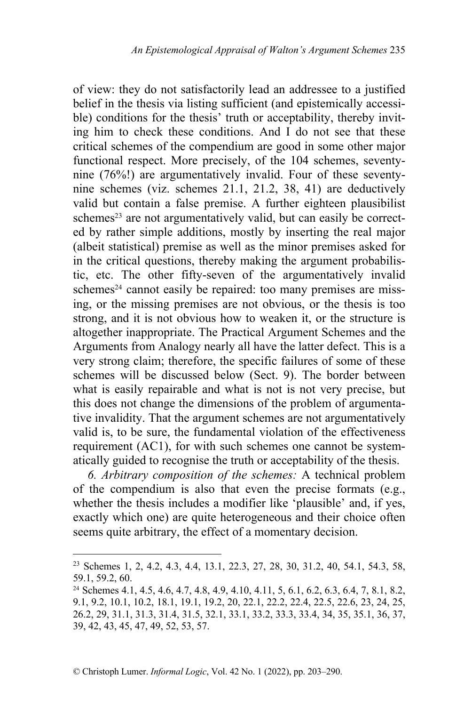of view: they do not satisfactorily lead an addressee to a justified belief in the thesis via listing sufficient (and epistemically accessible) conditions for the thesis' truth or acceptability, thereby inviting him to check these conditions. And I do not see that these critical schemes of the compendium are good in some other major functional respect. More precisely, of the 104 schemes, seventynine (76%!) are argumentatively invalid. Four of these seventynine schemes (viz. schemes 21.1, 21.2, 38, 41) are deductively valid but contain a false premise. A further eighteen plausibilist schemes<sup>23</sup> are not argumentatively valid, but can easily be corrected by rather simple additions, mostly by inserting the real major (albeit statistical) premise as well as the minor premises asked for in the critical questions, thereby making the argument probabilistic, etc. The other fifty-seven of the argumentatively invalid schemes<sup>24</sup> cannot easily be repaired: too many premises are missing, or the missing premises are not obvious, or the thesis is too strong, and it is not obvious how to weaken it, or the structure is altogether inappropriate. The Practical Argument Schemes and the Arguments from Analogy nearly all have the latter defect. This is a very strong claim; therefore, the specific failures of some of these schemes will be discussed below (Sect. 9). The border between what is easily repairable and what is not is not very precise, but this does not change the dimensions of the problem of argumentative invalidity. That the argument schemes are not argumentatively valid is, to be sure, the fundamental violation of the effectiveness requirement (AC1), for with such schemes one cannot be systematically guided to recognise the truth or acceptability of the thesis.

*6. Arbitrary composition of the schemes:* A technical problem of the compendium is also that even the precise formats (e.g., whether the thesis includes a modifier like 'plausible' and, if yes, exactly which one) are quite heterogeneous and their choice often seems quite arbitrary, the effect of a momentary decision.

<sup>&</sup>lt;sup>23</sup> Schemes 1, 2, 4.2, 4.3, 4.4, 13.1, 22.3, 27, 28, 30, 31.2, 40, 54.1, 54.3, 58, 59.1, 59.2, 60.

<sup>24</sup> Schemes 4.1, 4.5, 4.6, 4.7, 4.8, 4.9, 4.10, 4.11, 5, 6.1, 6.2, 6.3, 6.4, 7, 8.1, 8.2, 9.1, 9.2, 10.1, 10.2, 18.1, 19.1, 19.2, 20, 22.1, 22.2, 22.4, 22.5, 22.6, 23, 24, 25, 26.2, 29, 31.1, 31.3, 31.4, 31.5, 32.1, 33.1, 33.2, 33.3, 33.4, 34, 35, 35.1, 36, 37, 39, 42, 43, 45, 47, 49, 52, 53, 57.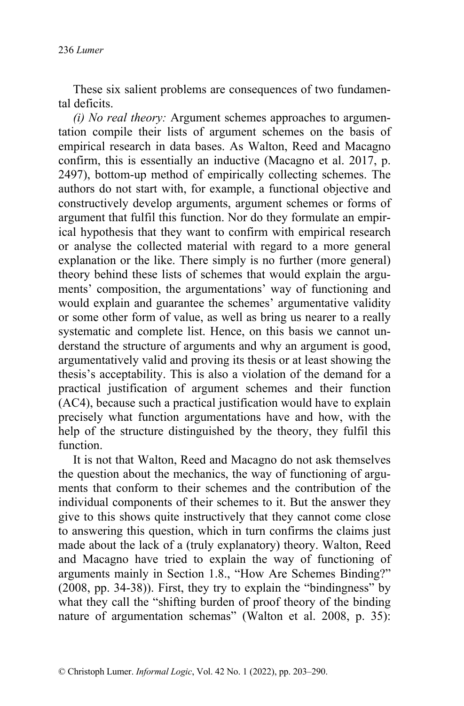These six salient problems are consequences of two fundamental deficits.

*(i) No real theory:* Argument schemes approaches to argumentation compile their lists of argument schemes on the basis of empirical research in data bases. As Walton, Reed and Macagno confirm, this is essentially an inductive (Macagno et al. 2017, p. 2497), bottom-up method of empirically collecting schemes. The authors do not start with, for example, a functional objective and constructively develop arguments, argument schemes or forms of argument that fulfil this function. Nor do they formulate an empirical hypothesis that they want to confirm with empirical research or analyse the collected material with regard to a more general explanation or the like. There simply is no further (more general) theory behind these lists of schemes that would explain the arguments' composition, the argumentations' way of functioning and would explain and guarantee the schemes' argumentative validity or some other form of value, as well as bring us nearer to a really systematic and complete list. Hence, on this basis we cannot understand the structure of arguments and why an argument is good, argumentatively valid and proving its thesis or at least showing the thesis's acceptability. This is also a violation of the demand for a practical justification of argument schemes and their function (AC4), because such a practical justification would have to explain precisely what function argumentations have and how, with the help of the structure distinguished by the theory, they fulfil this function.

It is not that Walton, Reed and Macagno do not ask themselves the question about the mechanics, the way of functioning of arguments that conform to their schemes and the contribution of the individual components of their schemes to it. But the answer they give to this shows quite instructively that they cannot come close to answering this question, which in turn confirms the claims just made about the lack of a (truly explanatory) theory. Walton, Reed and Macagno have tried to explain the way of functioning of arguments mainly in Section 1.8., "How Are Schemes Binding?" (2008, pp. 34-38)). First, they try to explain the "bindingness" by what they call the "shifting burden of proof theory of the binding nature of argumentation schemas" (Walton et al. 2008, p. 35):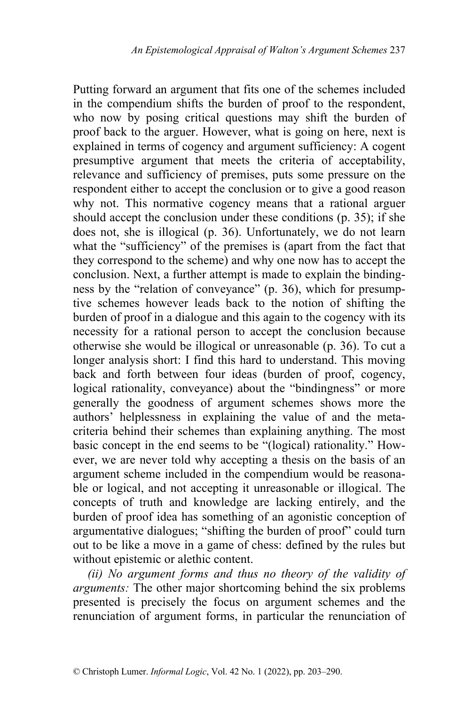Putting forward an argument that fits one of the schemes included in the compendium shifts the burden of proof to the respondent, who now by posing critical questions may shift the burden of proof back to the arguer. However, what is going on here, next is explained in terms of cogency and argument sufficiency: A cogent presumptive argument that meets the criteria of acceptability, relevance and sufficiency of premises, puts some pressure on the respondent either to accept the conclusion or to give a good reason why not. This normative cogency means that a rational arguer should accept the conclusion under these conditions (p. 35); if she does not, she is illogical (p. 36). Unfortunately, we do not learn what the "sufficiency" of the premises is (apart from the fact that they correspond to the scheme) and why one now has to accept the conclusion. Next, a further attempt is made to explain the bindingness by the "relation of conveyance" (p. 36), which for presumptive schemes however leads back to the notion of shifting the burden of proof in a dialogue and this again to the cogency with its necessity for a rational person to accept the conclusion because otherwise she would be illogical or unreasonable (p. 36). To cut a longer analysis short: I find this hard to understand. This moving back and forth between four ideas (burden of proof, cogency, logical rationality, conveyance) about the "bindingness" or more generally the goodness of argument schemes shows more the authors' helplessness in explaining the value of and the metacriteria behind their schemes than explaining anything. The most basic concept in the end seems to be "(logical) rationality." However, we are never told why accepting a thesis on the basis of an argument scheme included in the compendium would be reasonable or logical, and not accepting it unreasonable or illogical. The concepts of truth and knowledge are lacking entirely, and the burden of proof idea has something of an agonistic conception of argumentative dialogues; "shifting the burden of proof" could turn out to be like a move in a game of chess: defined by the rules but without epistemic or alethic content.

*(ii) No argument forms and thus no theory of the validity of arguments:* The other major shortcoming behind the six problems presented is precisely the focus on argument schemes and the renunciation of argument forms, in particular the renunciation of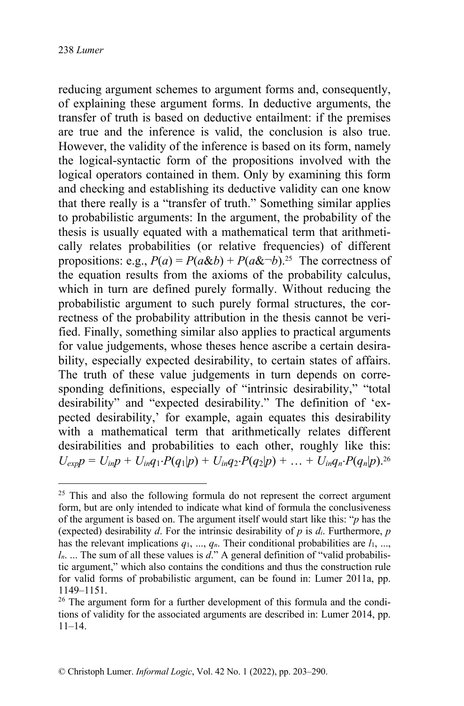reducing argument schemes to argument forms and, consequently, of explaining these argument forms. In deductive arguments, the transfer of truth is based on deductive entailment: if the premises are true and the inference is valid, the conclusion is also true. However, the validity of the inference is based on its form, namely the logical-syntactic form of the propositions involved with the logical operators contained in them. Only by examining this form and checking and establishing its deductive validity can one know that there really is a "transfer of truth." Something similar applies to probabilistic arguments: In the argument, the probability of the thesis is usually equated with a mathematical term that arithmetically relates probabilities (or relative frequencies) of different propositions: e.g.,  $P(a) = P(a\&b) + P(a\&b)^{-25}$  The correctness of the equation results from the axioms of the probability calculus, which in turn are defined purely formally. Without reducing the probabilistic argument to such purely formal structures, the correctness of the probability attribution in the thesis cannot be verified. Finally, something similar also applies to practical arguments for value judgements, whose theses hence ascribe a certain desirability, especially expected desirability, to certain states of affairs. The truth of these value judgements in turn depends on corresponding definitions, especially of "intrinsic desirability," "total desirability" and "expected desirability." The definition of 'expected desirability,' for example, again equates this desirability with a mathematical term that arithmetically relates different desirabilities and probabilities to each other, roughly like this:  $U_{exp}p = U_{in}p + U_{in}q_1 \cdot P(q_1|p) + U_{in}q_2 \cdot P(q_2|p) + \ldots + U_{in}q_n \cdot P(q_n|p)$ .<sup>26</sup>

 $25$  This and also the following formula do not represent the correct argument form, but are only intended to indicate what kind of formula the conclusiveness of the argument is based on. The argument itself would start like this: "*p* has the (expected) desirability *d*. For the intrinsic desirability of *p* is *di*. Furthermore, *p* has the relevant implications  $q_1, ..., q_n$ . Their conditional probabilities are  $l_1, ...,$ *ln*. ... The sum of all these values is *d*." A general definition of "valid probabilistic argument," which also contains the conditions and thus the construction rule for valid forms of probabilistic argument, can be found in: Lumer 2011a, pp. 1149–1151.

 $26$  The argument form for a further development of this formula and the conditions of validity for the associated arguments are described in: Lumer 2014, pp. 11–14.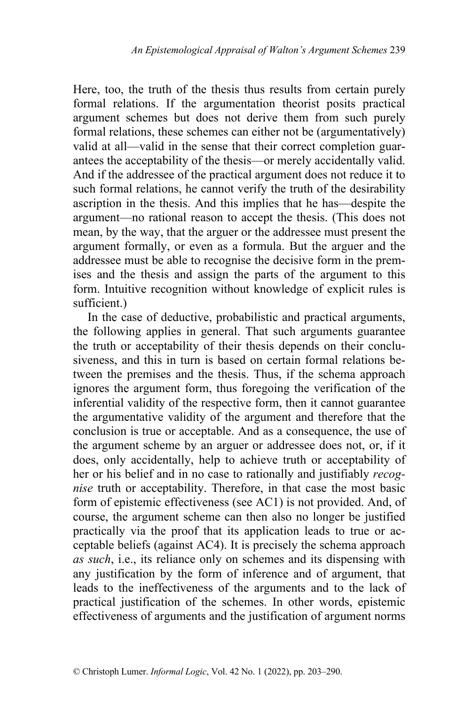Here, too, the truth of the thesis thus results from certain purely formal relations. If the argumentation theorist posits practical argument schemes but does not derive them from such purely formal relations, these schemes can either not be (argumentatively) valid at all—valid in the sense that their correct completion guarantees the acceptability of the thesis—or merely accidentally valid. And if the addressee of the practical argument does not reduce it to such formal relations, he cannot verify the truth of the desirability ascription in the thesis. And this implies that he has—despite the argument—no rational reason to accept the thesis. (This does not mean, by the way, that the arguer or the addressee must present the argument formally, or even as a formula. But the arguer and the addressee must be able to recognise the decisive form in the premises and the thesis and assign the parts of the argument to this form. Intuitive recognition without knowledge of explicit rules is sufficient.)

In the case of deductive, probabilistic and practical arguments, the following applies in general. That such arguments guarantee the truth or acceptability of their thesis depends on their conclusiveness, and this in turn is based on certain formal relations between the premises and the thesis. Thus, if the schema approach ignores the argument form, thus foregoing the verification of the inferential validity of the respective form, then it cannot guarantee the argumentative validity of the argument and therefore that the conclusion is true or acceptable. And as a consequence, the use of the argument scheme by an arguer or addressee does not, or, if it does, only accidentally, help to achieve truth or acceptability of her or his belief and in no case to rationally and justifiably *recognise* truth or acceptability. Therefore, in that case the most basic form of epistemic effectiveness (see AC1) is not provided. And, of course, the argument scheme can then also no longer be justified practically via the proof that its application leads to true or acceptable beliefs (against AC4). It is precisely the schema approach *as such*, i.e., its reliance only on schemes and its dispensing with any justification by the form of inference and of argument, that leads to the ineffectiveness of the arguments and to the lack of practical justification of the schemes. In other words, epistemic effectiveness of arguments and the justification of argument norms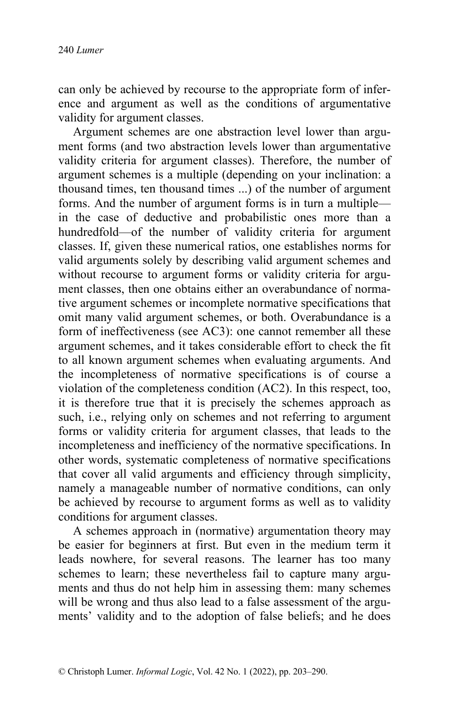can only be achieved by recourse to the appropriate form of inference and argument as well as the conditions of argumentative validity for argument classes.

Argument schemes are one abstraction level lower than argument forms (and two abstraction levels lower than argumentative validity criteria for argument classes). Therefore, the number of argument schemes is a multiple (depending on your inclination: a thousand times, ten thousand times ...) of the number of argument forms. And the number of argument forms is in turn a multiple in the case of deductive and probabilistic ones more than a hundredfold—of the number of validity criteria for argument classes. If, given these numerical ratios, one establishes norms for valid arguments solely by describing valid argument schemes and without recourse to argument forms or validity criteria for argument classes, then one obtains either an overabundance of normative argument schemes or incomplete normative specifications that omit many valid argument schemes, or both. Overabundance is a form of ineffectiveness (see AC3): one cannot remember all these argument schemes, and it takes considerable effort to check the fit to all known argument schemes when evaluating arguments. And the incompleteness of normative specifications is of course a violation of the completeness condition (AC2). In this respect, too, it is therefore true that it is precisely the schemes approach as such, i.e., relying only on schemes and not referring to argument forms or validity criteria for argument classes, that leads to the incompleteness and inefficiency of the normative specifications. In other words, systematic completeness of normative specifications that cover all valid arguments and efficiency through simplicity, namely a manageable number of normative conditions, can only be achieved by recourse to argument forms as well as to validity conditions for argument classes.

A schemes approach in (normative) argumentation theory may be easier for beginners at first. But even in the medium term it leads nowhere, for several reasons. The learner has too many schemes to learn; these nevertheless fail to capture many arguments and thus do not help him in assessing them: many schemes will be wrong and thus also lead to a false assessment of the arguments' validity and to the adoption of false beliefs; and he does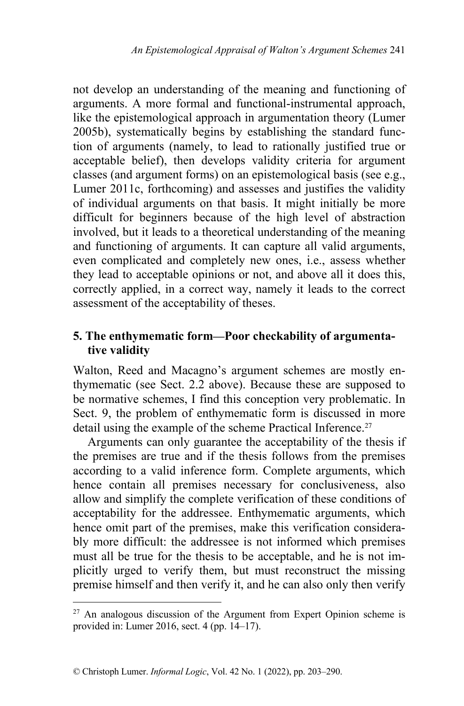not develop an understanding of the meaning and functioning of arguments. A more formal and functional-instrumental approach, like the epistemological approach in argumentation theory (Lumer 2005b), systematically begins by establishing the standard function of arguments (namely, to lead to rationally justified true or acceptable belief), then develops validity criteria for argument classes (and argument forms) on an epistemological basis (see e.g., Lumer 2011c, forthcoming) and assesses and justifies the validity of individual arguments on that basis. It might initially be more difficult for beginners because of the high level of abstraction involved, but it leads to a theoretical understanding of the meaning and functioning of arguments. It can capture all valid arguments, even complicated and completely new ones, i.e., assess whether they lead to acceptable opinions or not, and above all it does this, correctly applied, in a correct way, namely it leads to the correct assessment of the acceptability of theses.

## **5. The enthymematic form—Poor checkability of argumentative validity**

Walton, Reed and Macagno's argument schemes are mostly enthymematic (see Sect. 2.2 above). Because these are supposed to be normative schemes, I find this conception very problematic. In Sect. 9, the problem of enthymematic form is discussed in more detail using the example of the scheme Practical Inference.<sup>27</sup>

Arguments can only guarantee the acceptability of the thesis if the premises are true and if the thesis follows from the premises according to a valid inference form. Complete arguments, which hence contain all premises necessary for conclusiveness, also allow and simplify the complete verification of these conditions of acceptability for the addressee. Enthymematic arguments, which hence omit part of the premises, make this verification considerably more difficult: the addressee is not informed which premises must all be true for the thesis to be acceptable, and he is not implicitly urged to verify them, but must reconstruct the missing premise himself and then verify it, and he can also only then verify

 $27$  An analogous discussion of the Argument from Expert Opinion scheme is provided in: Lumer 2016, sect. 4 (pp. 14–17).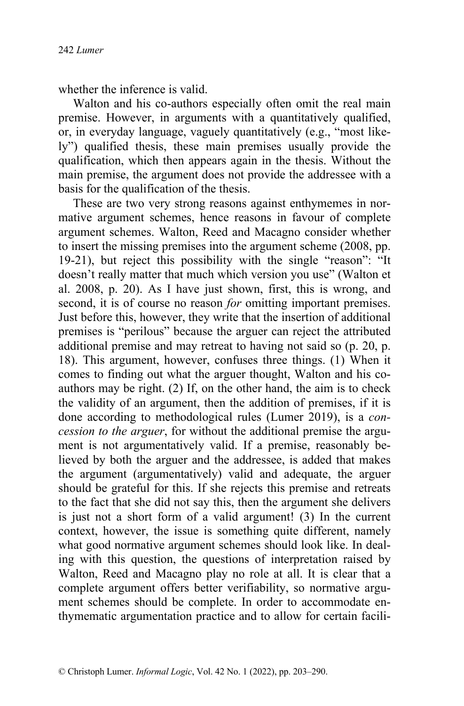whether the inference is valid.

Walton and his co-authors especially often omit the real main premise. However, in arguments with a quantitatively qualified, or, in everyday language, vaguely quantitatively (e.g., "most likely") qualified thesis, these main premises usually provide the qualification, which then appears again in the thesis. Without the main premise, the argument does not provide the addressee with a basis for the qualification of the thesis.

These are two very strong reasons against enthymemes in normative argument schemes, hence reasons in favour of complete argument schemes. Walton, Reed and Macagno consider whether to insert the missing premises into the argument scheme (2008, pp. 19-21), but reject this possibility with the single "reason": "It doesn't really matter that much which version you use" (Walton et al. 2008, p. 20). As I have just shown, first, this is wrong, and second, it is of course no reason *for* omitting important premises. Just before this, however, they write that the insertion of additional premises is "perilous" because the arguer can reject the attributed additional premise and may retreat to having not said so (p. 20, p. 18). This argument, however, confuses three things. (1) When it comes to finding out what the arguer thought, Walton and his coauthors may be right. (2) If, on the other hand, the aim is to check the validity of an argument, then the addition of premises, if it is done according to methodological rules (Lumer 2019), is a *concession to the arguer*, for without the additional premise the argument is not argumentatively valid. If a premise, reasonably believed by both the arguer and the addressee, is added that makes the argument (argumentatively) valid and adequate, the arguer should be grateful for this. If she rejects this premise and retreats to the fact that she did not say this, then the argument she delivers is just not a short form of a valid argument! (3) In the current context, however, the issue is something quite different, namely what good normative argument schemes should look like. In dealing with this question, the questions of interpretation raised by Walton, Reed and Macagno play no role at all. It is clear that a complete argument offers better verifiability, so normative argument schemes should be complete. In order to accommodate enthymematic argumentation practice and to allow for certain facili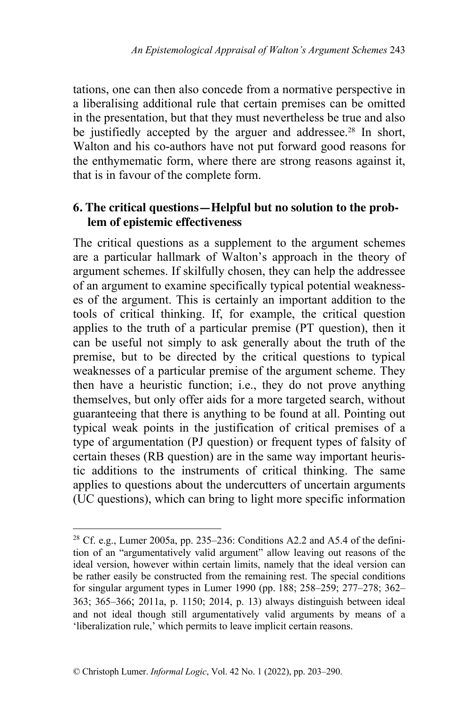tations, one can then also concede from a normative perspective in a liberalising additional rule that certain premises can be omitted in the presentation, but that they must nevertheless be true and also be justifiedly accepted by the arguer and addressee.<sup>28</sup> In short, Walton and his co-authors have not put forward good reasons for the enthymematic form, where there are strong reasons against it, that is in favour of the complete form.

## **6. The critical questions—Helpful but no solution to the problem of epistemic effectiveness**

The critical questions as a supplement to the argument schemes are a particular hallmark of Walton's approach in the theory of argument schemes. If skilfully chosen, they can help the addressee of an argument to examine specifically typical potential weaknesses of the argument. This is certainly an important addition to the tools of critical thinking. If, for example, the critical question applies to the truth of a particular premise (PT question), then it can be useful not simply to ask generally about the truth of the premise, but to be directed by the critical questions to typical weaknesses of a particular premise of the argument scheme. They then have a heuristic function; i.e., they do not prove anything themselves, but only offer aids for a more targeted search, without guaranteeing that there is anything to be found at all. Pointing out typical weak points in the justification of critical premises of a type of argumentation (PJ question) or frequent types of falsity of certain theses (RB question) are in the same way important heuristic additions to the instruments of critical thinking. The same applies to questions about the undercutters of uncertain arguments (UC questions), which can bring to light more specific information

<sup>&</sup>lt;sup>28</sup> Cf. e.g., Lumer 2005a, pp. 235–236: Conditions A2.2 and A5.4 of the definition of an "argumentatively valid argument" allow leaving out reasons of the ideal version, however within certain limits, namely that the ideal version can be rather easily be constructed from the remaining rest. The special conditions for singular argument types in Lumer 1990 (pp. 188; 258–259; 277–278; 362– 363; 365–366; 2011a, p. 1150; 2014, p. 13) always distinguish between ideal and not ideal though still argumentatively valid arguments by means of a 'liberalization rule,' which permits to leave implicit certain reasons.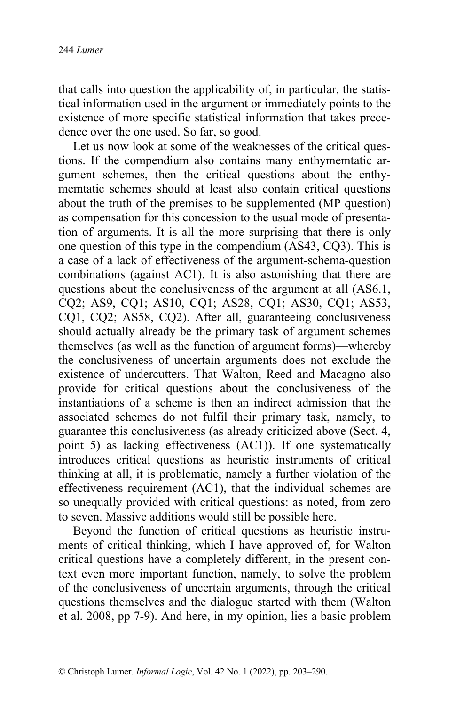that calls into question the applicability of, in particular, the statistical information used in the argument or immediately points to the existence of more specific statistical information that takes precedence over the one used. So far, so good.

Let us now look at some of the weaknesses of the critical questions. If the compendium also contains many enthymemtatic argument schemes, then the critical questions about the enthymemtatic schemes should at least also contain critical questions about the truth of the premises to be supplemented (MP question) as compensation for this concession to the usual mode of presentation of arguments. It is all the more surprising that there is only one question of this type in the compendium (AS43, CQ3). This is a case of a lack of effectiveness of the argument-schema-question combinations (against AC1). It is also astonishing that there are questions about the conclusiveness of the argument at all (AS6.1, CQ2; AS9, CQ1; AS10, CQ1; AS28, CQ1; AS30, CQ1; AS53, CQ1, CQ2; AS58, CQ2). After all, guaranteeing conclusiveness should actually already be the primary task of argument schemes themselves (as well as the function of argument forms)—whereby the conclusiveness of uncertain arguments does not exclude the existence of undercutters. That Walton, Reed and Macagno also provide for critical questions about the conclusiveness of the instantiations of a scheme is then an indirect admission that the associated schemes do not fulfil their primary task, namely, to guarantee this conclusiveness (as already criticized above (Sect. 4, point 5) as lacking effectiveness (AC1)). If one systematically introduces critical questions as heuristic instruments of critical thinking at all, it is problematic, namely a further violation of the effectiveness requirement (AC1), that the individual schemes are so unequally provided with critical questions: as noted, from zero to seven. Massive additions would still be possible here.

Beyond the function of critical questions as heuristic instruments of critical thinking, which I have approved of, for Walton critical questions have a completely different, in the present context even more important function, namely, to solve the problem of the conclusiveness of uncertain arguments, through the critical questions themselves and the dialogue started with them (Walton et al. 2008, pp 7-9). And here, in my opinion, lies a basic problem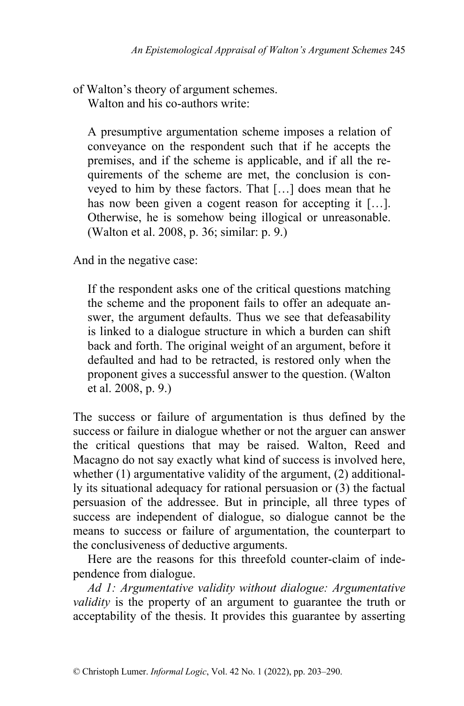of Walton's theory of argument schemes. Walton and his co-authors write:

A presumptive argumentation scheme imposes a relation of conveyance on the respondent such that if he accepts the premises, and if the scheme is applicable, and if all the requirements of the scheme are met, the conclusion is conveyed to him by these factors. That […] does mean that he has now been given a cogent reason for accepting it [...]. Otherwise, he is somehow being illogical or unreasonable. (Walton et al. 2008, p. 36; similar: p. 9.)

And in the negative case:

If the respondent asks one of the critical questions matching the scheme and the proponent fails to offer an adequate answer, the argument defaults. Thus we see that defeasability is linked to a dialogue structure in which a burden can shift back and forth. The original weight of an argument, before it defaulted and had to be retracted, is restored only when the proponent gives a successful answer to the question. (Walton et al. 2008, p. 9.)

The success or failure of argumentation is thus defined by the success or failure in dialogue whether or not the arguer can answer the critical questions that may be raised. Walton, Reed and Macagno do not say exactly what kind of success is involved here, whether (1) argumentative validity of the argument, (2) additionally its situational adequacy for rational persuasion or (3) the factual persuasion of the addressee. But in principle, all three types of success are independent of dialogue, so dialogue cannot be the means to success or failure of argumentation, the counterpart to the conclusiveness of deductive arguments.

Here are the reasons for this threefold counter-claim of independence from dialogue.

*Ad 1: Argumentative validity without dialogue: Argumentative validity* is the property of an argument to guarantee the truth or acceptability of the thesis. It provides this guarantee by asserting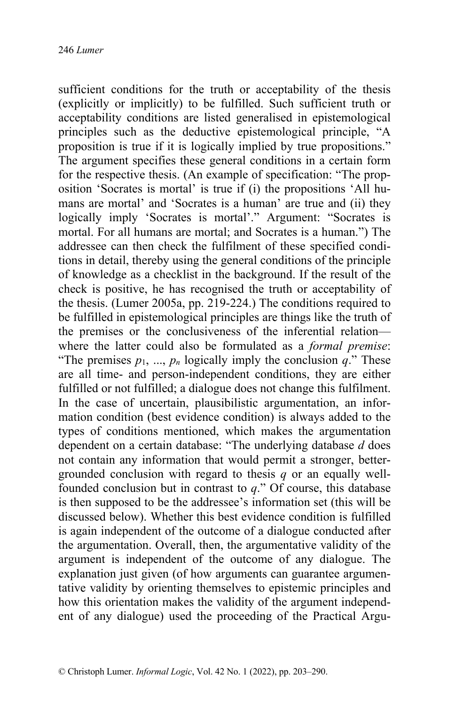sufficient conditions for the truth or acceptability of the thesis (explicitly or implicitly) to be fulfilled. Such sufficient truth or acceptability conditions are listed generalised in epistemological principles such as the deductive epistemological principle, "A proposition is true if it is logically implied by true propositions." The argument specifies these general conditions in a certain form for the respective thesis. (An example of specification: "The proposition 'Socrates is mortal' is true if (i) the propositions 'All humans are mortal' and 'Socrates is a human' are true and (ii) they logically imply 'Socrates is mortal'." Argument: "Socrates is mortal. For all humans are mortal; and Socrates is a human.") The addressee can then check the fulfilment of these specified conditions in detail, thereby using the general conditions of the principle of knowledge as a checklist in the background. If the result of the check is positive, he has recognised the truth or acceptability of the thesis. (Lumer 2005a, pp. 219-224.) The conditions required to be fulfilled in epistemological principles are things like the truth of the premises or the conclusiveness of the inferential relation where the latter could also be formulated as a *formal premise*: "The premises  $p_1, ..., p_n$  logically imply the conclusion  $q$ ." These are all time- and person-independent conditions, they are either fulfilled or not fulfilled; a dialogue does not change this fulfilment. In the case of uncertain, plausibilistic argumentation, an information condition (best evidence condition) is always added to the types of conditions mentioned, which makes the argumentation dependent on a certain database: "The underlying database *d* does not contain any information that would permit a stronger, bettergrounded conclusion with regard to thesis *q* or an equally wellfounded conclusion but in contrast to *q*." Of course, this database is then supposed to be the addressee's information set (this will be discussed below). Whether this best evidence condition is fulfilled is again independent of the outcome of a dialogue conducted after the argumentation. Overall, then, the argumentative validity of the argument is independent of the outcome of any dialogue. The explanation just given (of how arguments can guarantee argumentative validity by orienting themselves to epistemic principles and how this orientation makes the validity of the argument independent of any dialogue) used the proceeding of the Practical Argu-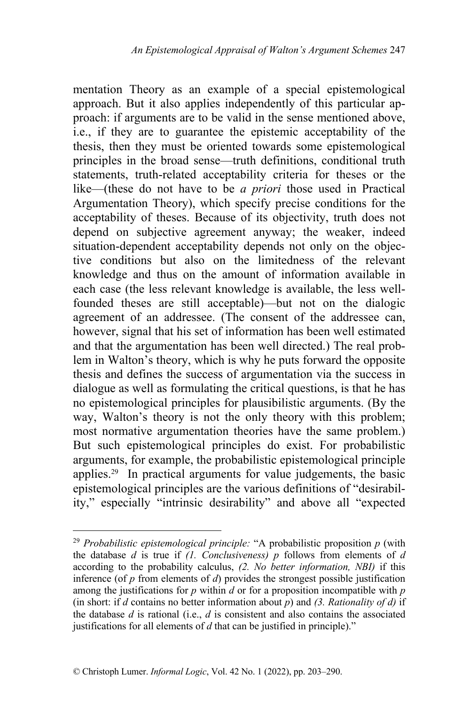mentation Theory as an example of a special epistemological approach. But it also applies independently of this particular approach: if arguments are to be valid in the sense mentioned above, i.e., if they are to guarantee the epistemic acceptability of the thesis, then they must be oriented towards some epistemological principles in the broad sense—truth definitions, conditional truth statements, truth-related acceptability criteria for theses or the like—(these do not have to be *a priori* those used in Practical Argumentation Theory), which specify precise conditions for the acceptability of theses. Because of its objectivity, truth does not depend on subjective agreement anyway; the weaker, indeed situation-dependent acceptability depends not only on the objective conditions but also on the limitedness of the relevant knowledge and thus on the amount of information available in each case (the less relevant knowledge is available, the less wellfounded theses are still acceptable)—but not on the dialogic agreement of an addressee. (The consent of the addressee can, however, signal that his set of information has been well estimated and that the argumentation has been well directed.) The real problem in Walton's theory, which is why he puts forward the opposite thesis and defines the success of argumentation via the success in dialogue as well as formulating the critical questions, is that he has no epistemological principles for plausibilistic arguments. (By the way, Walton's theory is not the only theory with this problem; most normative argumentation theories have the same problem.) But such epistemological principles do exist. For probabilistic arguments, for example, the probabilistic epistemological principle applies.29 In practical arguments for value judgements, the basic epistemological principles are the various definitions of "desirability," especially "intrinsic desirability" and above all "expected

<sup>29</sup> *Probabilistic epistemological principle:* "A probabilistic proposition *p* (with the database *d* is true if *(1. Conclusiveness) p* follows from elements of *d* according to the probability calculus, *(2. No better information, NBI)* if this inference (of *p* from elements of *d*) provides the strongest possible justification among the justifications for *p* within *d* or for a proposition incompatible with *p* (in short: if *d* contains no better information about *p*) and *(3. Rationality of d)* if the database *d* is rational (i.e., *d* is consistent and also contains the associated justifications for all elements of *d* that can be justified in principle)."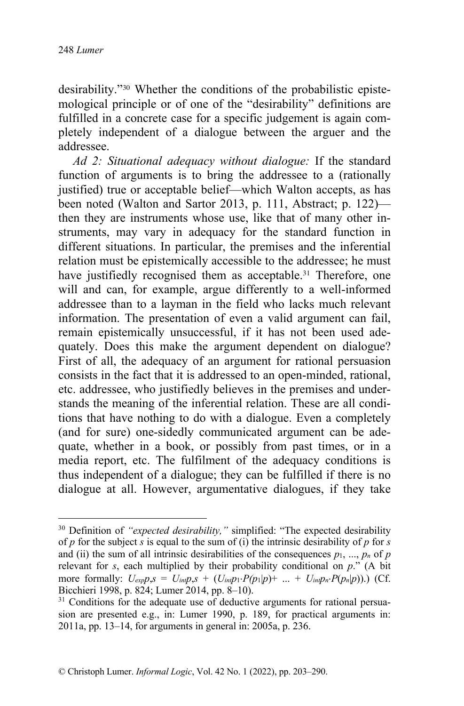desirability."<sup>30</sup> Whether the conditions of the probabilistic epistemological principle or of one of the "desirability" definitions are fulfilled in a concrete case for a specific judgement is again completely independent of a dialogue between the arguer and the addressee.

*Ad 2: Situational adequacy without dialogue:* If the standard function of arguments is to bring the addressee to a (rationally justified) true or acceptable belief—which Walton accepts, as has been noted (Walton and Sartor 2013, p. 111, Abstract; p. 122) then they are instruments whose use, like that of many other instruments, may vary in adequacy for the standard function in different situations. In particular, the premises and the inferential relation must be epistemically accessible to the addressee; he must have justifiedly recognised them as acceptable.<sup>31</sup> Therefore, one will and can, for example, argue differently to a well-informed addressee than to a layman in the field who lacks much relevant information. The presentation of even a valid argument can fail, remain epistemically unsuccessful, if it has not been used adequately. Does this make the argument dependent on dialogue? First of all, the adequacy of an argument for rational persuasion consists in the fact that it is addressed to an open-minded, rational, etc. addressee, who justifiedly believes in the premises and understands the meaning of the inferential relation. These are all conditions that have nothing to do with a dialogue. Even a completely (and for sure) one-sidedly communicated argument can be adequate, whether in a book, or possibly from past times, or in a media report, etc. The fulfilment of the adequacy conditions is thus independent of a dialogue; they can be fulfilled if there is no dialogue at all. However, argumentative dialogues, if they take

<sup>&</sup>lt;sup>30</sup> Definition of *"expected desirability,"* simplified: "The expected desirability of *p* for the subject *s* is equal to the sum of (i) the intrinsic desirability of *p* for *s* and (ii) the sum of all intrinsic desirabilities of the consequences  $p_1, ..., p_n$  of  $p$ relevant for *s*, each multiplied by their probability conditional on *p*." (A bit more formally:  $U_{exp}p$ , $s = U_{int}p$ , $s + (U_{int}p_1 \cdot P(p_1|p) + ... + U_{int}p_n \cdot P(p_n|p))$ .) (Cf. Bicchieri 1998, p. 824; Lumer 2014, pp. 8–10).

 $31$  Conditions for the adequate use of deductive arguments for rational persuasion are presented e.g., in: Lumer 1990, p. 189, for practical arguments in: 2011a, pp. 13–14, for arguments in general in: 2005a, p. 236.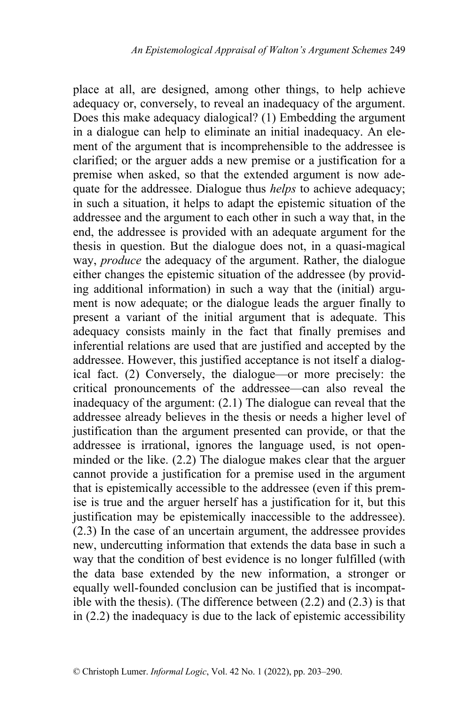place at all, are designed, among other things, to help achieve adequacy or, conversely, to reveal an inadequacy of the argument. Does this make adequacy dialogical? (1) Embedding the argument in a dialogue can help to eliminate an initial inadequacy. An element of the argument that is incomprehensible to the addressee is clarified; or the arguer adds a new premise or a justification for a premise when asked, so that the extended argument is now adequate for the addressee. Dialogue thus *helps* to achieve adequacy; in such a situation, it helps to adapt the epistemic situation of the addressee and the argument to each other in such a way that, in the end, the addressee is provided with an adequate argument for the thesis in question. But the dialogue does not, in a quasi-magical way, *produce* the adequacy of the argument. Rather, the dialogue either changes the epistemic situation of the addressee (by providing additional information) in such a way that the (initial) argument is now adequate; or the dialogue leads the arguer finally to present a variant of the initial argument that is adequate. This adequacy consists mainly in the fact that finally premises and inferential relations are used that are justified and accepted by the addressee. However, this justified acceptance is not itself a dialogical fact. (2) Conversely, the dialogue—or more precisely: the critical pronouncements of the addressee—can also reveal the inadequacy of the argument: (2.1) The dialogue can reveal that the addressee already believes in the thesis or needs a higher level of justification than the argument presented can provide, or that the addressee is irrational, ignores the language used, is not openminded or the like. (2.2) The dialogue makes clear that the arguer cannot provide a justification for a premise used in the argument that is epistemically accessible to the addressee (even if this premise is true and the arguer herself has a justification for it, but this justification may be epistemically inaccessible to the addressee). (2.3) In the case of an uncertain argument, the addressee provides new, undercutting information that extends the data base in such a way that the condition of best evidence is no longer fulfilled (with the data base extended by the new information, a stronger or equally well-founded conclusion can be justified that is incompatible with the thesis). (The difference between (2.2) and (2.3) is that in (2.2) the inadequacy is due to the lack of epistemic accessibility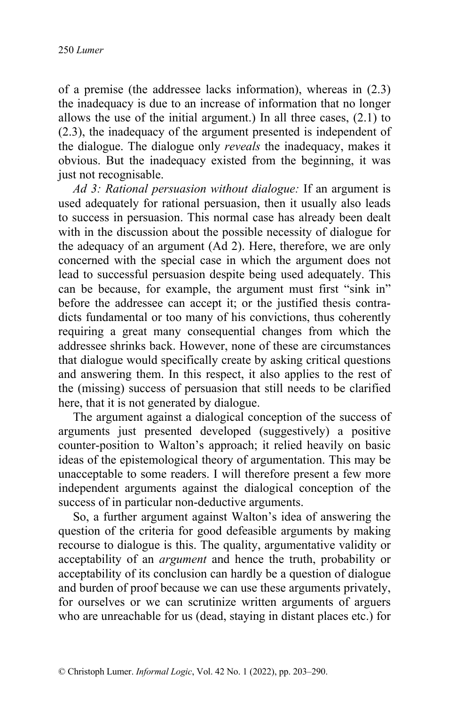of a premise (the addressee lacks information), whereas in (2.3) the inadequacy is due to an increase of information that no longer allows the use of the initial argument.) In all three cases, (2.1) to (2.3), the inadequacy of the argument presented is independent of the dialogue. The dialogue only *reveals* the inadequacy, makes it obvious. But the inadequacy existed from the beginning, it was just not recognisable.

*Ad 3: Rational persuasion without dialogue:* If an argument is used adequately for rational persuasion, then it usually also leads to success in persuasion. This normal case has already been dealt with in the discussion about the possible necessity of dialogue for the adequacy of an argument (Ad 2). Here, therefore, we are only concerned with the special case in which the argument does not lead to successful persuasion despite being used adequately. This can be because, for example, the argument must first "sink in" before the addressee can accept it; or the justified thesis contradicts fundamental or too many of his convictions, thus coherently requiring a great many consequential changes from which the addressee shrinks back. However, none of these are circumstances that dialogue would specifically create by asking critical questions and answering them. In this respect, it also applies to the rest of the (missing) success of persuasion that still needs to be clarified here, that it is not generated by dialogue.

The argument against a dialogical conception of the success of arguments just presented developed (suggestively) a positive counter-position to Walton's approach; it relied heavily on basic ideas of the epistemological theory of argumentation. This may be unacceptable to some readers. I will therefore present a few more independent arguments against the dialogical conception of the success of in particular non-deductive arguments.

So, a further argument against Walton's idea of answering the question of the criteria for good defeasible arguments by making recourse to dialogue is this. The quality, argumentative validity or acceptability of an *argument* and hence the truth, probability or acceptability of its conclusion can hardly be a question of dialogue and burden of proof because we can use these arguments privately, for ourselves or we can scrutinize written arguments of arguers who are unreachable for us (dead, staying in distant places etc.) for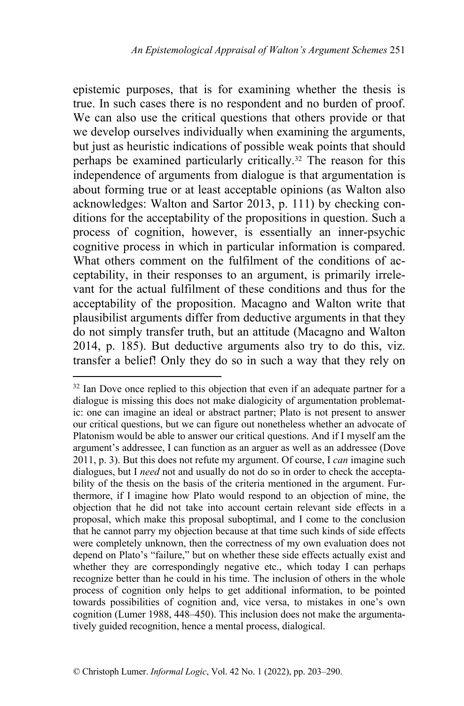epistemic purposes, that is for examining whether the thesis is true. In such cases there is no respondent and no burden of proof. We can also use the critical questions that others provide or that we develop ourselves individually when examining the arguments, but just as heuristic indications of possible weak points that should perhaps be examined particularly critically.<sup>32</sup> The reason for this independence of arguments from dialogue is that argumentation is about forming true or at least acceptable opinions (as Walton also acknowledges: Walton and Sartor 2013, p. 111) by checking conditions for the acceptability of the propositions in question. Such a process of cognition, however, is essentially an inner-psychic cognitive process in which in particular information is compared. What others comment on the fulfilment of the conditions of acceptability, in their responses to an argument, is primarily irrelevant for the actual fulfilment of these conditions and thus for the acceptability of the proposition. Macagno and Walton write that plausibilist arguments differ from deductive arguments in that they do not simply transfer truth, but an attitude (Macagno and Walton 2014, p. 185). But deductive arguments also try to do this, viz. transfer a belief! Only they do so in such a way that they rely on

 $32$  Ian Dove once replied to this objection that even if an adequate partner for a dialogue is missing this does not make dialogicity of argumentation problematic: one can imagine an ideal or abstract partner; Plato is not present to answer our critical questions, but we can figure out nonetheless whether an advocate of Platonism would be able to answer our critical questions. And if I myself am the argument's addressee, I can function as an arguer as well as an addressee (Dove 2011, p. 3). But this does not refute my argument. Of course, I *can* imagine such dialogues, but I *need* not and usually do not do so in order to check the acceptability of the thesis on the basis of the criteria mentioned in the argument. Furthermore, if I imagine how Plato would respond to an objection of mine, the objection that he did not take into account certain relevant side effects in a proposal, which make this proposal suboptimal, and I come to the conclusion that he cannot parry my objection because at that time such kinds of side effects were completely unknown, then the correctness of my own evaluation does not depend on Plato's "failure," but on whether these side effects actually exist and whether they are correspondingly negative etc., which today I can perhaps recognize better than he could in his time. The inclusion of others in the whole process of cognition only helps to get additional information, to be pointed towards possibilities of cognition and, vice versa, to mistakes in one's own cognition (Lumer 1988, 448–450). This inclusion does not make the argumentatively guided recognition, hence a mental process, dialogical.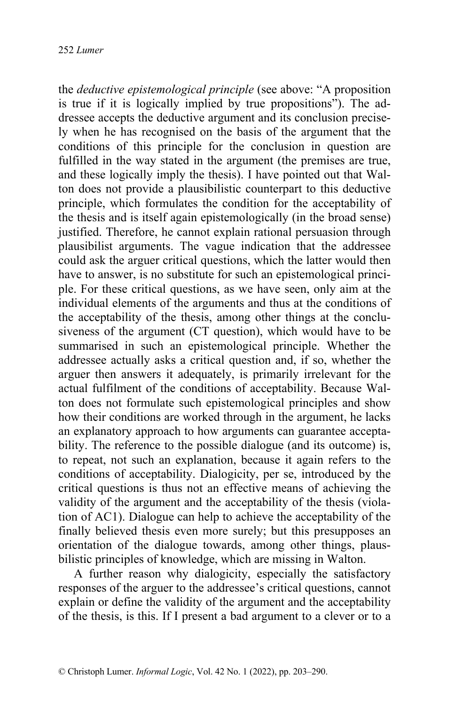the *deductive epistemological principle* (see above: "A proposition is true if it is logically implied by true propositions"). The addressee accepts the deductive argument and its conclusion precisely when he has recognised on the basis of the argument that the conditions of this principle for the conclusion in question are fulfilled in the way stated in the argument (the premises are true, and these logically imply the thesis). I have pointed out that Walton does not provide a plausibilistic counterpart to this deductive principle, which formulates the condition for the acceptability of the thesis and is itself again epistemologically (in the broad sense) justified. Therefore, he cannot explain rational persuasion through plausibilist arguments. The vague indication that the addressee could ask the arguer critical questions, which the latter would then have to answer, is no substitute for such an epistemological principle. For these critical questions, as we have seen, only aim at the individual elements of the arguments and thus at the conditions of the acceptability of the thesis, among other things at the conclusiveness of the argument (CT question), which would have to be summarised in such an epistemological principle. Whether the addressee actually asks a critical question and, if so, whether the arguer then answers it adequately, is primarily irrelevant for the actual fulfilment of the conditions of acceptability. Because Walton does not formulate such epistemological principles and show how their conditions are worked through in the argument, he lacks an explanatory approach to how arguments can guarantee acceptability. The reference to the possible dialogue (and its outcome) is, to repeat, not such an explanation, because it again refers to the conditions of acceptability. Dialogicity, per se, introduced by the critical questions is thus not an effective means of achieving the validity of the argument and the acceptability of the thesis (violation of AC1). Dialogue can help to achieve the acceptability of the finally believed thesis even more surely; but this presupposes an orientation of the dialogue towards, among other things, plausbilistic principles of knowledge, which are missing in Walton.

 A further reason why dialogicity, especially the satisfactory responses of the arguer to the addressee's critical questions, cannot explain or define the validity of the argument and the acceptability of the thesis, is this. If I present a bad argument to a clever or to a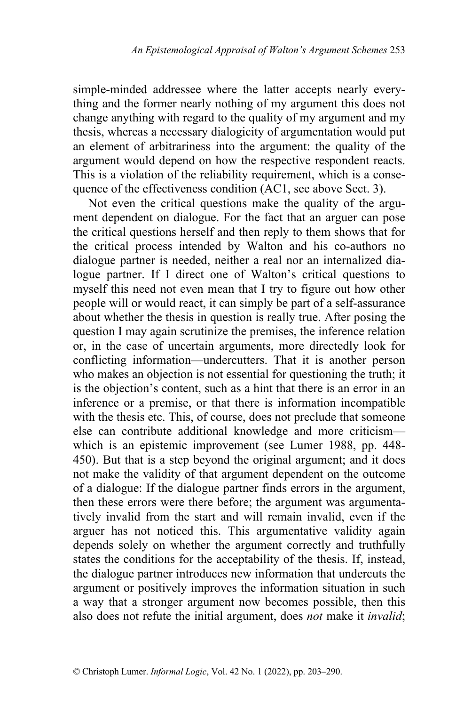simple-minded addressee where the latter accepts nearly everything and the former nearly nothing of my argument this does not change anything with regard to the quality of my argument and my thesis, whereas a necessary dialogicity of argumentation would put an element of arbitrariness into the argument: the quality of the argument would depend on how the respective respondent reacts. This is a violation of the reliability requirement, which is a consequence of the effectiveness condition (AC1, see above Sect. 3).

 Not even the critical questions make the quality of the argument dependent on dialogue. For the fact that an arguer can pose the critical questions herself and then reply to them shows that for the critical process intended by Walton and his co-authors no dialogue partner is needed, neither a real nor an internalized dialogue partner. If I direct one of Walton's critical questions to myself this need not even mean that I try to figure out how other people will or would react, it can simply be part of a self-assurance about whether the thesis in question is really true. After posing the question I may again scrutinize the premises, the inference relation or, in the case of uncertain arguments, more directedly look for conflicting information—undercutters. That it is another person who makes an objection is not essential for questioning the truth; it is the objection's content, such as a hint that there is an error in an inference or a premise, or that there is information incompatible with the thesis etc. This, of course, does not preclude that someone else can contribute additional knowledge and more criticism which is an epistemic improvement (see Lumer 1988, pp. 448- 450). But that is a step beyond the original argument; and it does not make the validity of that argument dependent on the outcome of a dialogue: If the dialogue partner finds errors in the argument, then these errors were there before; the argument was argumentatively invalid from the start and will remain invalid, even if the arguer has not noticed this. This argumentative validity again depends solely on whether the argument correctly and truthfully states the conditions for the acceptability of the thesis. If, instead, the dialogue partner introduces new information that undercuts the argument or positively improves the information situation in such a way that a stronger argument now becomes possible, then this also does not refute the initial argument, does *not* make it *invalid*;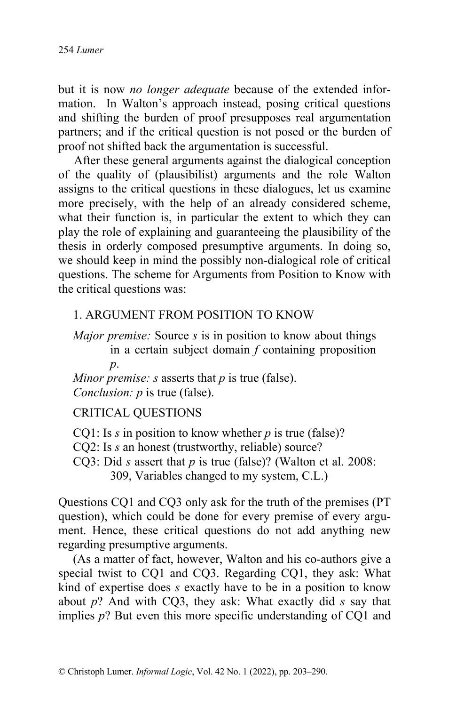but it is now *no longer adequate* because of the extended information. In Walton's approach instead, posing critical questions and shifting the burden of proof presupposes real argumentation partners; and if the critical question is not posed or the burden of proof not shifted back the argumentation is successful.

 After these general arguments against the dialogical conception of the quality of (plausibilist) arguments and the role Walton assigns to the critical questions in these dialogues, let us examine more precisely, with the help of an already considered scheme, what their function is, in particular the extent to which they can play the role of explaining and guaranteeing the plausibility of the thesis in orderly composed presumptive arguments. In doing so, we should keep in mind the possibly non-dialogical role of critical questions. The scheme for Arguments from Position to Know with the critical questions was:

#### 1. ARGUMENT FROM POSITION TO KNOW

*Major premise:* Source *s* is in position to know about things in a certain subject domain *f* containing proposition *p*.

*Minor premise: s* asserts that *p* is true (false). *Conclusion: p* is true (false).

#### CRITICAL QUESTIONS

CQ1: Is *s* in position to know whether *p* is true (false)?

CQ2: Is *s* an honest (trustworthy, reliable) source?

CQ3: Did *s* assert that *p* is true (false)? (Walton et al. 2008: 309, Variables changed to my system, C.L.)

Questions CQ1 and CQ3 only ask for the truth of the premises (PT question), which could be done for every premise of every argument. Hence, these critical questions do not add anything new regarding presumptive arguments.

(As a matter of fact, however, Walton and his co-authors give a special twist to CQ1 and CQ3. Regarding CQ1, they ask: What kind of expertise does *s* exactly have to be in a position to know about *p*? And with CQ3, they ask: What exactly did *s* say that implies *p*? But even this more specific understanding of CQ1 and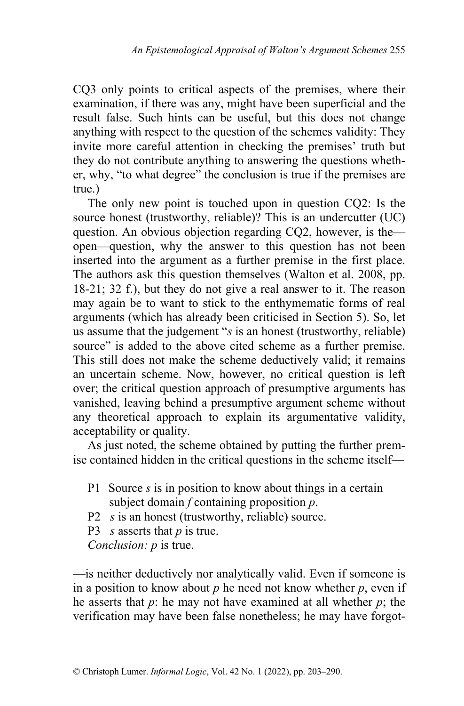CQ3 only points to critical aspects of the premises, where their examination, if there was any, might have been superficial and the result false. Such hints can be useful, but this does not change anything with respect to the question of the schemes validity: They invite more careful attention in checking the premises' truth but they do not contribute anything to answering the questions whether, why, "to what degree" the conclusion is true if the premises are true.)

The only new point is touched upon in question CQ2: Is the source honest (trustworthy, reliable)? This is an undercutter (UC) question. An obvious objection regarding CQ2, however, is the open—question, why the answer to this question has not been inserted into the argument as a further premise in the first place. The authors ask this question themselves (Walton et al. 2008, pp. 18-21; 32 f.), but they do not give a real answer to it. The reason may again be to want to stick to the enthymematic forms of real arguments (which has already been criticised in Section 5). So, let us assume that the judgement "*s* is an honest (trustworthy, reliable) source" is added to the above cited scheme as a further premise. This still does not make the scheme deductively valid; it remains an uncertain scheme. Now, however, no critical question is left over; the critical question approach of presumptive arguments has vanished, leaving behind a presumptive argument scheme without any theoretical approach to explain its argumentative validity, acceptability or quality.

As just noted, the scheme obtained by putting the further premise contained hidden in the critical questions in the scheme itself—

- P1 Source *s* is in position to know about things in a certain subject domain *f* containing proposition *p*.
- P2 *s* is an honest (trustworthy, reliable) source.
- P3 *s* asserts that *p* is true.

*Conclusion: p* is true.

—is neither deductively nor analytically valid. Even if someone is in a position to know about  $p$  he need not know whether  $p$ , even if he asserts that *p*: he may not have examined at all whether *p*; the verification may have been false nonetheless; he may have forgot-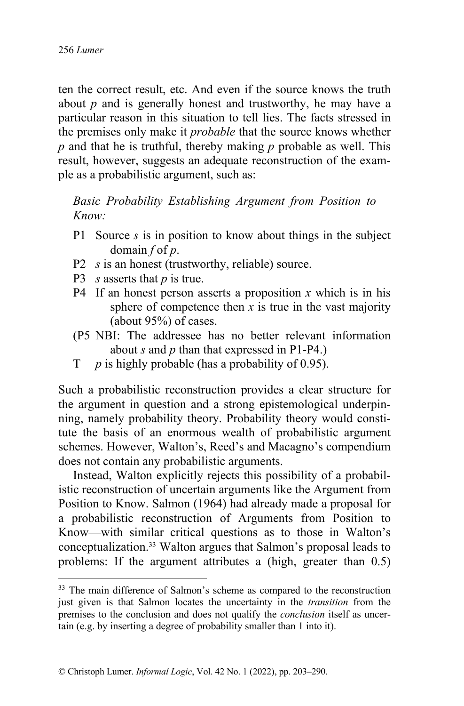ten the correct result, etc. And even if the source knows the truth about *p* and is generally honest and trustworthy, he may have a particular reason in this situation to tell lies. The facts stressed in the premises only make it *probable* that the source knows whether *p* and that he is truthful, thereby making *p* probable as well. This result, however, suggests an adequate reconstruction of the example as a probabilistic argument, such as:

*Basic Probability Establishing Argument from Position to Know:*

- P1 Source *s* is in position to know about things in the subject domain *f* of *p*.
- P2 *s* is an honest (trustworthy, reliable) source.
- P3 *s* asserts that *p* is true.
- P4 If an honest person asserts a proposition *x* which is in his sphere of competence then  $x$  is true in the vast majority (about 95%) of cases.
- (P5 NBI: The addressee has no better relevant information about *s* and *p* than that expressed in P1-P4.)
- T *p* is highly probable (has a probability of 0.95).

Such a probabilistic reconstruction provides a clear structure for the argument in question and a strong epistemological underpinning, namely probability theory. Probability theory would constitute the basis of an enormous wealth of probabilistic argument schemes. However, Walton's, Reed's and Macagno's compendium does not contain any probabilistic arguments.

Instead, Walton explicitly rejects this possibility of a probabilistic reconstruction of uncertain arguments like the Argument from Position to Know. Salmon (1964) had already made a proposal for a probabilistic reconstruction of Arguments from Position to Know—with similar critical questions as to those in Walton's conceptualization.<sup>33</sup> Walton argues that Salmon's proposal leads to problems: If the argument attributes a (high, greater than 0.5)

<sup>&</sup>lt;sup>33</sup> The main difference of Salmon's scheme as compared to the reconstruction just given is that Salmon locates the uncertainty in the *transition* from the premises to the conclusion and does not qualify the *conclusion* itself as uncertain (e.g. by inserting a degree of probability smaller than 1 into it).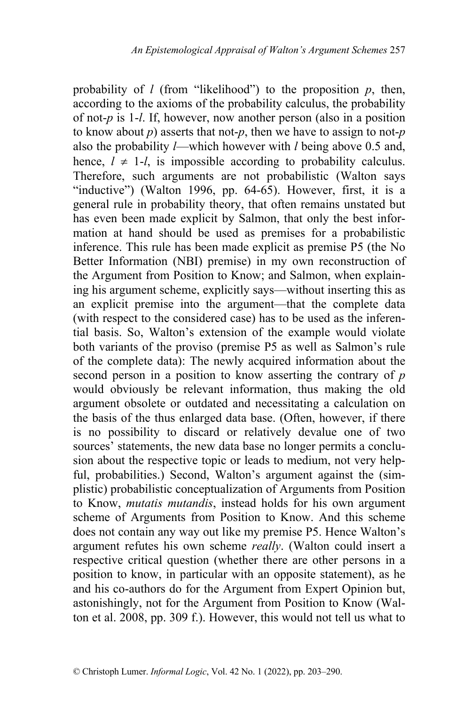probability of  $l$  (from "likelihood") to the proposition  $p$ , then, according to the axioms of the probability calculus, the probability of not-*p* is 1-*l*. If, however, now another person (also in a position to know about  $p$ ) asserts that not- $p$ , then we have to assign to not- $p$ also the probability *l*—which however with *l* being above 0.5 and, hence,  $l \neq 1$ -*l*, is impossible according to probability calculus. Therefore, such arguments are not probabilistic (Walton says "inductive") (Walton 1996, pp. 64-65). However, first, it is a general rule in probability theory, that often remains unstated but has even been made explicit by Salmon, that only the best information at hand should be used as premises for a probabilistic inference. This rule has been made explicit as premise P5 (the No Better Information (NBI) premise) in my own reconstruction of the Argument from Position to Know; and Salmon, when explaining his argument scheme, explicitly says—without inserting this as an explicit premise into the argument—that the complete data (with respect to the considered case) has to be used as the inferential basis. So, Walton's extension of the example would violate both variants of the proviso (premise P5 as well as Salmon's rule of the complete data): The newly acquired information about the second person in a position to know asserting the contrary of *p* would obviously be relevant information, thus making the old argument obsolete or outdated and necessitating a calculation on the basis of the thus enlarged data base. (Often, however, if there is no possibility to discard or relatively devalue one of two sources' statements, the new data base no longer permits a conclusion about the respective topic or leads to medium, not very helpful, probabilities.) Second, Walton's argument against the (simplistic) probabilistic conceptualization of Arguments from Position to Know, *mutatis mutandis*, instead holds for his own argument scheme of Arguments from Position to Know. And this scheme does not contain any way out like my premise P5. Hence Walton's argument refutes his own scheme *really*. (Walton could insert a respective critical question (whether there are other persons in a position to know, in particular with an opposite statement), as he and his co-authors do for the Argument from Expert Opinion but, astonishingly, not for the Argument from Position to Know (Walton et al. 2008, pp. 309 f.). However, this would not tell us what to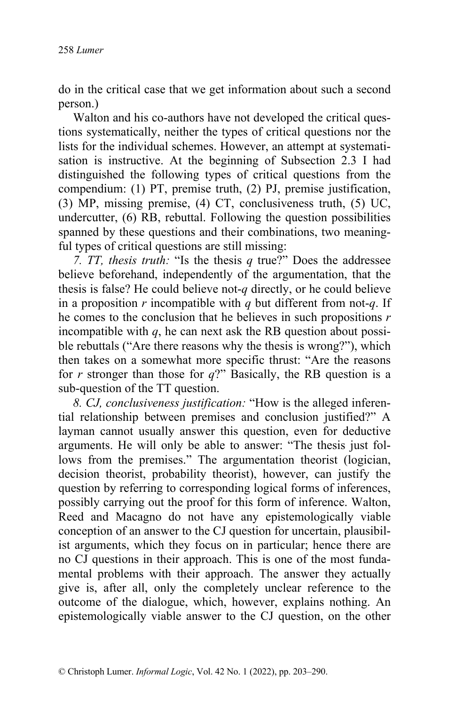do in the critical case that we get information about such a second person.)

Walton and his co-authors have not developed the critical questions systematically, neither the types of critical questions nor the lists for the individual schemes. However, an attempt at systematisation is instructive. At the beginning of Subsection 2.3 I had distinguished the following types of critical questions from the compendium: (1) PT, premise truth, (2) PJ, premise justification, (3) MP, missing premise, (4) CT, conclusiveness truth, (5) UC, undercutter, (6) RB, rebuttal. Following the question possibilities spanned by these questions and their combinations, two meaningful types of critical questions are still missing:

*7. TT, thesis truth:* "Is the thesis *q* true?" Does the addressee believe beforehand, independently of the argumentation, that the thesis is false? He could believe not-*q* directly, or he could believe in a proposition *r* incompatible with *q* but different from not-*q*. If he comes to the conclusion that he believes in such propositions *r* incompatible with  $q$ , he can next ask the RB question about possible rebuttals ("Are there reasons why the thesis is wrong?"), which then takes on a somewhat more specific thrust: "Are the reasons for *r* stronger than those for *q*?" Basically, the RB question is a sub-question of the TT question.

*8. CJ, conclusiveness justification:* "How is the alleged inferential relationship between premises and conclusion justified?" A layman cannot usually answer this question, even for deductive arguments. He will only be able to answer: "The thesis just follows from the premises." The argumentation theorist (logician, decision theorist, probability theorist), however, can justify the question by referring to corresponding logical forms of inferences, possibly carrying out the proof for this form of inference. Walton, Reed and Macagno do not have any epistemologically viable conception of an answer to the CJ question for uncertain, plausibilist arguments, which they focus on in particular; hence there are no CJ questions in their approach. This is one of the most fundamental problems with their approach. The answer they actually give is, after all, only the completely unclear reference to the outcome of the dialogue, which, however, explains nothing. An epistemologically viable answer to the CJ question, on the other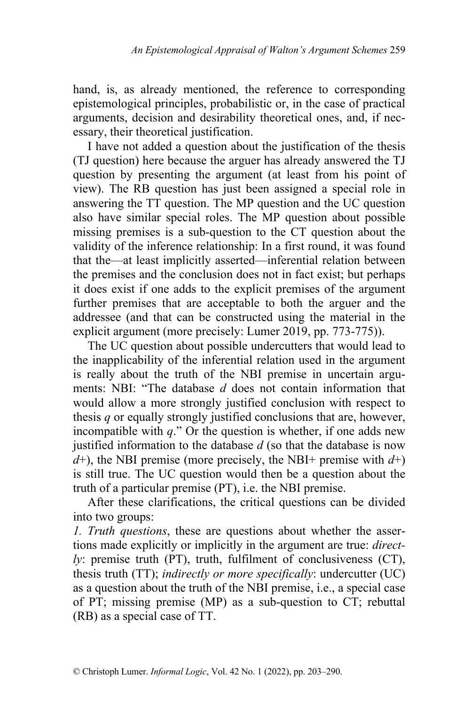hand, is, as already mentioned, the reference to corresponding epistemological principles, probabilistic or, in the case of practical arguments, decision and desirability theoretical ones, and, if necessary, their theoretical justification.

I have not added a question about the justification of the thesis (TJ question) here because the arguer has already answered the TJ question by presenting the argument (at least from his point of view). The RB question has just been assigned a special role in answering the TT question. The MP question and the UC question also have similar special roles. The MP question about possible missing premises is a sub-question to the CT question about the validity of the inference relationship: In a first round, it was found that the—at least implicitly asserted—inferential relation between the premises and the conclusion does not in fact exist; but perhaps it does exist if one adds to the explicit premises of the argument further premises that are acceptable to both the arguer and the addressee (and that can be constructed using the material in the explicit argument (more precisely: Lumer 2019, pp. 773-775)).

The UC question about possible undercutters that would lead to the inapplicability of the inferential relation used in the argument is really about the truth of the NBI premise in uncertain arguments: NBI: "The database *d* does not contain information that would allow a more strongly justified conclusion with respect to thesis *q* or equally strongly justified conclusions that are, however, incompatible with *q*." Or the question is whether, if one adds new justified information to the database *d* (so that the database is now  $d$ <sup>+</sup>), the NBI premise (more precisely, the NBI+ premise with  $d$ <sup>+</sup>) is still true. The UC question would then be a question about the truth of a particular premise (PT), i.e. the NBI premise.

After these clarifications, the critical questions can be divided into two groups:

*1. Truth questions*, these are questions about whether the assertions made explicitly or implicitly in the argument are true: *directly*: premise truth (PT), truth, fulfilment of conclusiveness (CT), thesis truth (TT); *indirectly or more specifically*: undercutter (UC) as a question about the truth of the NBI premise, i.e., a special case of PT; missing premise (MP) as a sub-question to CT; rebuttal (RB) as a special case of TT.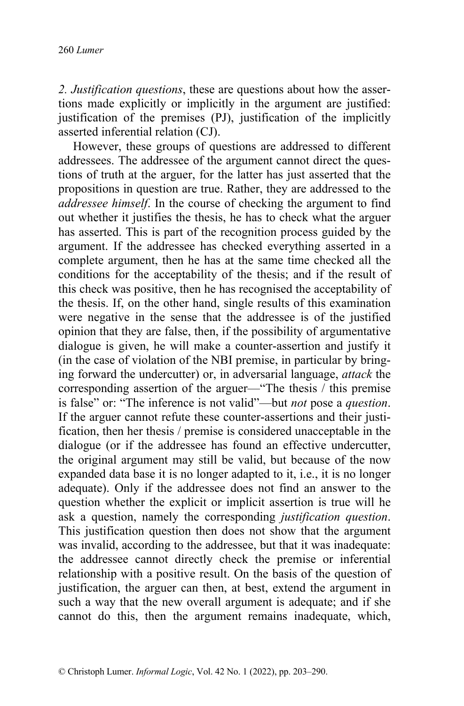*2. Justification questions*, these are questions about how the assertions made explicitly or implicitly in the argument are justified: justification of the premises (PJ), justification of the implicitly asserted inferential relation (CJ).

However, these groups of questions are addressed to different addressees. The addressee of the argument cannot direct the questions of truth at the arguer, for the latter has just asserted that the propositions in question are true. Rather, they are addressed to the *addressee himself*. In the course of checking the argument to find out whether it justifies the thesis, he has to check what the arguer has asserted. This is part of the recognition process guided by the argument. If the addressee has checked everything asserted in a complete argument, then he has at the same time checked all the conditions for the acceptability of the thesis; and if the result of this check was positive, then he has recognised the acceptability of the thesis. If, on the other hand, single results of this examination were negative in the sense that the addressee is of the justified opinion that they are false, then, if the possibility of argumentative dialogue is given, he will make a counter-assertion and justify it (in the case of violation of the NBI premise, in particular by bringing forward the undercutter) or, in adversarial language, *attack* the corresponding assertion of the arguer—"The thesis / this premise is false" or: "The inference is not valid"—but *not* pose a *question*. If the arguer cannot refute these counter-assertions and their justification, then her thesis / premise is considered unacceptable in the dialogue (or if the addressee has found an effective undercutter, the original argument may still be valid, but because of the now expanded data base it is no longer adapted to it, i.e., it is no longer adequate). Only if the addressee does not find an answer to the question whether the explicit or implicit assertion is true will he ask a question, namely the corresponding *justification question*. This justification question then does not show that the argument was invalid, according to the addressee, but that it was inadequate: the addressee cannot directly check the premise or inferential relationship with a positive result. On the basis of the question of justification, the arguer can then, at best, extend the argument in such a way that the new overall argument is adequate; and if she cannot do this, then the argument remains inadequate, which,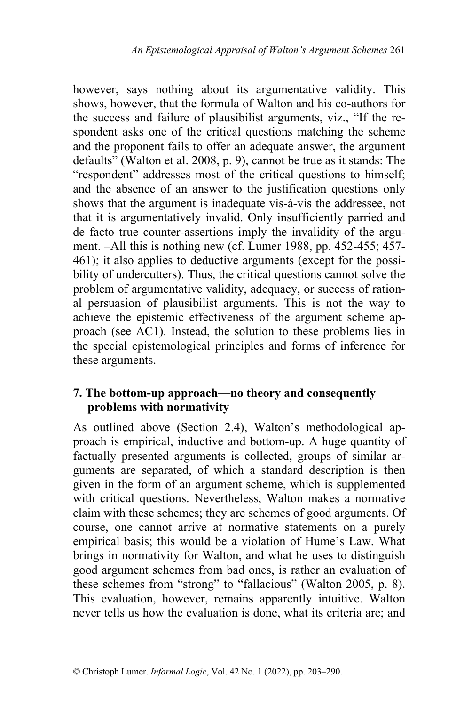however, says nothing about its argumentative validity. This shows, however, that the formula of Walton and his co-authors for the success and failure of plausibilist arguments, viz., "If the respondent asks one of the critical questions matching the scheme and the proponent fails to offer an adequate answer, the argument defaults" (Walton et al. 2008, p. 9), cannot be true as it stands: The "respondent" addresses most of the critical questions to himself; and the absence of an answer to the justification questions only shows that the argument is inadequate vis-à-vis the addressee, not that it is argumentatively invalid. Only insufficiently parried and de facto true counter-assertions imply the invalidity of the argument. –All this is nothing new (cf. Lumer 1988, pp. 452-455; 457- 461); it also applies to deductive arguments (except for the possibility of undercutters). Thus, the critical questions cannot solve the problem of argumentative validity, adequacy, or success of rational persuasion of plausibilist arguments. This is not the way to achieve the epistemic effectiveness of the argument scheme approach (see AC1). Instead, the solution to these problems lies in the special epistemological principles and forms of inference for these arguments.

## **7. The bottom-up approach—no theory and consequently problems with normativity**

As outlined above (Section 2.4), Walton's methodological approach is empirical, inductive and bottom-up. A huge quantity of factually presented arguments is collected, groups of similar arguments are separated, of which a standard description is then given in the form of an argument scheme, which is supplemented with critical questions. Nevertheless, Walton makes a normative claim with these schemes; they are schemes of good arguments. Of course, one cannot arrive at normative statements on a purely empirical basis; this would be a violation of Hume's Law. What brings in normativity for Walton, and what he uses to distinguish good argument schemes from bad ones, is rather an evaluation of these schemes from "strong" to "fallacious" (Walton 2005, p. 8). This evaluation, however, remains apparently intuitive. Walton never tells us how the evaluation is done, what its criteria are; and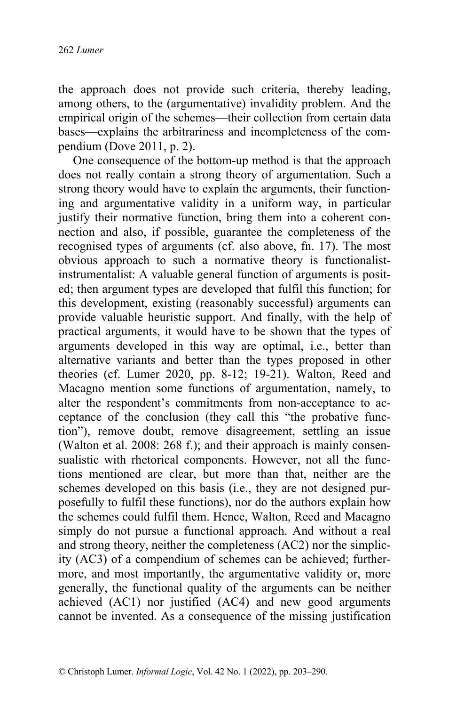the approach does not provide such criteria, thereby leading, among others, to the (argumentative) invalidity problem. And the empirical origin of the schemes—their collection from certain data bases—explains the arbitrariness and incompleteness of the compendium (Dove 2011, p. 2).

One consequence of the bottom-up method is that the approach does not really contain a strong theory of argumentation. Such a strong theory would have to explain the arguments, their functioning and argumentative validity in a uniform way, in particular justify their normative function, bring them into a coherent connection and also, if possible, guarantee the completeness of the recognised types of arguments (cf. also above, fn. 17). The most obvious approach to such a normative theory is functionalistinstrumentalist: A valuable general function of arguments is posited; then argument types are developed that fulfil this function; for this development, existing (reasonably successful) arguments can provide valuable heuristic support. And finally, with the help of practical arguments, it would have to be shown that the types of arguments developed in this way are optimal, i.e., better than alternative variants and better than the types proposed in other theories (cf. Lumer 2020, pp. 8-12; 19-21). Walton, Reed and Macagno mention some functions of argumentation, namely, to alter the respondent's commitments from non-acceptance to acceptance of the conclusion (they call this "the probative function"), remove doubt, remove disagreement, settling an issue (Walton et al. 2008: 268 f.); and their approach is mainly consensualistic with rhetorical components. However, not all the functions mentioned are clear, but more than that, neither are the schemes developed on this basis (i.e., they are not designed purposefully to fulfil these functions), nor do the authors explain how the schemes could fulfil them. Hence, Walton, Reed and Macagno simply do not pursue a functional approach. And without a real and strong theory, neither the completeness (AC2) nor the simplicity (AC3) of a compendium of schemes can be achieved; furthermore, and most importantly, the argumentative validity or, more generally, the functional quality of the arguments can be neither achieved (AC1) nor justified (AC4) and new good arguments cannot be invented. As a consequence of the missing justification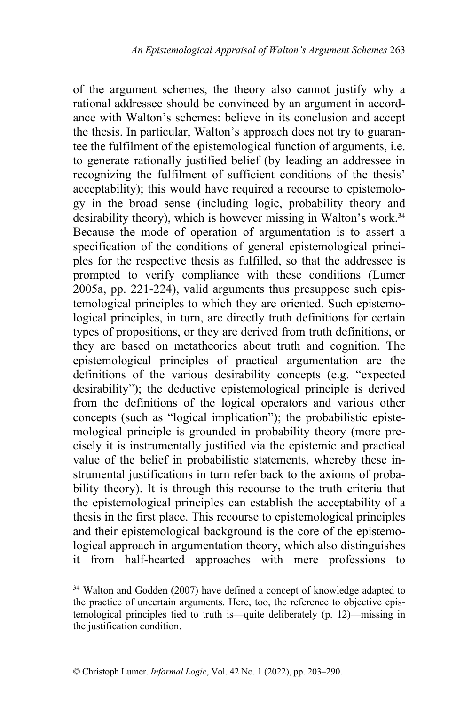of the argument schemes, the theory also cannot justify why a rational addressee should be convinced by an argument in accordance with Walton's schemes: believe in its conclusion and accept the thesis. In particular, Walton's approach does not try to guarantee the fulfilment of the epistemological function of arguments, i.e. to generate rationally justified belief (by leading an addressee in recognizing the fulfilment of sufficient conditions of the thesis' acceptability); this would have required a recourse to epistemology in the broad sense (including logic, probability theory and desirability theory), which is however missing in Walton's work.<sup>34</sup> Because the mode of operation of argumentation is to assert a specification of the conditions of general epistemological principles for the respective thesis as fulfilled, so that the addressee is prompted to verify compliance with these conditions (Lumer 2005a, pp. 221-224), valid arguments thus presuppose such epistemological principles to which they are oriented. Such epistemological principles, in turn, are directly truth definitions for certain types of propositions, or they are derived from truth definitions, or they are based on metatheories about truth and cognition. The epistemological principles of practical argumentation are the definitions of the various desirability concepts (e.g. "expected desirability"); the deductive epistemological principle is derived from the definitions of the logical operators and various other concepts (such as "logical implication"); the probabilistic epistemological principle is grounded in probability theory (more precisely it is instrumentally justified via the epistemic and practical value of the belief in probabilistic statements, whereby these instrumental justifications in turn refer back to the axioms of probability theory). It is through this recourse to the truth criteria that the epistemological principles can establish the acceptability of a thesis in the first place. This recourse to epistemological principles and their epistemological background is the core of the epistemological approach in argumentation theory, which also distinguishes it from half-hearted approaches with mere professions to

<sup>&</sup>lt;sup>34</sup> Walton and Godden (2007) have defined a concept of knowledge adapted to the practice of uncertain arguments. Here, too, the reference to objective epistemological principles tied to truth is—quite deliberately (p. 12)—missing in the justification condition.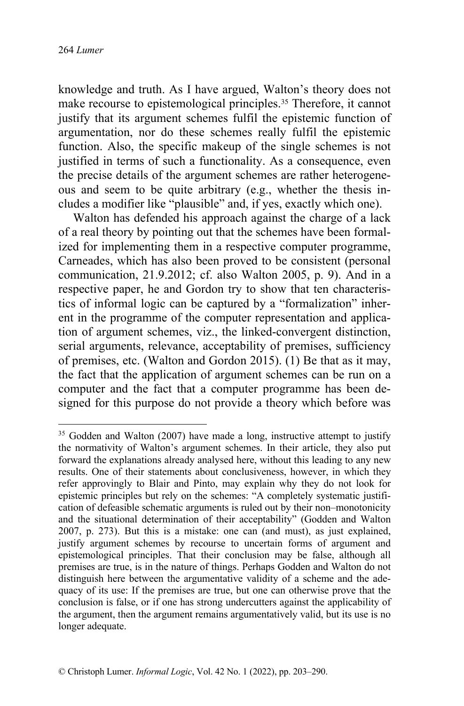knowledge and truth. As I have argued, Walton's theory does not make recourse to epistemological principles.<sup>35</sup> Therefore, it cannot justify that its argument schemes fulfil the epistemic function of argumentation, nor do these schemes really fulfil the epistemic function. Also, the specific makeup of the single schemes is not justified in terms of such a functionality. As a consequence, even the precise details of the argument schemes are rather heterogeneous and seem to be quite arbitrary (e.g., whether the thesis includes a modifier like "plausible" and, if yes, exactly which one).

Walton has defended his approach against the charge of a lack of a real theory by pointing out that the schemes have been formalized for implementing them in a respective computer programme, Carneades, which has also been proved to be consistent (personal communication, 21.9.2012; cf. also Walton 2005, p. 9). And in a respective paper, he and Gordon try to show that ten characteristics of informal logic can be captured by a "formalization" inherent in the programme of the computer representation and application of argument schemes, viz., the linked-convergent distinction, serial arguments, relevance, acceptability of premises, sufficiency of premises, etc. (Walton and Gordon 2015). (1) Be that as it may, the fact that the application of argument schemes can be run on a computer and the fact that a computer programme has been designed for this purpose do not provide a theory which before was

<sup>&</sup>lt;sup>35</sup> Godden and Walton (2007) have made a long, instructive attempt to justify the normativity of Walton's argument schemes. In their article, they also put forward the explanations already analysed here, without this leading to any new results. One of their statements about conclusiveness, however, in which they refer approvingly to Blair and Pinto, may explain why they do not look for epistemic principles but rely on the schemes: "A completely systematic justification of defeasible schematic arguments is ruled out by their non–monotonicity and the situational determination of their acceptability" (Godden and Walton 2007, p. 273). But this is a mistake: one can (and must), as just explained, justify argument schemes by recourse to uncertain forms of argument and epistemological principles. That their conclusion may be false, although all premises are true, is in the nature of things. Perhaps Godden and Walton do not distinguish here between the argumentative validity of a scheme and the adequacy of its use: If the premises are true, but one can otherwise prove that the conclusion is false, or if one has strong undercutters against the applicability of the argument, then the argument remains argumentatively valid, but its use is no longer adequate.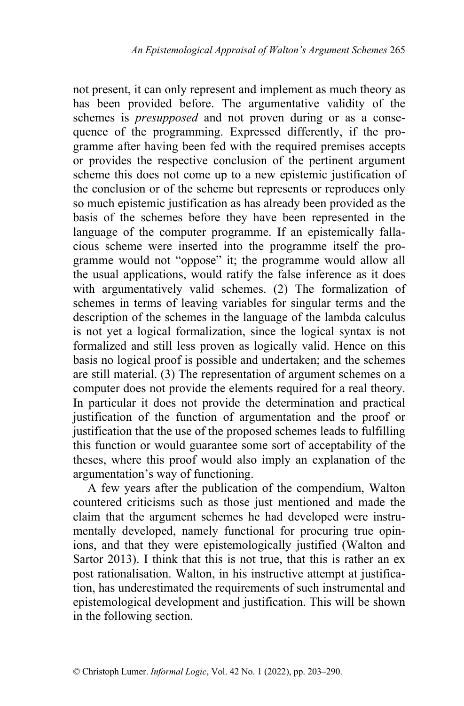not present, it can only represent and implement as much theory as has been provided before. The argumentative validity of the schemes is *presupposed* and not proven during or as a consequence of the programming. Expressed differently, if the programme after having been fed with the required premises accepts or provides the respective conclusion of the pertinent argument scheme this does not come up to a new epistemic justification of the conclusion or of the scheme but represents or reproduces only so much epistemic justification as has already been provided as the basis of the schemes before they have been represented in the language of the computer programme. If an epistemically fallacious scheme were inserted into the programme itself the programme would not "oppose" it; the programme would allow all the usual applications, would ratify the false inference as it does with argumentatively valid schemes. (2) The formalization of schemes in terms of leaving variables for singular terms and the description of the schemes in the language of the lambda calculus is not yet a logical formalization, since the logical syntax is not formalized and still less proven as logically valid. Hence on this basis no logical proof is possible and undertaken; and the schemes are still material. (3) The representation of argument schemes on a computer does not provide the elements required for a real theory. In particular it does not provide the determination and practical justification of the function of argumentation and the proof or justification that the use of the proposed schemes leads to fulfilling this function or would guarantee some sort of acceptability of the theses, where this proof would also imply an explanation of the argumentation's way of functioning.

A few years after the publication of the compendium, Walton countered criticisms such as those just mentioned and made the claim that the argument schemes he had developed were instrumentally developed, namely functional for procuring true opinions, and that they were epistemologically justified (Walton and Sartor 2013). I think that this is not true, that this is rather an ex post rationalisation. Walton, in his instructive attempt at justification, has underestimated the requirements of such instrumental and epistemological development and justification. This will be shown in the following section.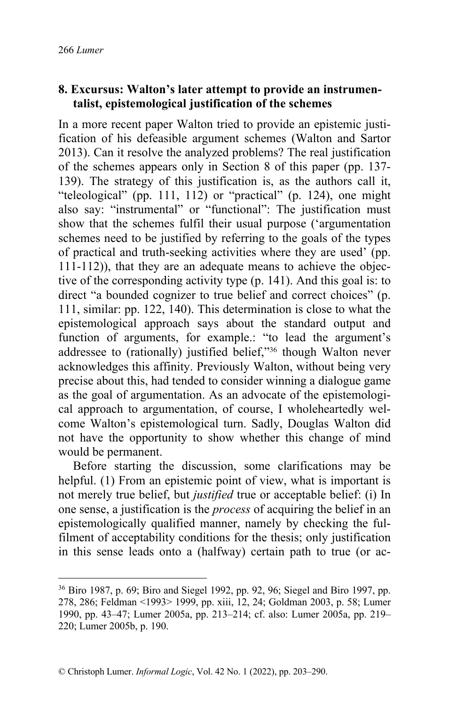## **8. Excursus: Walton's later attempt to provide an instrumentalist, epistemological justification of the schemes**

In a more recent paper Walton tried to provide an epistemic justification of his defeasible argument schemes (Walton and Sartor 2013). Can it resolve the analyzed problems? The real justification of the schemes appears only in Section 8 of this paper (pp. 137- 139). The strategy of this justification is, as the authors call it, "teleological" (pp. 111, 112) or "practical" (p. 124), one might also say: "instrumental" or "functional": The justification must show that the schemes fulfil their usual purpose ('argumentation schemes need to be justified by referring to the goals of the types of practical and truth-seeking activities where they are used' (pp. 111-112)), that they are an adequate means to achieve the objective of the corresponding activity type (p. 141). And this goal is: to direct "a bounded cognizer to true belief and correct choices" (p. 111, similar: pp. 122, 140). This determination is close to what the epistemological approach says about the standard output and function of arguments, for example.: "to lead the argument's addressee to (rationally) justified belief,"<sup>36</sup> though Walton never acknowledges this affinity. Previously Walton, without being very precise about this, had tended to consider winning a dialogue game as the goal of argumentation. As an advocate of the epistemological approach to argumentation, of course, I wholeheartedly welcome Walton's epistemological turn. Sadly, Douglas Walton did not have the opportunity to show whether this change of mind would be permanent.

Before starting the discussion, some clarifications may be helpful. (1) From an epistemic point of view, what is important is not merely true belief, but *justified* true or acceptable belief: (i) In one sense, a justification is the *process* of acquiring the belief in an epistemologically qualified manner, namely by checking the fulfilment of acceptability conditions for the thesis; only justification in this sense leads onto a (halfway) certain path to true (or ac-

<sup>36</sup> Biro 1987, p. 69; Biro and Siegel 1992, pp. 92, 96; Siegel and Biro 1997, pp. 278, 286; Feldman <1993> 1999, pp. xiii, 12, 24; Goldman 2003, p. 58; Lumer 1990, pp. 43–47; Lumer 2005a, pp. 213–214; cf. also: Lumer 2005a, pp. 219– 220; Lumer 2005b, p. 190.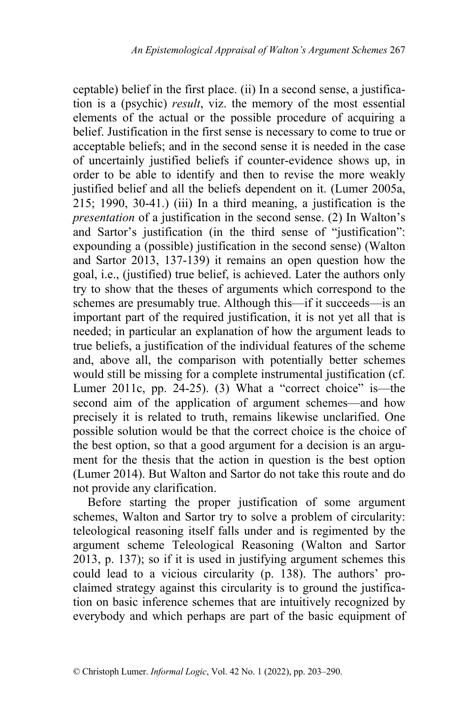ceptable) belief in the first place. (ii) In a second sense, a justification is a (psychic) *result*, viz. the memory of the most essential elements of the actual or the possible procedure of acquiring a belief. Justification in the first sense is necessary to come to true or acceptable beliefs; and in the second sense it is needed in the case of uncertainly justified beliefs if counter-evidence shows up, in order to be able to identify and then to revise the more weakly justified belief and all the beliefs dependent on it. (Lumer 2005a,  $215$ ; 1990, 30-41.) (iii) In a third meaning, a justification is the *presentation* of a justification in the second sense. (2) In Walton's and Sartor's justification (in the third sense of "justification": expounding a (possible) justification in the second sense) (Walton and Sartor 2013, 137-139) it remains an open question how the goal, i.e., (justified) true belief, is achieved. Later the authors only try to show that the theses of arguments which correspond to the schemes are presumably true. Although this—if it succeeds—is an important part of the required justification, it is not yet all that is needed; in particular an explanation of how the argument leads to true beliefs, a justification of the individual features of the scheme and, above all, the comparison with potentially better schemes would still be missing for a complete instrumental justification (cf. Lumer 2011c, pp. 24-25). (3) What a "correct choice" is—the second aim of the application of argument schemes—and how precisely it is related to truth, remains likewise unclarified. One possible solution would be that the correct choice is the choice of the best option, so that a good argument for a decision is an argument for the thesis that the action in question is the best option (Lumer 2014). But Walton and Sartor do not take this route and do not provide any clarification.

Before starting the proper justification of some argument schemes, Walton and Sartor try to solve a problem of circularity: teleological reasoning itself falls under and is regimented by the argument scheme Teleological Reasoning (Walton and Sartor 2013, p. 137); so if it is used in justifying argument schemes this could lead to a vicious circularity (p. 138). The authors' proclaimed strategy against this circularity is to ground the justification on basic inference schemes that are intuitively recognized by everybody and which perhaps are part of the basic equipment of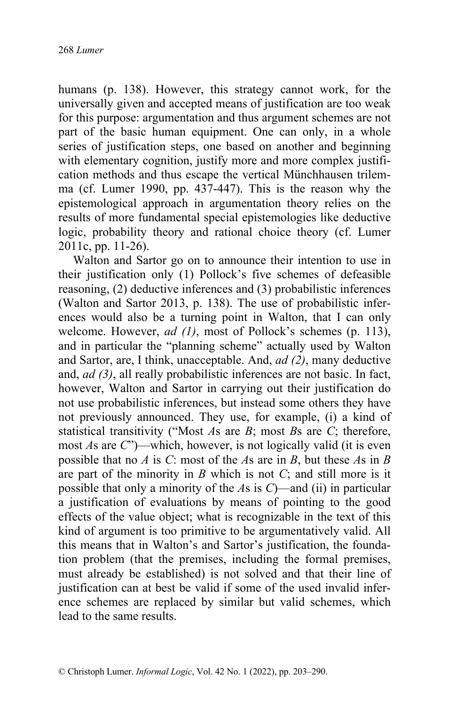humans (p. 138). However, this strategy cannot work, for the universally given and accepted means of justification are too weak for this purpose: argumentation and thus argument schemes are not part of the basic human equipment. One can only, in a whole series of justification steps, one based on another and beginning with elementary cognition, justify more and more complex justification methods and thus escape the vertical Münchhausen trilemma (cf. Lumer 1990, pp. 437-447). This is the reason why the epistemological approach in argumentation theory relies on the results of more fundamental special epistemologies like deductive logic, probability theory and rational choice theory (cf. Lumer 2011c, pp. 11-26).

Walton and Sartor go on to announce their intention to use in their justification only (1) Pollock's five schemes of defeasible reasoning, (2) deductive inferences and (3) probabilistic inferences (Walton and Sartor 2013, p. 138). The use of probabilistic inferences would also be a turning point in Walton, that I can only welcome. However, *ad (1)*, most of Pollock's schemes (p. 113), and in particular the "planning scheme" actually used by Walton and Sartor, are, I think, unacceptable. And, *ad (2)*, many deductive and, *ad (3)*, all really probabilistic inferences are not basic. In fact, however, Walton and Sartor in carrying out their justification do not use probabilistic inferences, but instead some others they have not previously announced. They use, for example, (i) a kind of statistical transitivity ("Most *A*s are *B*; most *B*s are *C*; therefore, most *A*s are *C*")—which, however, is not logically valid (it is even possible that no *A* is *C*: most of the *A*s are in *B*, but these *A*s in *B* are part of the minority in *B* which is not *C*; and still more is it possible that only a minority of the *A*s is *C*)—and (ii) in particular a justification of evaluations by means of pointing to the good effects of the value object; what is recognizable in the text of this kind of argument is too primitive to be argumentatively valid. All this means that in Walton's and Sartor's justification, the foundation problem (that the premises, including the formal premises, must already be established) is not solved and that their line of justification can at best be valid if some of the used invalid inference schemes are replaced by similar but valid schemes, which lead to the same results.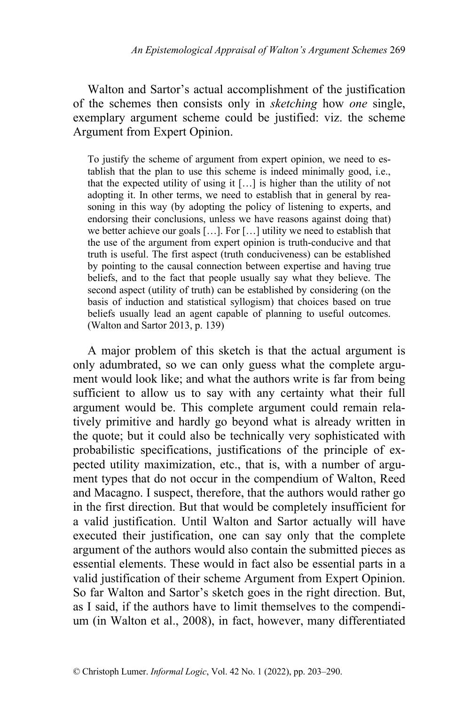Walton and Sartor's actual accomplishment of the justification of the schemes then consists only in *sketching* how *one* single, exemplary argument scheme could be justified: viz. the scheme Argument from Expert Opinion.

To justify the scheme of argument from expert opinion, we need to establish that the plan to use this scheme is indeed minimally good, i.e., that the expected utility of using it […] is higher than the utility of not adopting it. In other terms, we need to establish that in general by reasoning in this way (by adopting the policy of listening to experts, and endorsing their conclusions, unless we have reasons against doing that) we better achieve our goals […]. For […] utility we need to establish that the use of the argument from expert opinion is truth-conducive and that truth is useful. The first aspect (truth conduciveness) can be established by pointing to the causal connection between expertise and having true beliefs, and to the fact that people usually say what they believe. The second aspect (utility of truth) can be established by considering (on the basis of induction and statistical syllogism) that choices based on true beliefs usually lead an agent capable of planning to useful outcomes. (Walton and Sartor 2013, p. 139)

A major problem of this sketch is that the actual argument is only adumbrated, so we can only guess what the complete argument would look like; and what the authors write is far from being sufficient to allow us to say with any certainty what their full argument would be. This complete argument could remain relatively primitive and hardly go beyond what is already written in the quote; but it could also be technically very sophisticated with probabilistic specifications, justifications of the principle of expected utility maximization, etc., that is, with a number of argument types that do not occur in the compendium of Walton, Reed and Macagno. I suspect, therefore, that the authors would rather go in the first direction. But that would be completely insufficient for a valid justification. Until Walton and Sartor actually will have executed their justification, one can say only that the complete argument of the authors would also contain the submitted pieces as essential elements. These would in fact also be essential parts in a valid justification of their scheme Argument from Expert Opinion. So far Walton and Sartor's sketch goes in the right direction. But, as I said, if the authors have to limit themselves to the compendium (in Walton et al., 2008), in fact, however, many differentiated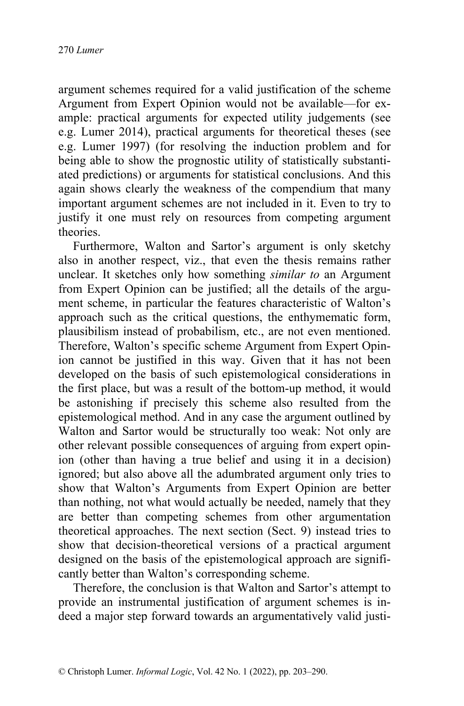argument schemes required for a valid justification of the scheme Argument from Expert Opinion would not be available—for example: practical arguments for expected utility judgements (see e.g. Lumer 2014), practical arguments for theoretical theses (see e.g. Lumer 1997) (for resolving the induction problem and for being able to show the prognostic utility of statistically substantiated predictions) or arguments for statistical conclusions. And this again shows clearly the weakness of the compendium that many important argument schemes are not included in it. Even to try to justify it one must rely on resources from competing argument theories.

Furthermore, Walton and Sartor's argument is only sketchy also in another respect, viz., that even the thesis remains rather unclear. It sketches only how something *similar to* an Argument from Expert Opinion can be justified; all the details of the argument scheme, in particular the features characteristic of Walton's approach such as the critical questions, the enthymematic form, plausibilism instead of probabilism, etc., are not even mentioned. Therefore, Walton's specific scheme Argument from Expert Opinion cannot be justified in this way. Given that it has not been developed on the basis of such epistemological considerations in the first place, but was a result of the bottom-up method, it would be astonishing if precisely this scheme also resulted from the epistemological method. And in any case the argument outlined by Walton and Sartor would be structurally too weak: Not only are other relevant possible consequences of arguing from expert opinion (other than having a true belief and using it in a decision) ignored; but also above all the adumbrated argument only tries to show that Walton's Arguments from Expert Opinion are better than nothing, not what would actually be needed, namely that they are better than competing schemes from other argumentation theoretical approaches. The next section (Sect. 9) instead tries to show that decision-theoretical versions of a practical argument designed on the basis of the epistemological approach are significantly better than Walton's corresponding scheme.

Therefore, the conclusion is that Walton and Sartor's attempt to provide an instrumental justification of argument schemes is indeed a major step forward towards an argumentatively valid justi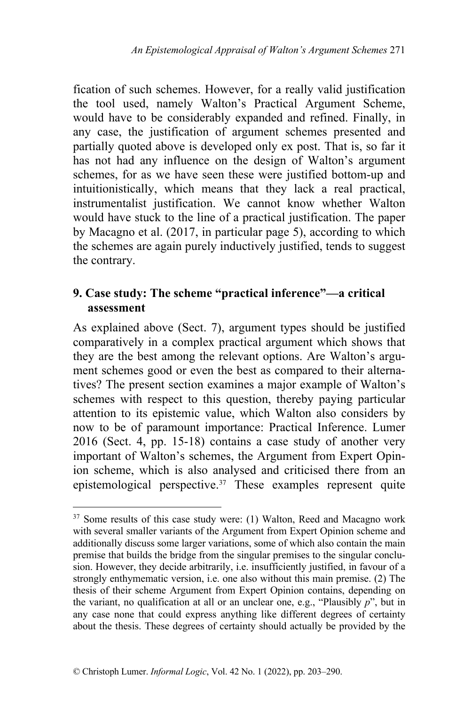fication of such schemes. However, for a really valid justification the tool used, namely Walton's Practical Argument Scheme, would have to be considerably expanded and refined. Finally, in any case, the justification of argument schemes presented and partially quoted above is developed only ex post. That is, so far it has not had any influence on the design of Walton's argument schemes, for as we have seen these were justified bottom-up and intuitionistically, which means that they lack a real practical, instrumentalist justification. We cannot know whether Walton would have stuck to the line of a practical justification. The paper by Macagno et al. (2017, in particular page 5), according to which the schemes are again purely inductively justified, tends to suggest the contrary.

# **9. Case study: The scheme "practical inference"—a critical assessment**

As explained above (Sect. 7), argument types should be justified comparatively in a complex practical argument which shows that they are the best among the relevant options. Are Walton's argument schemes good or even the best as compared to their alternatives? The present section examines a major example of Walton's schemes with respect to this question, thereby paying particular attention to its epistemic value, which Walton also considers by now to be of paramount importance: Practical Inference. Lumer 2016 (Sect. 4, pp. 15-18) contains a case study of another very important of Walton's schemes, the Argument from Expert Opinion scheme, which is also analysed and criticised there from an epistemological perspective. $37$  These examples represent quite

<sup>&</sup>lt;sup>37</sup> Some results of this case study were: (1) Walton, Reed and Macagno work with several smaller variants of the Argument from Expert Opinion scheme and additionally discuss some larger variations, some of which also contain the main premise that builds the bridge from the singular premises to the singular conclusion. However, they decide arbitrarily, i.e. insufficiently justified, in favour of a strongly enthymematic version, i.e. one also without this main premise. (2) The thesis of their scheme Argument from Expert Opinion contains, depending on the variant, no qualification at all or an unclear one, e.g., "Plausibly *p*", but in any case none that could express anything like different degrees of certainty about the thesis. These degrees of certainty should actually be provided by the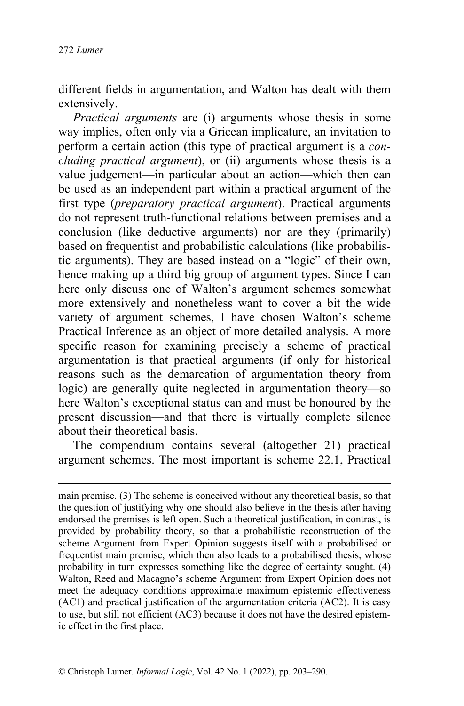different fields in argumentation, and Walton has dealt with them extensively.

*Practical arguments* are (i) arguments whose thesis in some way implies, often only via a Gricean implicature, an invitation to perform a certain action (this type of practical argument is a *concluding practical argument*), or (ii) arguments whose thesis is a value judgement—in particular about an action—which then can be used as an independent part within a practical argument of the first type (*preparatory practical argument*). Practical arguments do not represent truth-functional relations between premises and a conclusion (like deductive arguments) nor are they (primarily) based on frequentist and probabilistic calculations (like probabilistic arguments). They are based instead on a "logic" of their own, hence making up a third big group of argument types. Since I can here only discuss one of Walton's argument schemes somewhat more extensively and nonetheless want to cover a bit the wide variety of argument schemes, I have chosen Walton's scheme Practical Inference as an object of more detailed analysis. A more specific reason for examining precisely a scheme of practical argumentation is that practical arguments (if only for historical reasons such as the demarcation of argumentation theory from logic) are generally quite neglected in argumentation theory—so here Walton's exceptional status can and must be honoured by the present discussion—and that there is virtually complete silence about their theoretical basis.

The compendium contains several (altogether 21) practical argument schemes. The most important is scheme 22.1, Practical

main premise. (3) The scheme is conceived without any theoretical basis, so that the question of justifying why one should also believe in the thesis after having endorsed the premises is left open. Such a theoretical justification, in contrast, is provided by probability theory, so that a probabilistic reconstruction of the scheme Argument from Expert Opinion suggests itself with a probabilised or frequentist main premise, which then also leads to a probabilised thesis, whose probability in turn expresses something like the degree of certainty sought. (4) Walton, Reed and Macagno's scheme Argument from Expert Opinion does not meet the adequacy conditions approximate maximum epistemic effectiveness (AC1) and practical justification of the argumentation criteria (AC2). It is easy to use, but still not efficient (AC3) because it does not have the desired epistemic effect in the first place.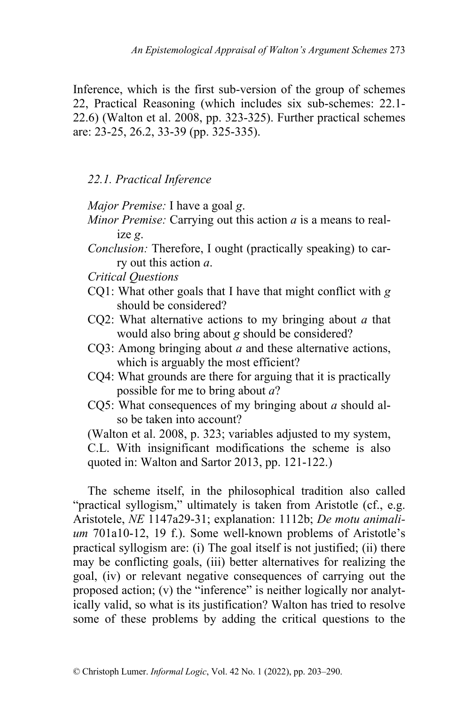Inference, which is the first sub-version of the group of schemes 22, Practical Reasoning (which includes six sub-schemes: 22.1- 22.6) (Walton et al. 2008, pp. 323-325). Further practical schemes are: 23-25, 26.2, 33-39 (pp. 325-335).

*22.1. Practical Inference*

*Major Premise:* I have a goal *g*.

- *Minor Premise:* Carrying out this action *a* is a means to realize *g*.
- *Conclusion:* Therefore, I ought (practically speaking) to carry out this action *a*.
- *Critical Questions*
- CQ1: What other goals that I have that might conflict with *g* should be considered?
- CQ2: What alternative actions to my bringing about *a* that would also bring about *g* should be considered?
- CQ3: Among bringing about *a* and these alternative actions, which is arguably the most efficient?
- CQ4: What grounds are there for arguing that it is practically possible for me to bring about *a*?
- CQ5: What consequences of my bringing about *a* should also be taken into account?

(Walton et al. 2008, p. 323; variables adjusted to my system, C.L. With insignificant modifications the scheme is also quoted in: Walton and Sartor 2013, pp. 121-122.)

The scheme itself, in the philosophical tradition also called "practical syllogism," ultimately is taken from Aristotle (cf., e.g. Aristotele, *NE* 1147a29-31; explanation: 1112b; *De motu animalium* 701a10-12, 19 f.). Some well-known problems of Aristotle's practical syllogism are: (i) The goal itself is not justified; (ii) there may be conflicting goals, (iii) better alternatives for realizing the goal, (iv) or relevant negative consequences of carrying out the proposed action; (v) the "inference" is neither logically nor analytically valid, so what is its justification? Walton has tried to resolve some of these problems by adding the critical questions to the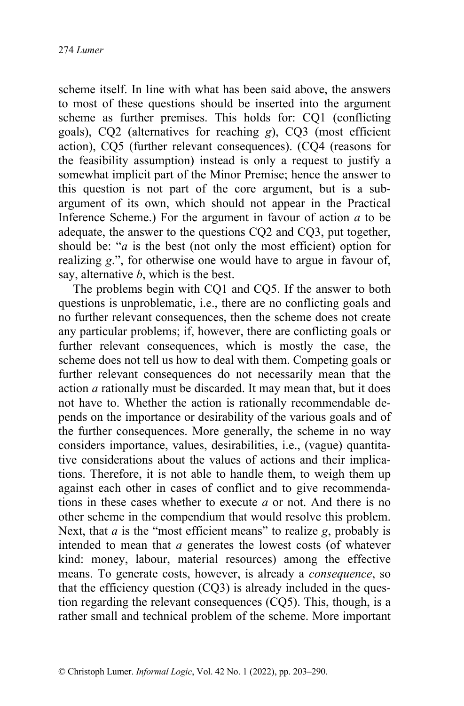scheme itself. In line with what has been said above, the answers to most of these questions should be inserted into the argument scheme as further premises. This holds for: CQ1 (conflicting goals), CQ2 (alternatives for reaching *g*), CQ3 (most efficient action), CQ5 (further relevant consequences). (CQ4 (reasons for the feasibility assumption) instead is only a request to justify a somewhat implicit part of the Minor Premise; hence the answer to this question is not part of the core argument, but is a subargument of its own, which should not appear in the Practical Inference Scheme.) For the argument in favour of action *a* to be adequate, the answer to the questions CQ2 and CQ3, put together, should be: "*a* is the best (not only the most efficient) option for realizing *g*.", for otherwise one would have to argue in favour of, say, alternative *b*, which is the best.

The problems begin with CQ1 and CQ5. If the answer to both questions is unproblematic, i.e., there are no conflicting goals and no further relevant consequences, then the scheme does not create any particular problems; if, however, there are conflicting goals or further relevant consequences, which is mostly the case, the scheme does not tell us how to deal with them. Competing goals or further relevant consequences do not necessarily mean that the action *a* rationally must be discarded. It may mean that, but it does not have to. Whether the action is rationally recommendable depends on the importance or desirability of the various goals and of the further consequences. More generally, the scheme in no way considers importance, values, desirabilities, i.e., (vague) quantitative considerations about the values of actions and their implications. Therefore, it is not able to handle them, to weigh them up against each other in cases of conflict and to give recommendations in these cases whether to execute *a* or not. And there is no other scheme in the compendium that would resolve this problem. Next, that *a* is the "most efficient means" to realize *g*, probably is intended to mean that *a* generates the lowest costs (of whatever kind: money, labour, material resources) among the effective means. To generate costs, however, is already a *consequence*, so that the efficiency question (CQ3) is already included in the question regarding the relevant consequences (CQ5). This, though, is a rather small and technical problem of the scheme. More important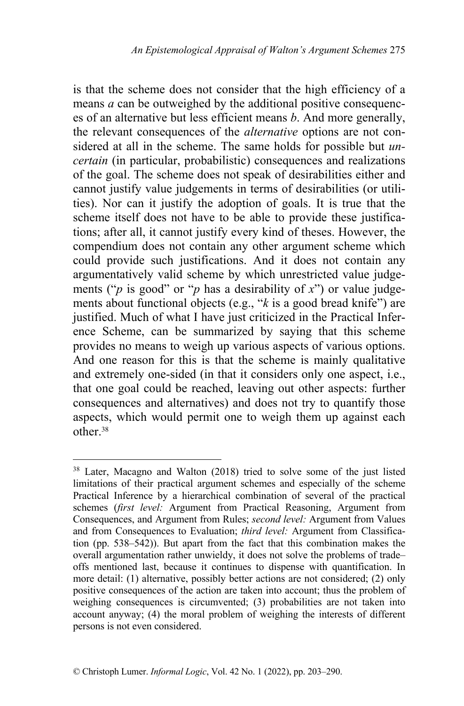is that the scheme does not consider that the high efficiency of a means *a* can be outweighed by the additional positive consequences of an alternative but less efficient means *b*. And more generally, the relevant consequences of the *alternative* options are not considered at all in the scheme. The same holds for possible but *uncertain* (in particular, probabilistic) consequences and realizations of the goal. The scheme does not speak of desirabilities either and cannot justify value judgements in terms of desirabilities (or utilities). Nor can it justify the adoption of goals. It is true that the scheme itself does not have to be able to provide these justifications; after all, it cannot justify every kind of theses. However, the compendium does not contain any other argument scheme which could provide such justifications. And it does not contain any argumentatively valid scheme by which unrestricted value judgements ("*p* is good" or "*p* has a desirability of *x*") or value judgements about functional objects (e.g., "*k* is a good bread knife") are justified. Much of what I have just criticized in the Practical Inference Scheme, can be summarized by saying that this scheme provides no means to weigh up various aspects of various options. And one reason for this is that the scheme is mainly qualitative and extremely one-sided (in that it considers only one aspect, i.e., that one goal could be reached, leaving out other aspects: further consequences and alternatives) and does not try to quantify those aspects, which would permit one to weigh them up against each other.<sup>38</sup>

<sup>&</sup>lt;sup>38</sup> Later, Macagno and Walton (2018) tried to solve some of the just listed limitations of their practical argument schemes and especially of the scheme Practical Inference by a hierarchical combination of several of the practical schemes (*first level:* Argument from Practical Reasoning, Argument from Consequences, and Argument from Rules; *second level:* Argument from Values and from Consequences to Evaluation; *third level:* Argument from Classification (pp. 538–542)). But apart from the fact that this combination makes the overall argumentation rather unwieldy, it does not solve the problems of trade– offs mentioned last, because it continues to dispense with quantification. In more detail: (1) alternative, possibly better actions are not considered; (2) only positive consequences of the action are taken into account; thus the problem of weighing consequences is circumvented; (3) probabilities are not taken into account anyway; (4) the moral problem of weighing the interests of different persons is not even considered.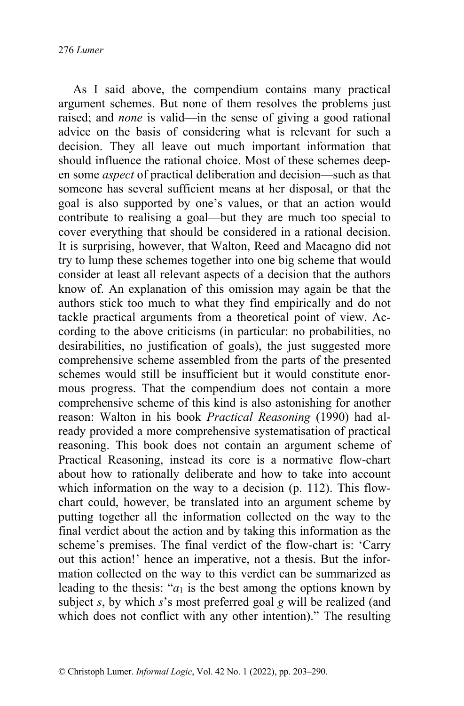As I said above, the compendium contains many practical argument schemes. But none of them resolves the problems just raised; and *none* is valid—in the sense of giving a good rational advice on the basis of considering what is relevant for such a decision. They all leave out much important information that should influence the rational choice. Most of these schemes deepen some *aspect* of practical deliberation and decision—such as that someone has several sufficient means at her disposal, or that the goal is also supported by one's values, or that an action would contribute to realising a goal—but they are much too special to cover everything that should be considered in a rational decision. It is surprising, however, that Walton, Reed and Macagno did not try to lump these schemes together into one big scheme that would consider at least all relevant aspects of a decision that the authors know of. An explanation of this omission may again be that the authors stick too much to what they find empirically and do not tackle practical arguments from a theoretical point of view. According to the above criticisms (in particular: no probabilities, no desirabilities, no justification of goals), the just suggested more comprehensive scheme assembled from the parts of the presented schemes would still be insufficient but it would constitute enormous progress. That the compendium does not contain a more comprehensive scheme of this kind is also astonishing for another reason: Walton in his book *Practical Reasoning* (1990) had already provided a more comprehensive systematisation of practical reasoning. This book does not contain an argument scheme of Practical Reasoning, instead its core is a normative flow-chart about how to rationally deliberate and how to take into account which information on the way to a decision (p. 112). This flowchart could, however, be translated into an argument scheme by putting together all the information collected on the way to the final verdict about the action and by taking this information as the scheme's premises. The final verdict of the flow-chart is: 'Carry out this action!' hence an imperative, not a thesis. But the information collected on the way to this verdict can be summarized as leading to the thesis: " $a_1$  is the best among the options known by subject *s*, by which *s*'s most preferred goal *g* will be realized (and which does not conflict with any other intention)." The resulting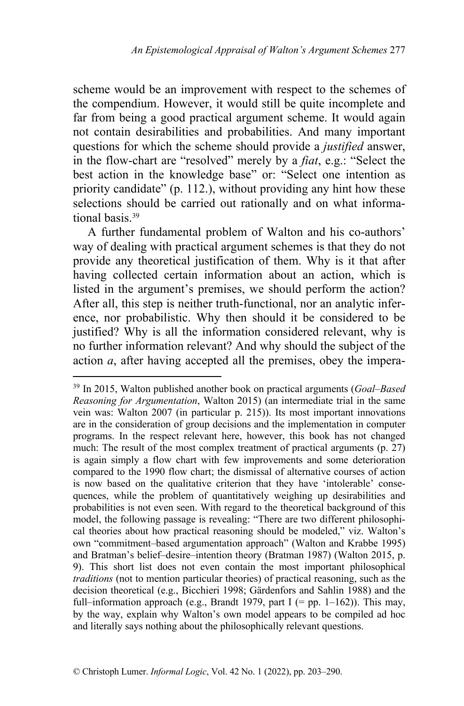scheme would be an improvement with respect to the schemes of the compendium. However, it would still be quite incomplete and far from being a good practical argument scheme. It would again not contain desirabilities and probabilities. And many important questions for which the scheme should provide a *justified* answer, in the flow-chart are "resolved" merely by a *fiat*, e.g.: "Select the best action in the knowledge base" or: "Select one intention as priority candidate" (p. 112.), without providing any hint how these selections should be carried out rationally and on what informational basis.<sup>39</sup>

A further fundamental problem of Walton and his co-authors' way of dealing with practical argument schemes is that they do not provide any theoretical justification of them. Why is it that after having collected certain information about an action, which is listed in the argument's premises, we should perform the action? After all, this step is neither truth-functional, nor an analytic inference, nor probabilistic. Why then should it be considered to be justified? Why is all the information considered relevant, why is no further information relevant? And why should the subject of the action *a*, after having accepted all the premises, obey the impera-

<sup>39</sup> In 2015, Walton published another book on practical arguments (*Goal–Based Reasoning for Argumentation*, Walton 2015) (an intermediate trial in the same vein was: Walton 2007 (in particular p. 215)). Its most important innovations are in the consideration of group decisions and the implementation in computer programs. In the respect relevant here, however, this book has not changed much: The result of the most complex treatment of practical arguments (p. 27) is again simply a flow chart with few improvements and some deterioration compared to the 1990 flow chart; the dismissal of alternative courses of action is now based on the qualitative criterion that they have 'intolerable' consequences, while the problem of quantitatively weighing up desirabilities and probabilities is not even seen. With regard to the theoretical background of this model, the following passage is revealing: "There are two different philosophical theories about how practical reasoning should be modeled," viz. Walton's own "commitment–based argumentation approach" (Walton and Krabbe 1995) and Bratman's belief–desire–intention theory (Bratman 1987) (Walton 2015, p. 9). This short list does not even contain the most important philosophical *traditions* (not to mention particular theories) of practical reasoning, such as the decision theoretical (e.g., Bicchieri 1998; Gärdenfors and Sahlin 1988) and the full–information approach (e.g., Brandt 1979, part I (= pp. 1–162)). This may, by the way, explain why Walton's own model appears to be compiled ad hoc and literally says nothing about the philosophically relevant questions.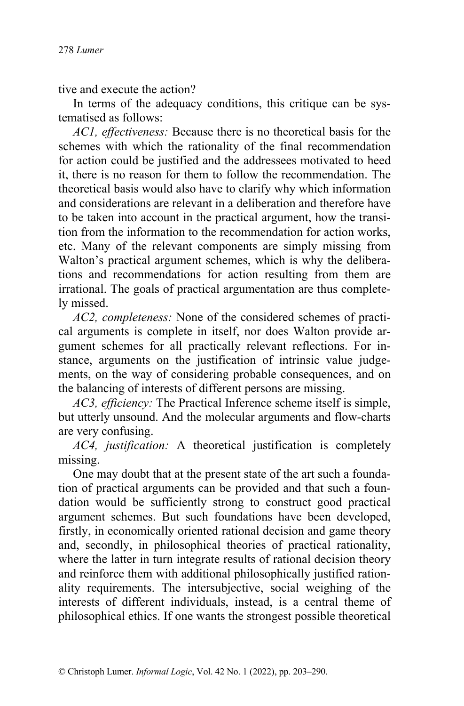tive and execute the action?

In terms of the adequacy conditions, this critique can be systematised as follows:

*AC1, effectiveness:* Because there is no theoretical basis for the schemes with which the rationality of the final recommendation for action could be justified and the addressees motivated to heed it, there is no reason for them to follow the recommendation. The theoretical basis would also have to clarify why which information and considerations are relevant in a deliberation and therefore have to be taken into account in the practical argument, how the transition from the information to the recommendation for action works, etc. Many of the relevant components are simply missing from Walton's practical argument schemes, which is why the deliberations and recommendations for action resulting from them are irrational. The goals of practical argumentation are thus completely missed.

*AC2, completeness:* None of the considered schemes of practical arguments is complete in itself, nor does Walton provide argument schemes for all practically relevant reflections. For instance, arguments on the justification of intrinsic value judgements, on the way of considering probable consequences, and on the balancing of interests of different persons are missing.

*AC3, efficiency:* The Practical Inference scheme itself is simple, but utterly unsound. And the molecular arguments and flow-charts are very confusing.

*AC4, justification:* A theoretical justification is completely missing.

One may doubt that at the present state of the art such a foundation of practical arguments can be provided and that such a foundation would be sufficiently strong to construct good practical argument schemes. But such foundations have been developed, firstly, in economically oriented rational decision and game theory and, secondly, in philosophical theories of practical rationality, where the latter in turn integrate results of rational decision theory and reinforce them with additional philosophically justified rationality requirements. The intersubjective, social weighing of the interests of different individuals, instead, is a central theme of philosophical ethics. If one wants the strongest possible theoretical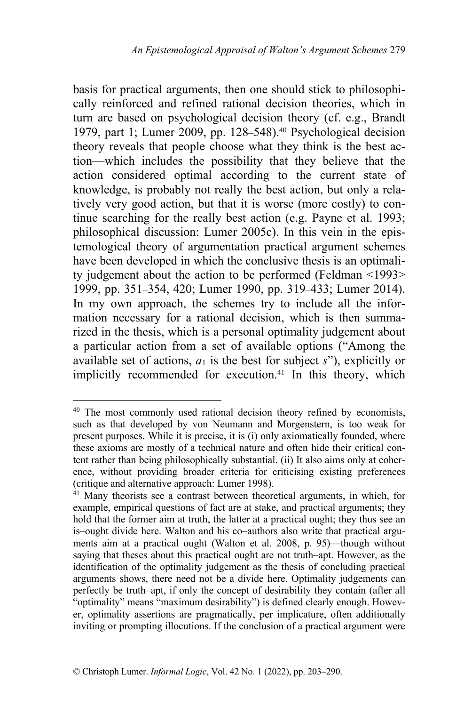basis for practical arguments, then one should stick to philosophically reinforced and refined rational decision theories, which in turn are based on psychological decision theory (cf. e.g., Brandt 1979, part 1; Lumer 2009, pp. 128–548).<sup>40</sup> Psychological decision theory reveals that people choose what they think is the best action—which includes the possibility that they believe that the action considered optimal according to the current state of knowledge, is probably not really the best action, but only a relatively very good action, but that it is worse (more costly) to continue searching for the really best action (e.g. Payne et al. 1993; philosophical discussion: Lumer 2005c). In this vein in the epistemological theory of argumentation practical argument schemes have been developed in which the conclusive thesis is an optimality judgement about the action to be performed (Feldman <1993> 1999, pp. 351–354, 420; Lumer 1990, pp. 319–433; Lumer 2014). In my own approach, the schemes try to include all the information necessary for a rational decision, which is then summarized in the thesis, which is a personal optimality judgement about a particular action from a set of available options ("Among the available set of actions,  $a_1$  is the best for subject  $s$ "), explicitly or implicitly recommended for execution.<sup>41</sup> In this theory, which

<sup>&</sup>lt;sup>40</sup> The most commonly used rational decision theory refined by economists, such as that developed by von Neumann and Morgenstern, is too weak for present purposes. While it is precise, it is (i) only axiomatically founded, where these axioms are mostly of a technical nature and often hide their critical content rather than being philosophically substantial. (ii) It also aims only at coherence, without providing broader criteria for criticising existing preferences (critique and alternative approach: Lumer 1998).

<sup>&</sup>lt;sup>41</sup> Many theorists see a contrast between theoretical arguments, in which, for example, empirical questions of fact are at stake, and practical arguments; they hold that the former aim at truth, the latter at a practical ought; they thus see an is–ought divide here. Walton and his co–authors also write that practical arguments aim at a practical ought (Walton et al. 2008, p. 95)—though without saying that theses about this practical ought are not truth–apt. However, as the identification of the optimality judgement as the thesis of concluding practical arguments shows, there need not be a divide here. Optimality judgements can perfectly be truth–apt, if only the concept of desirability they contain (after all "optimality" means "maximum desirability") is defined clearly enough. However, optimality assertions are pragmatically, per implicature, often additionally inviting or prompting illocutions. If the conclusion of a practical argument were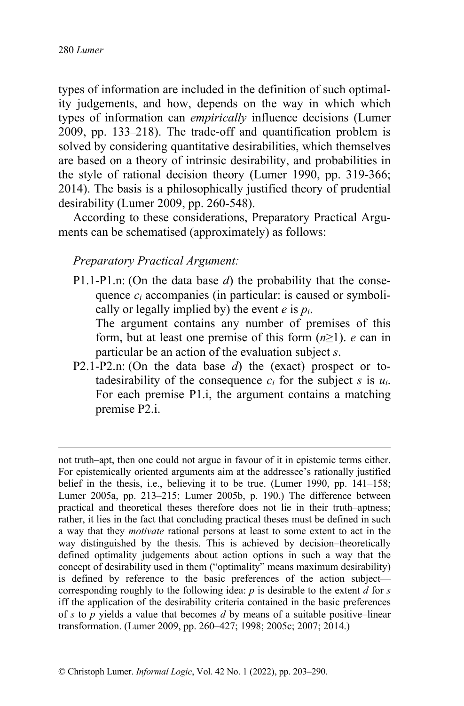types of information are included in the definition of such optimality judgements, and how, depends on the way in which which types of information can *empirically* influence decisions (Lumer 2009, pp. 133–218). The trade-off and quantification problem is solved by considering quantitative desirabilities, which themselves are based on a theory of intrinsic desirability, and probabilities in the style of rational decision theory (Lumer 1990, pp. 319-366; 2014). The basis is a philosophically justified theory of prudential desirability (Lumer 2009, pp. 260-548).

According to these considerations, Preparatory Practical Arguments can be schematised (approximately) as follows:

## *Preparatory Practical Argument:*

P1.1-P1.n: (On the data base *d*) the probability that the consequence *ci* accompanies (in particular: is caused or symbolically or legally implied by) the event  $e$  is  $p_i$ .

The argument contains any number of premises of this form, but at least one premise of this form (*n*≥1). *e* can in particular be an action of the evaluation subject *s*.

P2.1-P2.n: (On the data base *d*) the (exact) prospect or totadesirability of the consequence  $c_i$  for the subject *s* is  $u_i$ . For each premise P1.i, the argument contains a matching premise P2.i.

not truth–apt, then one could not argue in favour of it in epistemic terms either. For epistemically oriented arguments aim at the addressee's rationally justified belief in the thesis, i.e., believing it to be true. (Lumer 1990, pp. 141–158; Lumer 2005a, pp. 213–215; Lumer 2005b, p. 190.) The difference between practical and theoretical theses therefore does not lie in their truth–aptness; rather, it lies in the fact that concluding practical theses must be defined in such a way that they *motivate* rational persons at least to some extent to act in the way distinguished by the thesis. This is achieved by decision–theoretically defined optimality judgements about action options in such a way that the concept of desirability used in them ("optimality" means maximum desirability) is defined by reference to the basic preferences of the action subject corresponding roughly to the following idea: *p* is desirable to the extent *d* for *s* iff the application of the desirability criteria contained in the basic preferences of *s* to *p* yields a value that becomes *d* by means of a suitable positive–linear transformation. (Lumer 2009, pp. 260–427; 1998; 2005c; 2007; 2014.)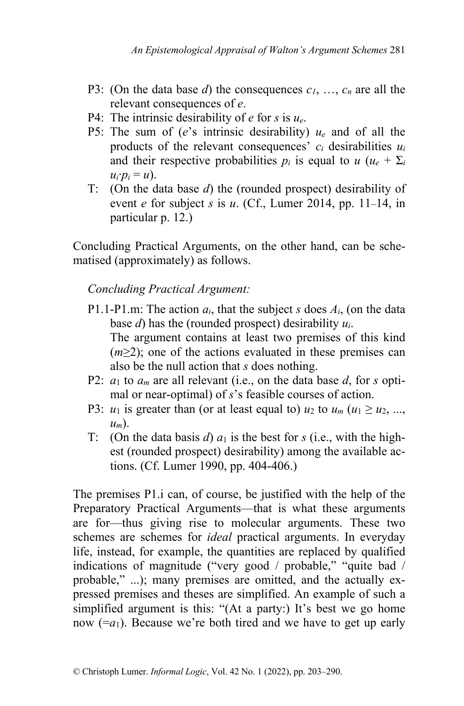- P3: (On the data base *d*) the consequences *c1*, …, *cn* are all the relevant consequences of *e*.
- P4: The intrinsic desirability of *e* for *s* is *ue*.
- P5: The sum of (*e*'s intrinsic desirability) *ue* and of all the products of the relevant consequences' *ci* desirabilities *ui* and their respective probabilities  $p_i$  is equal to  $u (u_e + \Sigma_i)$  $u_i \cdot p_i = u$ ).
- T: (On the data base *d*) the (rounded prospect) desirability of event *e* for subject *s* is *u*. (Cf., Lumer 2014, pp. 11–14, in particular p. 12.)

Concluding Practical Arguments, on the other hand, can be schematised (approximately) as follows.

# *Concluding Practical Argument:*

- P1.1-P1.m: The action *ai*, that the subject *s* does *Ai*, (on the data base *d*) has the (rounded prospect) desirability *ui*. The argument contains at least two premises of this kind (*m*≥2); one of the actions evaluated in these premises can also be the null action that *s* does nothing.
- P2: *a*<sup>1</sup> to *am* are all relevant (i.e., on the data base *d*, for *s* optimal or near-optimal) of *s*'s feasible courses of action.
- P3:  $u_1$  is greater than (or at least equal to)  $u_2$  to  $u_m$  ( $u_1 \ge u_2, ...,$ *um*).
- T: (On the data basis *d*)  $a_1$  is the best for *s* (i.e., with the highest (rounded prospect) desirability) among the available actions. (Cf. Lumer 1990, pp. 404-406.)

The premises P1.i can, of course, be justified with the help of the Preparatory Practical Arguments—that is what these arguments are for—thus giving rise to molecular arguments. These two schemes are schemes for *ideal* practical arguments. In everyday life, instead, for example, the quantities are replaced by qualified indications of magnitude ("very good / probable," "quite bad / probable," ...); many premises are omitted, and the actually expressed premises and theses are simplified. An example of such a simplified argument is this: "(At a party:) It's best we go home now  $(=a_1)$ . Because we're both tired and we have to get up early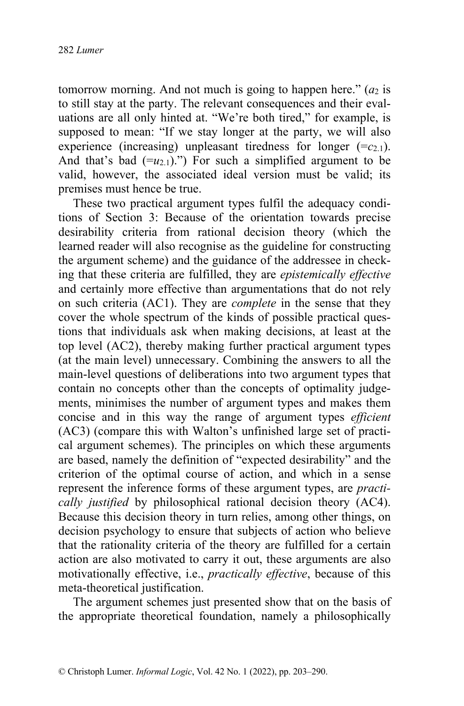tomorrow morning. And not much is going to happen here."  $(a_2$  is to still stay at the party. The relevant consequences and their evaluations are all only hinted at. "We're both tired," for example, is supposed to mean: "If we stay longer at the party, we will also experience (increasing) unpleasant tiredness for longer  $(=c_{2,1})$ . And that's bad  $(=u_{2,1})$ .") For such a simplified argument to be valid, however, the associated ideal version must be valid; its premises must hence be true.

These two practical argument types fulfil the adequacy conditions of Section 3: Because of the orientation towards precise desirability criteria from rational decision theory (which the learned reader will also recognise as the guideline for constructing the argument scheme) and the guidance of the addressee in checking that these criteria are fulfilled, they are *epistemically effective*  and certainly more effective than argumentations that do not rely on such criteria (AC1). They are *complete* in the sense that they cover the whole spectrum of the kinds of possible practical questions that individuals ask when making decisions, at least at the top level (AC2), thereby making further practical argument types (at the main level) unnecessary. Combining the answers to all the main-level questions of deliberations into two argument types that contain no concepts other than the concepts of optimality judgements, minimises the number of argument types and makes them concise and in this way the range of argument types *efficient*  (AC3) (compare this with Walton's unfinished large set of practical argument schemes). The principles on which these arguments are based, namely the definition of "expected desirability" and the criterion of the optimal course of action, and which in a sense represent the inference forms of these argument types, are *practically justified* by philosophical rational decision theory (AC4). Because this decision theory in turn relies, among other things, on decision psychology to ensure that subjects of action who believe that the rationality criteria of the theory are fulfilled for a certain action are also motivated to carry it out, these arguments are also motivationally effective, i.e., *practically effective*, because of this meta-theoretical justification.

The argument schemes just presented show that on the basis of the appropriate theoretical foundation, namely a philosophically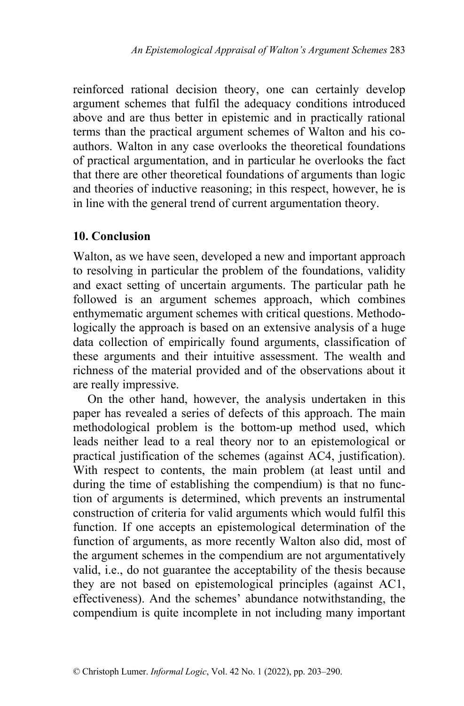reinforced rational decision theory, one can certainly develop argument schemes that fulfil the adequacy conditions introduced above and are thus better in epistemic and in practically rational terms than the practical argument schemes of Walton and his coauthors. Walton in any case overlooks the theoretical foundations of practical argumentation, and in particular he overlooks the fact that there are other theoretical foundations of arguments than logic and theories of inductive reasoning; in this respect, however, he is in line with the general trend of current argumentation theory.

### **10. Conclusion**

Walton, as we have seen, developed a new and important approach to resolving in particular the problem of the foundations, validity and exact setting of uncertain arguments. The particular path he followed is an argument schemes approach, which combines enthymematic argument schemes with critical questions. Methodologically the approach is based on an extensive analysis of a huge data collection of empirically found arguments, classification of these arguments and their intuitive assessment. The wealth and richness of the material provided and of the observations about it are really impressive.

On the other hand, however, the analysis undertaken in this paper has revealed a series of defects of this approach. The main methodological problem is the bottom-up method used, which leads neither lead to a real theory nor to an epistemological or practical justification of the schemes (against AC4, justification). With respect to contents, the main problem (at least until and during the time of establishing the compendium) is that no function of arguments is determined, which prevents an instrumental construction of criteria for valid arguments which would fulfil this function. If one accepts an epistemological determination of the function of arguments, as more recently Walton also did, most of the argument schemes in the compendium are not argumentatively valid, i.e., do not guarantee the acceptability of the thesis because they are not based on epistemological principles (against AC1, effectiveness). And the schemes' abundance notwithstanding, the compendium is quite incomplete in not including many important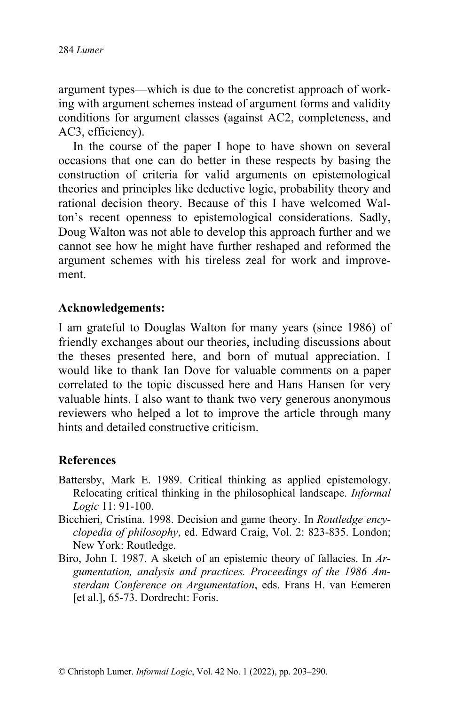argument types—which is due to the concretist approach of working with argument schemes instead of argument forms and validity conditions for argument classes (against AC2, completeness, and AC3, efficiency).

In the course of the paper I hope to have shown on several occasions that one can do better in these respects by basing the construction of criteria for valid arguments on epistemological theories and principles like deductive logic, probability theory and rational decision theory. Because of this I have welcomed Walton's recent openness to epistemological considerations. Sadly, Doug Walton was not able to develop this approach further and we cannot see how he might have further reshaped and reformed the argument schemes with his tireless zeal for work and improvement.

### **Acknowledgements:**

I am grateful to Douglas Walton for many years (since 1986) of friendly exchanges about our theories, including discussions about the theses presented here, and born of mutual appreciation. I would like to thank Ian Dove for valuable comments on a paper correlated to the topic discussed here and Hans Hansen for very valuable hints. I also want to thank two very generous anonymous reviewers who helped a lot to improve the article through many hints and detailed constructive criticism.

#### **References**

- Battersby, Mark E. 1989. Critical thinking as applied epistemology. Relocating critical thinking in the philosophical landscape. *Informal Logic* 11: 91-100.
- Bicchieri, Cristina. 1998. Decision and game theory. In *Routledge encyclopedia of philosophy*, ed. Edward Craig, Vol. 2: 823-835. London; New York: Routledge.
- Biro, John I. 1987. A sketch of an epistemic theory of fallacies. In *Argumentation, analysis and practices. Proceedings of the 1986 Amsterdam Conference on Argumentation*, eds. Frans H. van Eemeren [et al.], 65-73. Dordrecht: Foris.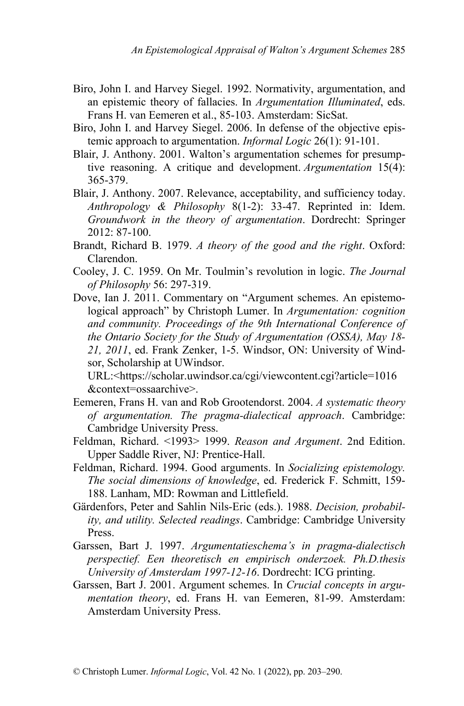- Biro, John I. and Harvey Siegel. 1992. Normativity, argumentation, and an epistemic theory of fallacies. In *Argumentation Illuminated*, eds. Frans H. van Eemeren et al., 85-103. Amsterdam: SicSat.
- Biro, John I. and Harvey Siegel. 2006. In defense of the objective epistemic approach to argumentation. *Informal Logic* 26(1): 91-101.
- Blair, J. Anthony. 2001. Walton's argumentation schemes for presumptive reasoning. A critique and development. *Argumentation* 15(4): 365-379.
- Blair, J. Anthony. 2007. Relevance, acceptability, and sufficiency today. *Anthropology & Philosophy* 8(1-2): 33-47. Reprinted in: Idem. *Groundwork in the theory of argumentation*. Dordrecht: Springer 2012: 87-100.
- Brandt, Richard B. 1979. *A theory of the good and the right*. Oxford: Clarendon.
- Cooley, J. C. 1959. On Mr. Toulmin's revolution in logic. *The Journal of Philosophy* 56: 297-319.
- Dove, Ian J. 2011. Commentary on "Argument schemes. An epistemological approach" by Christoph Lumer. In *Argumentation: cognition and community. Proceedings of the 9th International Conference of the Ontario Society for the Study of Argumentation (OSSA), May 18- 21, 2011*, ed. Frank Zenker, 1-5. Windsor, ON: University of Windsor, Scholarship at UWindsor.

URL:<https://scholar.uwindsor.ca/cgi/viewcontent.cgi?article=1016 &context=ossaarchive>.

- Eemeren, Frans H. van and Rob Grootendorst. 2004. *A systematic theory of argumentation. The pragma-dialectical approach*. Cambridge: Cambridge University Press.
- Feldman, Richard. <1993> 1999. *Reason and Argument*. 2nd Edition. Upper Saddle River, NJ: Prentice-Hall.
- Feldman, Richard. 1994. Good arguments. In *Socializing epistemology. The social dimensions of knowledge*, ed. Frederick F. Schmitt, 159- 188. Lanham, MD: Rowman and Littlefield.
- Gärdenfors, Peter and Sahlin Nils-Eric (eds.). 1988. *Decision, probability, and utility. Selected readings*. Cambridge: Cambridge University Press.
- Garssen, Bart J. 1997. *Argumentatieschema's in pragma-dialectisch perspectief. Een theoretisch en empirisch onderzoek. Ph.D.thesis University of Amsterdam 1997-12-16*. Dordrecht: ICG printing.
- Garssen, Bart J. 2001. Argument schemes. In *Crucial concepts in argumentation theory*, ed. Frans H. van Eemeren, 81-99. Amsterdam: Amsterdam University Press.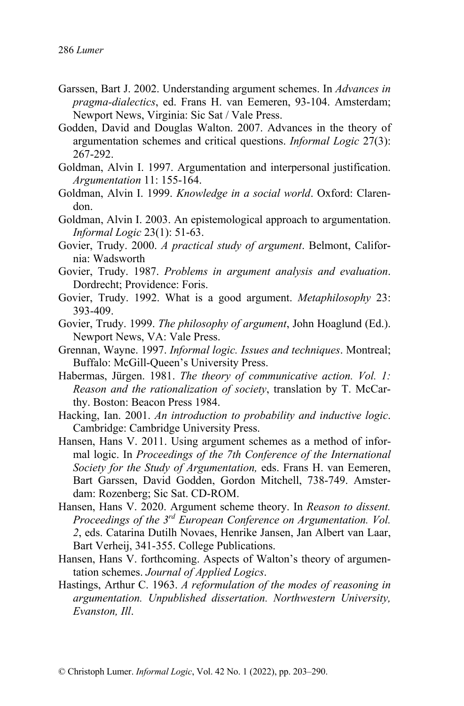- Garssen, Bart J. 2002. Understanding argument schemes. In *Advances in pragma-dialectics*, ed. Frans H. van Eemeren, 93-104. Amsterdam; Newport News, Virginia: Sic Sat / Vale Press.
- Godden, David and Douglas Walton. 2007. Advances in the theory of argumentation schemes and critical questions. *Informal Logic* 27(3): 267-292.
- Goldman, Alvin I. 1997. Argumentation and interpersonal justification. *Argumentation* 11: 155-164.
- Goldman, Alvin I. 1999. *Knowledge in a social world*. Oxford: Clarendon.
- Goldman, Alvin I. 2003. An epistemological approach to argumentation. *Informal Logic* 23(1): 51-63.
- Govier, Trudy. 2000. *A practical study of argument*. Belmont, California: Wadsworth
- Govier, Trudy. 1987. *Problems in argument analysis and evaluation*. Dordrecht; Providence: Foris.
- Govier, Trudy. 1992. What is a good argument. *Metaphilosophy* 23: 393-409.
- Govier, Trudy. 1999. *The philosophy of argument*, John Hoaglund (Ed.). Newport News, VA: Vale Press.
- Grennan, Wayne. 1997. *Informal logic. Issues and techniques*. Montreal; Buffalo: McGill-Queen's University Press.
- Habermas, Jürgen. 1981. *The theory of communicative action. Vol. 1: Reason and the rationalization of society*, translation by T. McCarthy. Boston: Beacon Press 1984.

Hacking, Ian. 2001. *An introduction to probability and inductive logic*. Cambridge: Cambridge University Press.

- Hansen, Hans V. 2011. Using argument schemes as a method of informal logic. In *Proceedings of the 7th Conference of the International Society for the Study of Argumentation,* eds. Frans H. van Eemeren, Bart Garssen, David Godden, Gordon Mitchell, 738-749. Amsterdam: Rozenberg; Sic Sat. CD-ROM.
- Hansen, Hans V. 2020. Argument scheme theory. In *Reason to dissent. Proceedings of the 3rd European Conference on Argumentation. Vol. 2*, eds. Catarina Dutilh Novaes, Henrike Jansen, Jan Albert van Laar, Bart Verheij, 341-355. College Publications.
- Hansen, Hans V. forthcoming. Aspects of Walton's theory of argumentation schemes. *Journal of Applied Logics*.
- Hastings, Arthur C. 1963. *A reformulation of the modes of reasoning in argumentation. Unpublished dissertation. Northwestern University, Evanston, Ill*.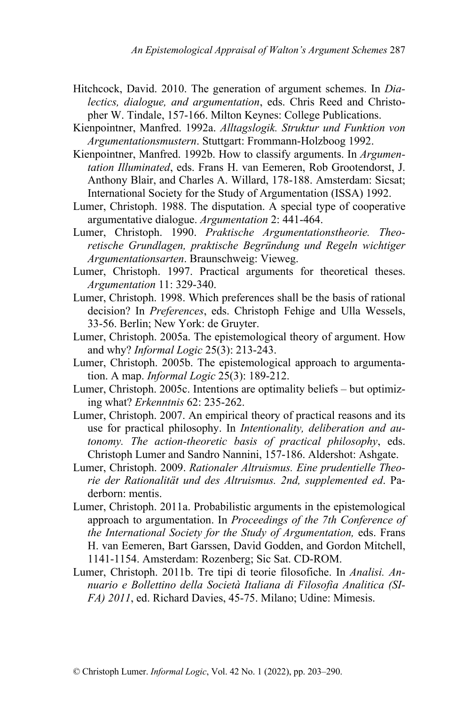- Hitchcock, David. 2010. The generation of argument schemes. In *Dialectics, dialogue, and argumentation*, eds. Chris Reed and Christopher W. Tindale, 157-166. Milton Keynes: College Publications.
- Kienpointner, Manfred. 1992a. *Alltagslogik. Struktur und Funktion von Argumentationsmustern*. Stuttgart: Frommann-Holzboog 1992.
- Kienpointner, Manfred. 1992b. How to classify arguments. In *Argumentation Illuminated*, eds. Frans H. van Eemeren, Rob Grootendorst, J. Anthony Blair, and Charles A. Willard, 178-188. Amsterdam: Sicsat; International Society for the Study of Argumentation (ISSA) 1992.
- Lumer, Christoph. 1988. The disputation. A special type of cooperative argumentative dialogue. *Argumentation* 2: 441-464.
- Lumer, Christoph. 1990. *Praktische Argumentationstheorie. Theoretische Grundlagen, praktische Begründung und Regeln wichtiger Argumentationsarten*. Braunschweig: Vieweg.
- Lumer, Christoph. 1997. Practical arguments for theoretical theses. *Argumentation* 11: 329-340.
- Lumer, Christoph. 1998. Which preferences shall be the basis of rational decision? In *Preferences*, eds. Christoph Fehige and Ulla Wessels, 33-56. Berlin; New York: de Gruyter.
- Lumer, Christoph. 2005a. The epistemological theory of argument. How and why? *Informal Logic* 25(3): 213-243.
- Lumer, Christoph. 2005b. The epistemological approach to argumentation. A map. *Informal Logic* 25(3): 189-212.
- Lumer, Christoph. 2005c. Intentions are optimality beliefs but optimizing what? *Erkenntnis* 62: 235-262.
- Lumer, Christoph. 2007. An empirical theory of practical reasons and its use for practical philosophy. In *Intentionality, deliberation and autonomy. The action-theoretic basis of practical philosophy*, eds. Christoph Lumer and Sandro Nannini, 157-186. Aldershot: Ashgate.
- Lumer, Christoph. 2009. *Rationaler Altruismus. Eine prudentielle Theorie der Rationalität und des Altruismus. 2nd, supplemented ed*. Paderborn: mentis.
- Lumer, Christoph. 2011a. Probabilistic arguments in the epistemological approach to argumentation. In *Proceedings of the 7th Conference of the International Society for the Study of Argumentation,* eds. Frans H. van Eemeren, Bart Garssen, David Godden, and Gordon Mitchell, 1141-1154. Amsterdam: Rozenberg; Sic Sat. CD-ROM.
- Lumer, Christoph. 2011b. Tre tipi di teorie filosofiche. In *Analisi. Annuario e Bollettino della Società Italiana di Filosofia Analitica (SI-FA) 2011*, ed. Richard Davies, 45-75. Milano; Udine: Mimesis.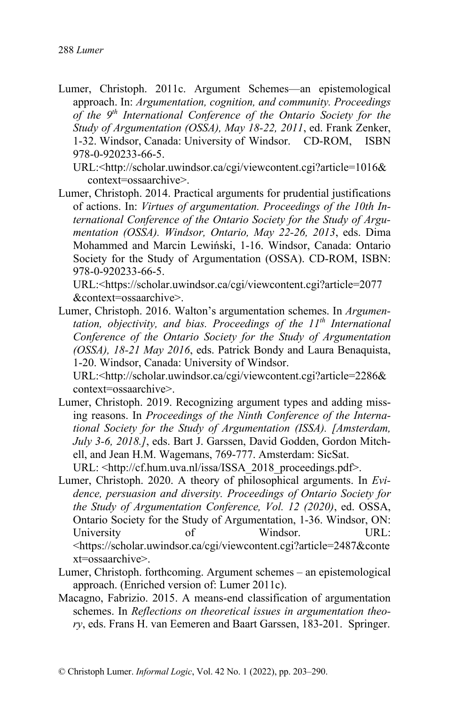Lumer, Christoph. 2011c. Argument Schemes—an epistemological approach. In: *Argumentation, cognition, and community. Proceedings of the 9th International Conference of the Ontario Society for the Study of Argumentation (OSSA), May 18-22, 2011*, ed. Frank Zenker, 1-32. Windsor, Canada: University of Windsor. CD-ROM, ISBN 978-0-920233-66-5.

URL:<http://scholar.uwindsor.ca/cgi/viewcontent.cgi?article=1016& context=ossaarchive>.

Lumer, Christoph. 2014. Practical arguments for prudential justifications of actions. In: *Virtues of argumentation. Proceedings of the 10th International Conference of the Ontario Society for the Study of Argumentation (OSSA). Windsor, Ontario, May 22-26, 2013*, eds. Dima Mohammed and Marcin Lewiński, 1-16. Windsor, Canada: Ontario Society for the Study of Argumentation (OSSA). CD-ROM, ISBN: 978-0-920233-66-5.

URL:<https://scholar.uwindsor.ca/cgi/viewcontent.cgi?article=2077 &context=ossaarchive>.

Lumer, Christoph. 2016. Walton's argumentation schemes. In *Argumentation, objectivity, and bias. Proceedings of the 11th International Conference of the Ontario Society for the Study of Argumentation (OSSA), 18-21 May 2016*, eds. Patrick Bondy and Laura Benaquista, 1-20. Windsor, Canada: University of Windsor.

URL:<http://scholar.uwindsor.ca/cgi/viewcontent.cgi?article=2286& context=ossaarchive>.

- Lumer, Christoph. 2019. Recognizing argument types and adding missing reasons. In *Proceedings of the Ninth Conference of the International Society for the Study of Argumentation (ISSA). [Amsterdam, July 3-6, 2018.]*, eds. Bart J. Garssen, David Godden, Gordon Mitchell, and Jean H.M. Wagemans, 769-777. Amsterdam: SicSat. URL: <http://cf.hum.uva.nl/issa/ISSA\_2018\_proceedings.pdf>.
- Lumer, Christoph. 2020. A theory of philosophical arguments. In *Evidence, persuasion and diversity. Proceedings of Ontario Society for the Study of Argumentation Conference, Vol. 12 (2020)*, ed. OSSA, Ontario Society for the Study of Argumentation, 1-36. Windsor, ON: University of Windsor. URL: <https://scholar.uwindsor.ca/cgi/viewcontent.cgi?article=2487&conte xt=ossaarchive>.
- Lumer, Christoph. forthcoming. Argument schemes an epistemological approach. (Enriched version of: Lumer 2011c).
- Macagno, Fabrizio. 2015. A means-end classification of argumentation schemes. In *Reflections on theoretical issues in argumentation theory*, eds. Frans H. van Eemeren and Baart Garssen, 183-201. Springer.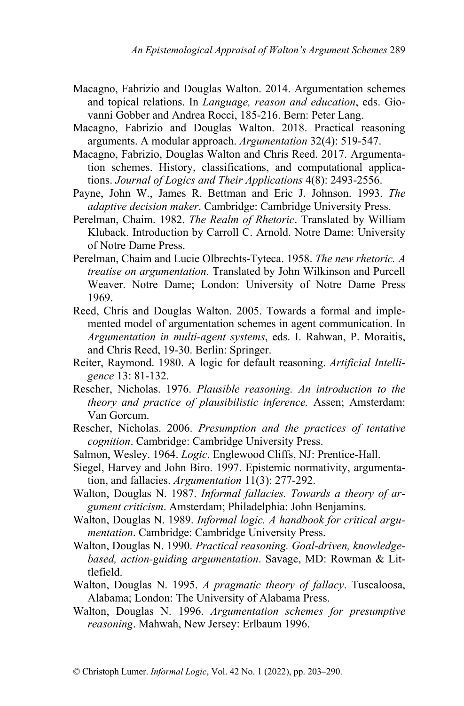- Macagno, Fabrizio and Douglas Walton. 2014. Argumentation schemes and topical relations. In *Language, reason and education*, eds. Giovanni Gobber and Andrea Rocci, 185-216. Bern: Peter Lang.
- Macagno, Fabrizio and Douglas Walton. 2018. Practical reasoning arguments. A modular approach. *Argumentation* 32(4): 519-547.
- Macagno, Fabrizio, Douglas Walton and Chris Reed. 2017. Argumentation schemes. History, classifications, and computational applications. *Journal of Logics and Their Applications* 4(8): 2493-2556.
- Payne, John W., James R. Bettman and Eric J. Johnson. 1993. *The adaptive decision maker*. Cambridge: Cambridge University Press.
- Perelman, Chaim. 1982. *The Realm of Rhetoric*. Translated by William Kluback. Introduction by Carroll C. Arnold. Notre Dame: University of Notre Dame Press.
- Perelman, Chaim and Lucie Olbrechts-Tyteca. 1958. *The new rhetoric. A treatise on argumentation*. Translated by John Wilkinson and Purcell Weaver. Notre Dame; London: University of Notre Dame Press 1969.
- Reed, Chris and Douglas Walton. 2005. Towards a formal and implemented model of argumentation schemes in agent communication. In *Argumentation in multi-agent systems*, eds. I. Rahwan, P. Moraitis, and Chris Reed, 19-30. Berlin: Springer.
- Reiter, Raymond. 1980. A logic for default reasoning. *Artificial Intelligence* 13: 81-132.
- Rescher, Nicholas. 1976. *Plausible reasoning. An introduction to the theory and practice of plausibilistic inference.* Assen; Amsterdam: Van Gorcum.
- Rescher, Nicholas. 2006. *Presumption and the practices of tentative cognition*. Cambridge: Cambridge University Press.
- Salmon, Wesley. 1964. *Logic*. Englewood Cliffs, NJ: Prentice-Hall.
- Siegel, Harvey and John Biro. 1997. Epistemic normativity, argumentation, and fallacies. *Argumentation* 11(3): 277-292.
- Walton, Douglas N. 1987. *Informal fallacies. Towards a theory of argument criticism*. Amsterdam; Philadelphia: John Benjamins.
- Walton, Douglas N. 1989. *Informal logic. A handbook for critical argumentation*. Cambridge: Cambridge University Press.
- Walton, Douglas N. 1990. *Practical reasoning. Goal-driven, knowledgebased, action-guiding argumentation*. Savage, MD: Rowman & Littlefield.
- Walton, Douglas N. 1995. *A pragmatic theory of fallacy*. Tuscaloosa, Alabama; London: The University of Alabama Press.
- Walton, Douglas N. 1996. *Argumentation schemes for presumptive reasoning*. Mahwah, New Jersey: Erlbaum 1996.